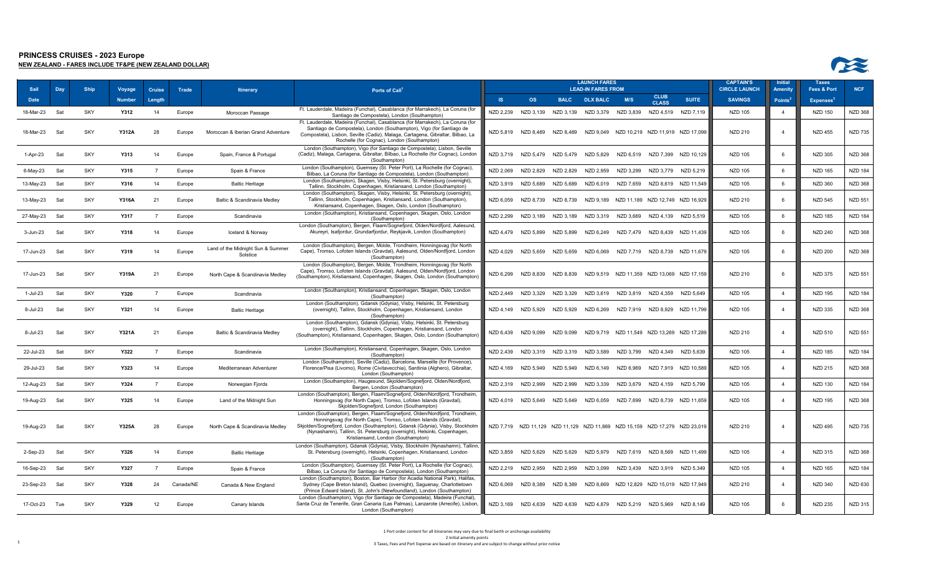

| Sail          | Day | <b>Ship</b> | Voyage        | Cruise         | Trade     | <b>Itinerary</b>                              | Ports of Call <sup>1</sup>                                                                                                                                                                                                                                                                                                                       |           |                               |             | <b>LAUNCH FARES</b><br><b>LEAD-IN FARES FROM</b>                            |           |                                            |                                            | <b>CAPTAIN'S</b><br><b>CIRCLE LAUNCH</b> | <b>Initia</b><br><b>Amenit</b> | <b>Taxes</b><br><b>Fees &amp; Port</b> | <b>NCF</b>     |
|---------------|-----|-------------|---------------|----------------|-----------|-----------------------------------------------|--------------------------------------------------------------------------------------------------------------------------------------------------------------------------------------------------------------------------------------------------------------------------------------------------------------------------------------------------|-----------|-------------------------------|-------------|-----------------------------------------------------------------------------|-----------|--------------------------------------------|--------------------------------------------|------------------------------------------|--------------------------------|----------------------------------------|----------------|
| Date          |     |             | <b>Number</b> | Length         |           |                                               |                                                                                                                                                                                                                                                                                                                                                  | <b>IS</b> | <b>OS</b>                     | <b>BALC</b> | <b>DLX BALC</b>                                                             | M/S       | <b>CLUB</b><br><b>CLASS</b>                | <b>SUITE</b>                               | <b>SAVINGS</b>                           | Points <sup>4</sup>            | <b>Expenses</b>                        |                |
| 18-Mar-23     | Sat | SKY         | Y312          | 14             | Europe    | Moroccan Passage                              | Ft. Lauderdale, Madeira (Funchal), Casablanca (for Marrakech), La Coruna (for<br>Santiago de Compostela), London (Southampton)                                                                                                                                                                                                                   | NZD 2,239 | NZD 3,139                     |             | NZD 3,139 NZD 3,379 NZD 3,839                                               |           | NZD 4,519 NZD 7,119                        |                                            | NZD 105                                  | $\overline{4}$                 | <b>NZD 150</b>                         | <b>NZD 368</b> |
| 18-Mar-23     | Sat | <b>SKY</b>  | <b>Y312A</b>  | 28             | Europe    | Moroccan & Iberian Grand Adventure            | Ft. Lauderdale, Madeira (Funchal), Casablanca (for Marrakech), La Coruna (for<br>Santiago de Compostela), London (Southampton), Vigo (for Santiago de<br>Compostela), Lisbon, Seville (Cadiz), Malaga, Cartagena, Gibraltar, Bilbao, La<br>Rochelle (for Cognac), London (Southampton)                                                           |           | NZD 5,819 NZD 8,489           | NZD 8,489   |                                                                             |           |                                            | NZD 9,049 NZD 10,219 NZD 11,919 NZD 17,099 | NZD 210                                  | $\overline{4}$                 | <b>NZD 455</b>                         | <b>NZD 735</b> |
| 1-Apr-23      | Sat | <b>SKY</b>  | Y313          | 14             | Europe    | Spain, France & Portugal                      | London (Southampton), Vigo (for Santiago de Compostela), Lisbon, Seville<br>(Cadiz), Malaga, Cartagena, Gibraltar, Bilbao, La Rochelle (for Cognac), London<br>(Southampton)                                                                                                                                                                     |           | NZD 3,719 NZD 5,479 NZD 5,479 |             | NZD 5,829                                                                   |           |                                            | NZD 6,519 NZD 7,399 NZD 10,129             | <b>NZD 105</b>                           | 6                              | <b>NZD 305</b>                         | <b>NZD 368</b> |
| 6-May-23      | Sat | <b>SKY</b>  | Y315          | $\overline{7}$ | Europe    | Spain & France                                | London (Southampton), Guernsey (St. Peter Port), La Rochelle (for Cognac),<br>Bilbao, La Coruna (for Santiago de Compostela), London (Southampton)                                                                                                                                                                                               | NZD 2,069 | NZD 2,829                     | NZD 2,829   | NZD 2,959                                                                   | NZD 3,299 | NZD 3,779                                  | NZD 5,219                                  | <b>NZD 105</b>                           | 6                              | <b>NZD 165</b>                         | <b>NZD 184</b> |
| 13-May-23     | Sat | <b>SKY</b>  | Y316          | 14             | Europe    | <b>Baltic Heritage</b>                        | London (Southampton), Skagen, Visby, Helsinki, St. Petersburg (overnight),<br>Tallinn, Stockholm, Copenhagen, Kristiansand, London (Southampton)                                                                                                                                                                                                 | NZD 3,919 | NZD 5.689                     | NZD 5.689   | NZD 6.019                                                                   | NZD 7.659 |                                            | NZD 8.619 NZD 11.549                       | <b>NZD 105</b>                           | 6                              | <b>NZD 360</b>                         | <b>NZD 368</b> |
| 13-May-23     | Sat | <b>SKY</b>  | Y316A         | 21             | Europe    | Baltic & Scandinavia Medley                   | London (Southampton), Skagen, Visby, Helsinki, St. Petersburg (overnight),<br>Tallinn, Stockholm, Copenhagen, Kristiansand, London (Southampton),<br>Kristiansand, Copenhagen, Skagen, Oslo, London (Southampton)                                                                                                                                | NZD 6,059 | NZD 8.739                     | NZD 8.739   |                                                                             |           | NZD 9,189 NZD 11,189 NZD 12,749 NZD 16,929 |                                            | NZD 210                                  | 6                              | <b>NZD 545</b>                         | <b>NZD 551</b> |
| 27-May-23     | Sat | <b>SKY</b>  | Y317          |                | Europe    | Scandinavia                                   | London (Southampton), Kristiansand, Copenhagen, Skagen, Oslo, London<br>(Southampton)                                                                                                                                                                                                                                                            | NZD 2,299 | NZD 3.189                     | NZD 3.189   | NZD 3,319                                                                   | NZD 3.669 | NZD 4.139                                  | NZD 5,519                                  | <b>NZD 105</b>                           | 6                              | <b>NZD 185</b>                         | <b>NZD 184</b> |
| 3-Jun-23      | Sat | <b>SKY</b>  | Y318          | 14             | Europe    | Iceland & Norway                              | London (Southampton), Bergen, Flaam/Sognefjord, Olden/Nordfjord, Aalesund,<br>Akureyri, Isafjordur, Grundarfjordur, Reykjavik, London (Southampton)                                                                                                                                                                                              |           | NZD 4,479 NZD 5,899           | NZD 5.899   | NZD 6,249                                                                   | NZD 7.479 |                                            | NZD 8,439 NZD 11,439                       | NZD 105                                  | - 6                            | <b>NZD 240</b>                         | NZD 368        |
| 17-Jun-23     | Sat | SKY         | Y319          | 14             | Europe    | Land of the Midnight Sun & Summer<br>Solstice | London (Southampton), Bergen, Molde, Trondheim, Honningsvag (for North<br>Cape), Tromso, Lofoten Islands (Gravdal), Aalesund, Olden/Nordfjord, London<br>(Southampton)                                                                                                                                                                           | NZD 4.029 | NZD 5.659                     | NZD 5.659   | NZD 6,069                                                                   | NZD 7,719 |                                            | NZD 8,739 NZD 11,679                       | <b>NZD 105</b>                           | - 6                            | <b>NZD 200</b>                         | <b>NZD 368</b> |
| 17-Jun-23     | Sat | <b>SKY</b>  | <b>Y319A</b>  | 21             | Europe    | North Cape & Scandinavia Medley               | London (Southampton), Bergen, Molde, Trondheim, Honningsvag (for North<br>Cape), Tromso, Lofoten Islands (Gravdal), Aalesund, Olden/Nordfjord, London<br>(Southampton), Kristiansand, Copenhagen, Skagen, Oslo, London (Southampton)                                                                                                             | NZD 6.299 | NZD 8.839                     | NZD 8.839   |                                                                             |           |                                            | NZD 9.519 NZD 11.359 NZD 13.069 NZD 17.159 | NZD 210                                  | $\epsilon$                     | <b>NZD 375</b>                         | <b>NZD 551</b> |
| 1-Jul-23      | Sat | <b>SKY</b>  | <b>Y320</b>   | $\overline{7}$ | Europe    | Scandinavia                                   | London (Southampton), Kristiansand, Copenhagen, Skagen, Oslo, London<br>(Southampton)                                                                                                                                                                                                                                                            |           | NZD 2.449 NZD 3.329           | NZD 3,329   | NZD 3,619 NZD 3,819 NZD 4,359                                               |           |                                            | NZD 5,649                                  | <b>NZD 105</b>                           | $\overline{4}$                 | <b>NZD 195</b>                         | <b>NZD 184</b> |
| 8-Jul-23      | Sat | <b>SKY</b>  | Y321          | 14             | Europe    | <b>Baltic Heritage</b>                        | London (Southampton), Gdansk (Gdynia), Visby, Helsinki, St. Petersburg<br>(overnight), Tallinn, Stockholm, Copenhagen, Kristiansand, London<br>(Southampton)                                                                                                                                                                                     | NZD 4.149 | NZD 5,929                     | NZD 5,929   | NZD 6,269                                                                   | NZD 7,919 |                                            | NZD 8,929 NZD 11,799                       | NZD 105                                  | $\overline{a}$                 | <b>NZD 335</b>                         | <b>NZD 368</b> |
| 8-Jul-23      | Sat | <b>SKY</b>  | Y321A         | 21             | Europe    | Baltic & Scandinavia Medley                   | London (Southampton), Gdansk (Gdynia), Visby, Helsinki, St. Petersburg<br>(overnight), Tallinn, Stockholm, Copenhagen, Kristiansand, London<br>(Southampton), Kristiansand, Copenhagen, Skagen, Oslo, London (Southampton                                                                                                                        | NZD 6,439 | NZD 9,099                     | NZD 9,099   | NZD 9,719                                                                   |           | NZD 11,549 NZD 13,269 NZD 17,289           |                                            | <b>NZD 210</b>                           | $\overline{4}$                 | <b>NZD 510</b>                         | <b>NZD 551</b> |
| 22-Jul-23     | Sat | <b>SKY</b>  | Y322          | $\overline{7}$ | Europe    | Scandinavia                                   | London (Southampton), Kristiansand, Copenhagen, Skagen, Oslo, London<br>(Southampton)                                                                                                                                                                                                                                                            |           |                               |             | NZD 2,439 NZD 3,319 NZD 3,319 NZD 3,589                                     |           | NZD 3,799 NZD 4,349 NZD 5,639              |                                            | <b>NZD 105</b>                           | $\overline{4}$                 | <b>NZD 185</b>                         | <b>NZD 184</b> |
| 29-Jul-23     | Sat | <b>SKY</b>  | Y323          | 14             | Europe    | Mediterranean Adventurer                      | London (Southampton), Seville (Cadiz), Barcelona, Marseille (for Provence),<br>Florence/Pisa (Livorno), Rome (Civitavecchia), Sardinia (Alghero), Gibraltar,<br>London (Southampton)                                                                                                                                                             | NZD 4,169 | NZD 5.949                     | NZD 5.949   | NZD 6.149                                                                   | NZD 6.969 |                                            | NZD 7,919 NZD 10,589                       | <b>NZD 105</b>                           | $\overline{a}$                 | <b>NZD 215</b>                         | <b>NZD 368</b> |
| 12-Aug-23     | Sat | <b>SKY</b>  | Y324          | $\overline{7}$ | Europe    | Norwegian Fjords                              | London (Southampton), Haugesund, Skjolden/Sognefjord, Olden/Nordfjord,<br>Bergen, London (Southampton)                                                                                                                                                                                                                                           | NZD 2,319 | NZD 2.999                     | NZD 2.999   | NZD 3,339                                                                   | NZD 3.679 | NZD 4.159                                  | NZD 5.799                                  | <b>NZD 105</b>                           | $\overline{4}$                 | <b>NZD 130</b>                         | <b>NZD 184</b> |
| 19-Aug-23 Sat |     | <b>SKY</b>  | Y325          | 14             | Europe    | Land of the Midnight Sun                      | London (Southampton), Bergen, Flaam/Sognefjord, Olden/Nordfjord, Trondheim<br>Honningsvag (for North Cape), Tromso, Lofoten Islands (Gravdal),<br>Skjolden/Sognefjord, London (Southampton)                                                                                                                                                      |           | NZD 4,019 NZD 5,649 NZD 5,649 |             | NZD 6,059                                                                   | NZD 7,699 |                                            | NZD 8,739 NZD 11,659                       | <b>NZD 105</b>                           | $\overline{4}$                 | <b>NZD 195</b>                         | <b>NZD 368</b> |
| 19-Aug-23     | Sat | <b>SKY</b>  | Y325A         | 28             | Europe    | North Cape & Scandinavia Medley               | London (Southampton), Bergen, Flaam/Sognefjord, Olden/Nordfjord, Trondheim,<br>Honningsvag (for North Cape), Tromso, Lofoten Islands (Gravdal),<br>Skjolden/Sognefjord, London (Southampton), Gdansk (Gdynia), Visby, Stockholm<br>(Nynashamn), Tallinn, St. Petersburg (overnight), Helsinki, Copenhagen,<br>Kristiansand, London (Southampton) |           |                               |             | NZD 7,719 NZD 11,129 NZD 11,129 NZD 11,869 NZD 15,159 NZD 17,279 NZD 23,019 |           |                                            |                                            | NZD 210                                  |                                | <b>NZD 495</b>                         | NZD 735        |
| 2-Sep-23      | Sat | <b>SKY</b>  | Y326          | 14             | Europe    | <b>Baltic Heritage</b>                        | London (Southampton), Gdansk (Gdynia), Visby, Stockholm (Nynashamn), Tallinn<br>St. Petersburg (overnight), Helsinki, Copenhagen, Kristiansand, London<br>(Southampton)                                                                                                                                                                          |           | NZD 3,859 NZD 5,629           | NZD 5,629   | NZD 5,979                                                                   | NZD 7,619 |                                            | NZD 8,569 NZD 11,499                       | <b>NZD 105</b>                           | $\overline{4}$                 | NZD 315                                | <b>NZD 368</b> |
| 16-Sep-23     | Sat | <b>SKY</b>  | Y327          | $\overline{7}$ | Europe    | Spain & France                                | London (Southampton), Guernsey (St. Peter Port), La Rochelle (for Cognac),<br>Bilbao, La Coruna (for Santiago de Compostela), London (Southampton)                                                                                                                                                                                               |           | NZD 2.219 NZD 2.959           | NZD 2.959   | NZD 3.099                                                                   | NZD 3,439 | NZD 3.919                                  | NZD 5.349                                  | NZD 105                                  | $\overline{4}$                 | NZD 165                                | <b>NZD 184</b> |
| 23-Sep-23     | Sat | <b>SKY</b>  | Y328          | 24             | Canada/NE | Canada & New England                          | London (Southampton), Boston, Bar Harbor (for Acadia National Park), Halifax,<br>Sydney (Cape Breton Island), Quebec (overnight), Saguenay, Charlottetown<br>(Prince Edward Island), St. John's (Newfoundland), London (Southampton)                                                                                                             | NZD 6,069 | NZD 8,389                     | NZD 8,389   | NZD 8,669                                                                   |           | NZD 12,829 NZD 15,019 NZD 17,949           |                                            | NZD 210                                  | $\overline{4}$                 | <b>NZD 340</b>                         | <b>NZD 630</b> |
| 17-Oct-23 Tue |     | SKY         | Y329          | 12             | Europe    | Canary Islands                                | London (Southampton), Vigo (for Santiago de Compostela), Madeira (Funchal),<br>Santa Cruz de Tenerife, Gran Canaria (Las Palmas), Lanzarote (Arrecife), Lisbon,<br>London (Southampton)                                                                                                                                                          |           |                               |             | NZD 3,169 NZD 4,639 NZD 4,639 NZD 4,879 NZD 5,219 NZD 5,969                 |           |                                            | NZD 8.149                                  | <b>NZD 105</b>                           | 6                              | <b>NZD 235</b>                         | NZD 315        |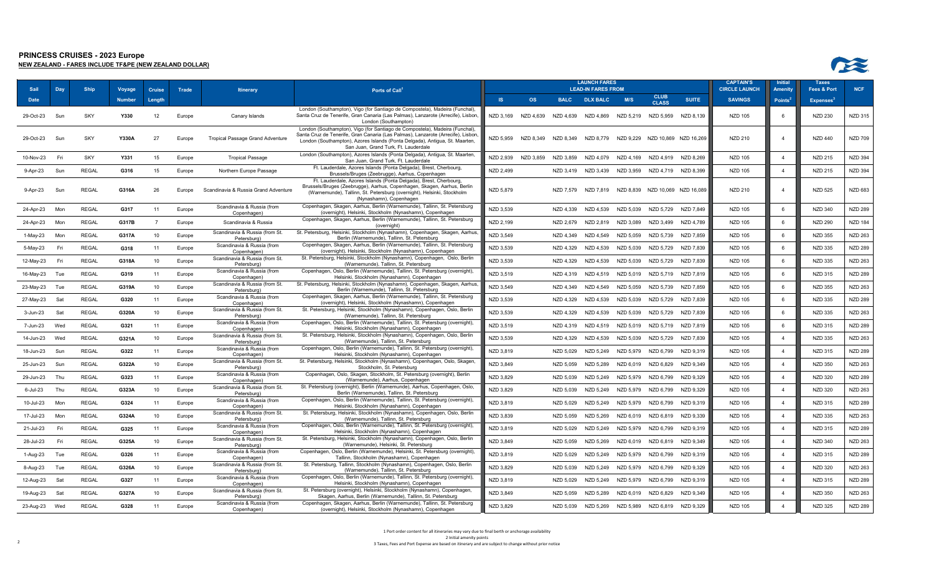| Sail          | Day  | <b>Ship</b>  | <b>Voyage</b> | <b>Cruise</b>  | Trade  | <b>Itinerary</b>                              | Ports of Call <sup>1</sup>                                                                                                                                                                                                                                                           |           |                     |             | <b>LAUNCH FARES</b><br><b>LEAD-IN FARES FROM</b> |           |                               |                                 | <b>CAPTAIN'S</b><br><b>CIRCLE LAUNCH</b> | Initial<br>Amenity  | <b>Taxes</b><br><b>Fees &amp; Port</b> | <b>NCF</b>     |
|---------------|------|--------------|---------------|----------------|--------|-----------------------------------------------|--------------------------------------------------------------------------------------------------------------------------------------------------------------------------------------------------------------------------------------------------------------------------------------|-----------|---------------------|-------------|--------------------------------------------------|-----------|-------------------------------|---------------------------------|------------------------------------------|---------------------|----------------------------------------|----------------|
| <b>Date</b>   |      |              | Number        | Lenath         |        |                                               |                                                                                                                                                                                                                                                                                      | <b>IS</b> | <b>OS</b>           | <b>BALC</b> | <b>DLX BALC</b>                                  | M/S       | <b>CLUB</b><br><b>CLASS</b>   | <b>SUITE</b>                    | <b>SAVINGS</b>                           | Points <sup>4</sup> | <b>Expenses</b> <sup>3</sup>           |                |
| 29-Oct-23     | Sun  | <b>SKY</b>   | Y330          | 12             | Europe | Canary Islands                                | London (Southampton), Vigo (for Santiago de Compostela), Madeira (Funchal)<br>Santa Cruz de Tenerife, Gran Canaria (Las Palmas), Lanzarote (Arrecife), Lisbon,<br>London (Southampton)                                                                                               |           | NZD 3.169 NZD 4.639 | NZD 4.639   | NZD 4.869                                        |           | NZD 5.219 NZD 5.959           | NZD 8.139                       | <b>NZD 105</b>                           | ĥ                   | <b>NZD 230</b>                         | NZD 315        |
| 29-Oct-23     | Sun  | SKY          | Y330A         | 27             | Europe | <b>Tropical Passage Grand Adventure</b>       | London (Southampton), Vigo (for Santiago de Compostela), Madeira (Funchal)<br>Santa Cruz de Tenerife, Gran Canaria (Las Palmas), Lanzarote (Arrecife), Lisbon<br>London (Southampton), Azores Islands (Ponta Delgada), Antigua, St. Maarten,<br>San Juan, Grand Turk, Ft. Lauderdale | NZD 5,959 | NZD 8,349           | NZD 8,349   | NZD 8,779                                        | NZD 9.229 |                               | NZD 10,869 NZD 16,269           | <b>NZD 210</b>                           | $\overline{4}$      | <b>NZD 440</b>                         | <b>NZD 709</b> |
| 10-Nov-23     | Fri  | <b>SKY</b>   | Y331          | 15             | Europe | <b>Tropical Passage</b>                       | London (Southampton), Azores Islands (Ponta Delgada), Antigua, St. Maarten,<br>San Juan, Grand Turk, Ft. Lauderdale                                                                                                                                                                  | NZD 2.939 | NZD 3.859           | NZD 3.859   | NZD 4.079                                        | NZD 4.169 | NZD 4.919                     | NZD 8.269                       | <b>NZD 105</b>                           | $\overline{a}$      | <b>NZD 215</b>                         | <b>NZD 394</b> |
| 9-Apr-23      | Sun  | <b>REGAL</b> | G316          | 15             | Europe | Northern Europe Passage                       | Ft. Lauderdale, Azores Islands (Ponta Delgada), Brest, Cherbourg,<br>Brussels/Bruges (Zeebrugge), Aarhus, Copenhagen                                                                                                                                                                 | NZD 2,499 |                     | NZD 3,419   | NZD 3,439                                        |           | NZD 3,959 NZD 4,719 NZD 8,399 |                                 | <b>NZD 105</b>                           | $\overline{4}$      | <b>NZD 215</b>                         | <b>NZD 394</b> |
| 9-Apr-23      | Sun  | <b>REGAL</b> | G316A         | 26             | Europe | Scandinavia & Russia Grand Adventure          | Ft. Lauderdale, Azores Islands (Ponta Delgada), Brest, Cherbourg<br>Brussels/Bruges (Zeebrugge), Aarhus, Copenhagen, Skagen, Aarhus, Berlin<br>(Warnemunde), Tallinn, St. Petersburg (overnight), Helsinki, Stockholm<br>(Nynashamn), Copenhagen                                     | NZD 5,879 |                     | NZD 7.579   | NZD 7,819                                        |           |                               | NZD 8,839 NZD 10,069 NZD 16,089 | <b>NZD 210</b>                           | $\overline{4}$      | <b>NZD 525</b>                         | <b>NZD 683</b> |
| 24-Apr-23     | Mon  | <b>REGAL</b> | G317          | 11             | Europe | Scandinavia & Russia (from<br>Copenhagen)     | Copenhagen, Skagen, Aarhus, Berlin (Warnemunde), Tallinn, St. Petersburg<br>(overnight), Helsinki, Stockholm (Nynashamn), Copenhagen                                                                                                                                                 | NZD 3,539 |                     | NZD 4.339   | NZD 4.539                                        | NZD 5,039 | NZD 5.729                     | NZD 7.849                       | <b>NZD 105</b>                           | 6                   | <b>NZD 340</b>                         | <b>NZD 289</b> |
| 24-Apr-23     | Mon  | <b>REGAL</b> | G317B         | $\overline{7}$ | Europe | Scandinavia & Russia                          | Copenhagen, Skagen, Aarhus, Berlin (Warnemunde), Tallinn, St. Petersburg<br>(overnight)                                                                                                                                                                                              | NZD 2,199 |                     | NZD 2,679   | NZD 2,819                                        | NZD 3,089 | NZD 3,499                     | NZD 4.789                       | <b>NZD 105</b>                           | 6                   | <b>NZD 290</b>                         | <b>NZD 184</b> |
| $1-May-23$    | Mon  | <b>REGAL</b> | G317A         | 10             | Europe | Scandinavia & Russia (from St.<br>Petersburg) | St. Petersburg, Helsinki, Stockholm (Nynashamn), Copenhagen, Skagen, Aarhus<br>Berlin (Warnemunde), Tallinn, St. Petersburg                                                                                                                                                          | NZD 3,549 |                     | NZD 4.349   | NZD 4.549                                        | NZD 5.059 | NZD 5,739                     | NZD 7.859                       | <b>NZD 105</b>                           | 6                   | <b>NZD 355</b>                         | <b>NZD 263</b> |
| 5-May-23      | Fri  | <b>REGAL</b> | G318          | 11             | Europe | Scandinavia & Russia (from<br>Copenhagen)     | Copenhagen, Skagen, Aarhus, Berlin (Warnemunde), Tallinn, St. Petersburg<br>(overnight), Helsinki, Stockholm (Nynashamn), Copenhagen                                                                                                                                                 | NZD 3,539 |                     | NZD 4,329   | NZD 4,539                                        | NZD 5,039 | NZD 5,729                     | NZD 7,839                       | <b>NZD 105</b>                           | 6                   | <b>NZD 335</b>                         | NZD 289        |
| 12-May-23     | Fri  | <b>REGAL</b> | G318A         | 10             | Europe | Scandinavia & Russia (from St.<br>Petersburg  | St. Petersburg, Helsinki, Stockholm (Nynashamn), Copenhagen, Oslo, Berlin<br>(Warnemunde), Tallinn, St. Petersburg                                                                                                                                                                   | NZD 3,539 |                     | NZD 4.329   | NZD 4,539                                        | NZD 5.039 | NZD 5,729                     | NZD 7.839                       | <b>NZD 105</b>                           | 6                   | <b>NZD 335</b>                         | <b>NZD 263</b> |
| 16-May-23     | Tue  | <b>REGAL</b> | G319          | 11             | Europe | Scandinavia & Russia (from<br>Copenhagen)     | Copenhagen, Oslo, Berlin (Warnemunde), Tallinn, St. Petersburg (overnight),<br>Helsinki, Stockholm (Nynashamn), Copenhagen                                                                                                                                                           | NZD 3,519 |                     | NZD 4,319   | NZD 4,519                                        | NZD 5,019 | NZD 5,719                     | NZD 7,819                       | <b>NZD 105</b>                           | 6                   | <b>NZD 315</b>                         | <b>NZD 289</b> |
| 23-May-23     | Tue  | <b>REGAL</b> | G319A         | 10             | Europe | Scandinavia & Russia (from St.<br>Petersburg  | St. Petersburg, Helsinki, Stockholm (Nynashamn), Copenhagen, Skagen, Aarhus<br>Berlin (Warnemunde), Tallinn, St. Petersburg                                                                                                                                                          | NZD 3,549 |                     | NZD 4,349   | NZD 4,549                                        | NZD 5,059 | NZD 5,739                     | NZD 7,859                       | <b>NZD 105</b>                           | 6                   | <b>NZD 355</b>                         | <b>NZD 263</b> |
| 27-May-23     | Sat  | <b>REGAL</b> | G320          | 11             | Europe | Scandinavia & Russia (from<br>Copenhagen)     | Copenhagen, Skagen, Aarhus, Berlin (Warnemunde), Tallinn, St. Petersburg<br>(overnight), Helsinki, Stockholm (Nynashamn), Copenhagen                                                                                                                                                 | NZD 3,539 |                     | NZD 4,329   | NZD 4,539                                        | NZD 5,039 | NZD 5,729                     | NZD 7,839                       | <b>NZD 105</b>                           | 6                   | <b>NZD 335</b>                         | <b>NZD 289</b> |
| 3-Jun-23      | Sat  | <b>REGAL</b> | G320A         | 10             | Europe | Scandinavia & Russia (from St.<br>Petersburg  | St. Petersburg, Helsinki, Stockholm (Nynashamn), Copenhagen, Oslo, Berlin<br>(Warnemunde), Tallinn, St. Petersburg                                                                                                                                                                   | NZD 3,539 |                     | NZD 4,329   | NZD 4.539                                        | NZD 5.039 | NZD 5,729                     | NZD 7.839                       | <b>NZD 105</b>                           | -6                  | <b>NZD 335</b>                         | NZD 263        |
| 7-Jun-23      | Wed  | <b>REGAL</b> | G321          | 11             | Europe | Scandinavia & Russia (from<br>Copenhagen)     | Copenhagen, Oslo, Berlin (Warnemunde), Tallinn, St. Petersburg (overnight),<br>Helsinki, Stockholm (Nynashamn), Copenhagen                                                                                                                                                           | NZD 3,519 |                     | NZD 4.319   | NZD 4.519                                        | NZD 5.019 | NZD 5.719                     | NZD 7.819                       | <b>NZD 105</b>                           | 6                   | <b>NZD 315</b>                         | <b>NZD 289</b> |
| 14-Jun-23     | Wed  | <b>REGAL</b> | G321A         | 10             | Europe | Scandinavia & Russia (from St.<br>Petersburg) | St. Petersburg, Helsinki, Stockholm (Nynashamn), Copenhagen, Oslo, Berlin<br>(Warnemunde), Tallinn, St. Petersburg                                                                                                                                                                   | NZD 3,539 |                     | NZD 4,329   | NZD 4,539                                        | NZD 5,039 | NZD 5,729                     | NZD 7,839                       | <b>NZD 105</b>                           | $\overline{4}$      | <b>NZD 335</b>                         | <b>NZD 263</b> |
| 18-Jun-23     | Sun  | <b>REGAL</b> | G322          | 11             | Europe | Scandinavia & Russia (from<br>Copenhagen)     | Copenhagen, Oslo, Berlin (Warnemunde), Tallinn, St. Petersburg (overnight),<br>Helsinki, Stockholm (Nynashamn), Copenhagen                                                                                                                                                           | NZD 3,819 |                     | NZD 5,029   | NZD 5,249                                        | NZD 5,979 | NZD 6,799                     | NZD 9,319                       | <b>NZD 105</b>                           | $\overline{4}$      | <b>NZD 315</b>                         | <b>NZD 289</b> |
| 25-Jun-23     | Sun  | <b>REGAL</b> | G322A         | 10             | Europe | Scandinavia & Russia (from St.<br>Petersburg  | St. Petersburg, Helsinki, Stockholm (Nynashamn), Copenhagen, Oslo, Skagen<br>Stockholm, St. Petersburg                                                                                                                                                                               | NZD 3,849 |                     | NZD 5,059   | NZD 5,289                                        | NZD 6,019 | NZD 6,829                     | NZD 9,349                       | <b>NZD 105</b>                           | $\overline{4}$      | <b>NZD 350</b>                         | <b>NZD 263</b> |
| 29-Jun-23     | Thu  | <b>REGAL</b> | G323          | 11             | Europe | Scandinavia & Russia (from                    | Copenhagen, Oslo, Skagen, Stockholm, St. Petersburg (overnight), Berlin                                                                                                                                                                                                              | NZD 3,829 |                     | NZD 5,039   | NZD 5,249                                        | NZD 5.979 | NZD 6.799                     | NZD 9.329                       | <b>NZD 105</b>                           | $\overline{4}$      | <b>NZD 320</b>                         | <b>NZD 289</b> |
| 6-Jul-23      | Thu  | <b>REGAL</b> | G323A         | 10             | Europe | Copenhagen)<br>Scandinavia & Russia (from St. | (Warnemunde), Aarhus, Copenhagen<br>St. Petersburg (overnight), Berlin (Warnemunde), Aarhus, Copenhagen, Oslo,                                                                                                                                                                       | NZD 3,829 |                     | NZD 5,039   | NZD 5,249                                        | NZD 5,979 | NZD 6.799                     | NZD 9,329                       | <b>NZD 105</b>                           | $\overline{4}$      | <b>NZD 320</b>                         | <b>NZD 263</b> |
| 10-Jul-23     | Mon  | <b>REGAL</b> | G324          | 11             | Europe | Petersburg)<br>Scandinavia & Russia (from     | Berlin (Warnemunde), Tallinn, St. Petersburg<br>Copenhagen, Oslo, Berlin (Warnemunde), Tallinn, St. Petersburg (overnight),                                                                                                                                                          | NZD 3,819 |                     | NZD 5,029   | NZD 5,249                                        | NZD 5,979 | NZD 6,799                     | NZD 9,319                       | <b>NZD 105</b>                           | $\overline{4}$      | <b>NZD 315</b>                         | <b>NZD 289</b> |
| 17-Jul-23     | Mon  | <b>REGAL</b> | G324A         | 10             | Europe | Copenhagen)<br>Scandinavia & Russia (from St. | Helsinki, Stockholm (Nynashamn), Copenhagen<br>St. Petersburg, Helsinki, Stockholm (Nynashamn), Copenhagen, Oslo, Berlin                                                                                                                                                             | NZD 3,839 |                     | NZD 5,059   | NZD 5,269                                        | NZD 6,019 | NZD 6,819                     | NZD 9,339                       | <b>NZD 105</b>                           | $\overline{4}$      | <b>NZD 335</b>                         | NZD 263        |
| 21-Jul-23     | Fri  | <b>REGAL</b> | G325          | 11             | Europe | Petersburg)<br>Scandinavia & Russia (from     | (Warnemunde), Tallinn, St. Petersburg<br>Copenhagen, Oslo, Berlin (Warnemunde), Tallinn, St. Petersburg (overnight),                                                                                                                                                                 | NZD 3,819 |                     | NZD 5.029   | NZD 5.249                                        | NZD 5.979 | NZD 6.799                     | NZD 9.319                       | <b>NZD 105</b>                           | $\overline{a}$      | <b>NZD 315</b>                         | <b>NZD 289</b> |
| 28-Jul-23     | Fri  | <b>REGAL</b> | G325A         | 10             | Europe | Copenhagen)<br>Scandinavia & Russia (from St. | Helsinki, Stockholm (Nynashamn), Copenhagen<br>St. Petersburg, Helsinki, Stockholm (Nynashamn), Copenhagen, Oslo, Berlin                                                                                                                                                             | NZD 3,849 |                     | NZD 5,059   | NZD 5,269                                        | NZD 6,019 | NZD 6.819                     | NZD 9,349                       | <b>NZD 105</b>                           | $\overline{4}$      | <b>NZD 340</b>                         | <b>NZD 263</b> |
| 1-Aug-23      | Tue  | <b>REGAL</b> | G326          | 11             | Europe | Petersburg)<br>Scandinavia & Russia (from     | (Warnemunde), Helsinki, St. Petersburg<br>Copenhagen, Oslo, Berlin (Warnemunde), Helsinki, St. Petersburg (overnight)                                                                                                                                                                | NZD 3,819 |                     | NZD 5,029   | NZD 5,249                                        | NZD 5,979 | NZD 6,799                     | NZD 9,319                       | <b>NZD 105</b>                           | $\overline{4}$      | <b>NZD 315</b>                         | <b>NZD 289</b> |
| 8-Aug-23      | Tue  | <b>REGAL</b> | G326A         | 10             | Europe | Copenhagen)<br>Scandinavia & Russia (from St. | Tallinn, Stockholm (Nynashamn), Copenhagen<br>St. Petersburg, Tallinn, Stockholm (Nynashamn), Copenhagen, Oslo, Berlin                                                                                                                                                               | NZD 3,829 |                     | NZD 5,039   | NZD 5,249                                        | NZD 5,979 | NZD 6,799                     | NZD 9,329                       | <b>NZD 105</b>                           | $\overline{4}$      | <b>NZD 320</b>                         | <b>NZD 263</b> |
| 12-Aug-23     | -Sat | <b>REGAL</b> | G327          | 11             | Europe | Petersburg)<br>Scandinavia & Russia (from     | (Warnemunde), Tallinn, St. Petersburg<br>Copenhagen, Oslo, Berlin (Warnemunde), Tallinn, St. Petersburg (overnight),                                                                                                                                                                 | NZD 3.819 |                     | NZD 5.029   | NZD 5.249                                        |           | NZD 5.979 NZD 6.799           | NZD 9.319                       | <b>NZD 105</b>                           | $\overline{4}$      | <b>NZD 315</b>                         | <b>NZD 289</b> |
|               |      |              |               |                |        | Copenhagen)<br>Scandinavia & Russia (from St. | Helsinki, Stockholm (Nynashamn), Copenhagen<br>St. Petersburg (overnight), Helsinki, Stockholm (Nynashamn), Copenhagen                                                                                                                                                               |           |                     |             |                                                  |           |                               |                                 |                                          | $\overline{a}$      |                                        |                |
| 19-Aug-23     | Sat  | <b>REGAL</b> | G327A         | 10             | Europe | Petersburg<br>Scandinavia & Russia (from      | Skagen, Aarhus, Berlin (Warnemunde), Tallinn, St. Petersburg<br>Copenhagen, Skagen, Aarhus, Berlin (Warnemunde), Tallinn, St. Petersburg                                                                                                                                             | NZD 3,849 |                     | NZD 5.059   | NZD 5.289                                        | NZD 6.019 | NZD 6.829                     | NZD 9,349                       | <b>NZD 105</b>                           |                     | <b>NZD 350</b>                         | NZD 263        |
| 23-Aug-23 Wed |      | <b>REGAL</b> | G328          | 11             | Europe | Copenhagen)                                   | (overnight), Helsinki, Stockholm (Nynashamn), Copenhagen                                                                                                                                                                                                                             | NZD 3,829 |                     | NZD 5,039   | NZD 5,269                                        | NZD 5,989 | NZD 6,819                     | NZD 9.329                       | <b>NZD 105</b>                           | $\overline{4}$      | <b>NZD 325</b>                         | <b>NZD 289</b> |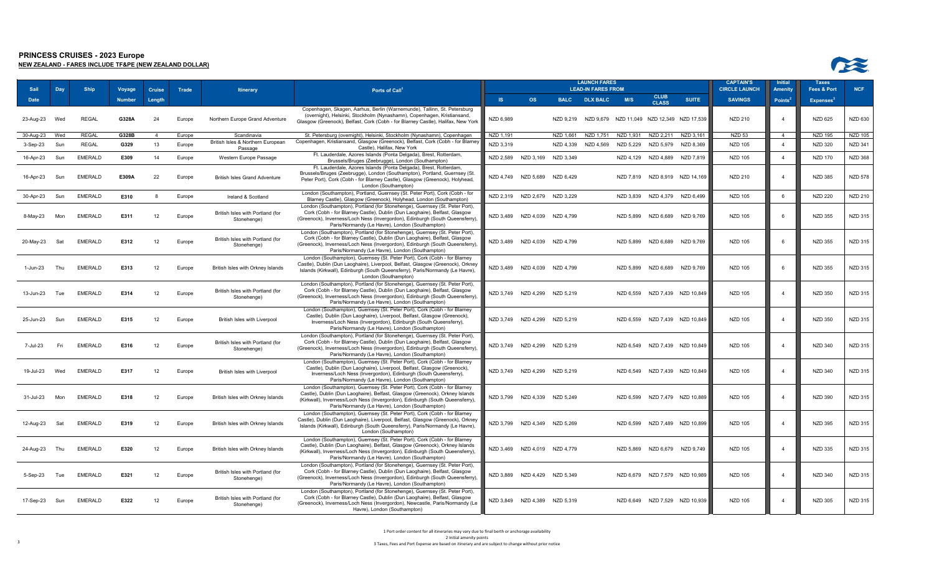| Sail        | Day | <b>Ship</b>    | Voyage | <b>Cruise</b>  | Trade  | <b>Itinerary</b>                                | Ports of Call <sup>1</sup>                                                                                                                                                                                                                                                                    |           |                               |             | <b>LAUNCH FARES</b><br><b>LEAD-IN FARES FROM</b> |           |                               |                                | <b>CAPTAIN'S</b><br><b>CIRCLE LAUNCH</b> | Initial<br>Amenity | <b>Taxes</b><br><b>Fees &amp; Port</b> | <b>NCF</b>     |
|-------------|-----|----------------|--------|----------------|--------|-------------------------------------------------|-----------------------------------------------------------------------------------------------------------------------------------------------------------------------------------------------------------------------------------------------------------------------------------------------|-----------|-------------------------------|-------------|--------------------------------------------------|-----------|-------------------------------|--------------------------------|------------------------------------------|--------------------|----------------------------------------|----------------|
| <b>Date</b> |     |                | Number | Length         |        |                                                 |                                                                                                                                                                                                                                                                                               | <b>IS</b> | <b>OS</b>                     | <b>BALC</b> | <b>DLX BALC</b>                                  | M/S       | <b>CLUB</b><br><b>CLASS</b>   | <b>SUITE</b>                   | <b>SAVINGS</b>                           | <b>Points</b>      | <b>Expenses</b> <sup>3</sup>           |                |
| 23-Aug-23   | Wed | <b>REGAL</b>   | G328A  | 24             | Europe | Northern Europe Grand Adventure                 | Copenhagen, Skagen, Aarhus, Berlin (Warnemunde), Tallinn, St. Petersburg<br>(overnight), Helsinki, Stockholm (Nynashamn), Copenhagen, Kristiansand,<br>Glasgow (Greenock), Belfast, Cork (Cobh - for Blarney Castle), Halifax, New York                                                       | NZD 6,989 |                               | NZD 9,219   | NZD 9,679 NZD 11,049 NZD 12,349 NZD 17,539       |           |                               |                                | <b>NZD 210</b>                           | $\overline{4}$     | <b>NZD 625</b>                         | NZD 630        |
| 30-Aug-23   | Wed | <b>REGAL</b>   | G328B  | $\overline{a}$ | Europe | Scandinavia                                     | St. Petersburg (overnight), Helsinki, Stockholm (Nynashamn), Copenhagen                                                                                                                                                                                                                       | NZD 1.191 |                               | NZD 1.661   | NZD 1.751                                        | NZD 1.931 | NZD 2.211                     | NZD 3.161                      | <b>NZD 53</b>                            | $\overline{a}$     | <b>NZD 195</b>                         | <b>NZD 105</b> |
| 3-Sep-23    | Sun | <b>REGAL</b>   | G329   | 13             | Europe | British Isles & Northern European<br>Passage    | Copenhagen, Kristiansand, Glasgow (Greenock), Belfast, Cork (Cobh - for Blarney<br>Castle), Halifax, New York                                                                                                                                                                                 | NZD 3,319 |                               | NZD 4,339   | NZD 4,569                                        | NZD 5,229 | NZD 5,979                     | NZD 8,369                      | <b>NZD 105</b>                           | $\overline{4}$     | <b>NZD 320</b>                         | <b>NZD 341</b> |
| 16-Apr-23   | Sun | <b>EMERALD</b> | E309   | 14             | Europe | Western Europe Passage                          | Ft. Lauderdale, Azores Islands (Ponta Delgada), Brest, Rotterdam,<br>Brussels/Bruges (Zeebrugge), London (Southampton)                                                                                                                                                                        |           | NZD 2,589 NZD 3,169           | NZD 3,349   |                                                  |           | NZD 4,129 NZD 4,889           | NZD 7,819                      | <b>NZD 105</b>                           | $\overline{4}$     | <b>NZD 170</b>                         | <b>NZD 368</b> |
| 16-Apr-23   | Sun | <b>EMERALD</b> | E309A  | 22             | Europe | <b>British Isles Grand Adventure</b>            | Ft. Lauderdale, Azores Islands (Ponta Delgada), Brest, Rotterdam,<br>Brussels/Bruges (Zeebrugge), London (Southampton), Portland, Guernsey (St.<br>Peter Port), Cork (Cobh - for Blarney Castle), Glasgow (Greenock), Holyhead,<br>London (Southampton)                                       |           | NZD 4,749 NZD 5,689           | NZD 6,429   |                                                  |           |                               | NZD 7,819 NZD 8,919 NZD 14,169 | <b>NZD 210</b>                           | $\overline{4}$     | <b>NZD 385</b>                         | <b>NZD 578</b> |
| 30-Apr-23   | Sun | <b>EMERALD</b> | E310   | 8              | Europe | Ireland & Scotland                              | London (Southampton), Portland, Guernsey (St. Peter Port), Cork (Cobh - for<br>Blarney Castle), Glasgow (Greenock), Holyhead, London (Southampton)                                                                                                                                            | NZD 2,319 | NZD 2.679                     | NZD 3.229   |                                                  | NZD 3.839 |                               | NZD 4,379 NZD 6,499            | <b>NZD 105</b>                           | 6                  | <b>NZD 220</b>                         | <b>NZD 210</b> |
| 8-May-23    | Mon | <b>EMERALD</b> | E311   | 12             | Europe | British Isles with Portland (for<br>Stonehenge) | London (Southampton), Portland (for Stonehenge), Guernsey (St. Peter Port),<br>Cork (Cobh - for Blarney Castle), Dublin (Dun Laoghaire), Belfast, Glasgow<br>(Greenock), Inverness/Loch Ness (Invergordon), Edinburgh (South Queensferry),<br>Paris/Normandy (Le Havre), London (Southampton) |           | NZD 3,489 NZD 4,039           | NZD 4,799   |                                                  | NZD 5.899 | NZD 6.689                     | NZD 9,769                      | <b>NZD 105</b>                           | 6                  | <b>NZD 355</b>                         | <b>NZD 315</b> |
| 20-May-23   | Sat | <b>EMERALD</b> | E312   | 12             | Europe | British Isles with Portland (for<br>Stonehenge) | London (Southampton), Portland (for Stonehenge), Guernsey (St. Peter Port),<br>Cork (Cobh - for Blarney Castle), Dublin (Dun Laoghaire), Belfast, Glasgow<br>(Greenock), Inverness/Loch Ness (Invergordon), Edinburgh (South Queensferry),<br>Paris/Normandy (Le Havre), London (Southampton) |           | NZD 3,489 NZD 4,039           | NZD 4,799   |                                                  |           | NZD 5,899 NZD 6,689 NZD 9,769 |                                | <b>NZD 105</b>                           | 6                  | <b>NZD 355</b>                         | <b>NZD 315</b> |
| 1-Jun-23    | Thu | <b>EMERALD</b> | E313   | 12             | Europe | British Isles with Orkney Islands               | London (Southampton), Guernsey (St. Peter Port), Cork (Cobh - for Blarney<br>Castle), Dublin (Dun Laoghaire), Liverpool, Belfast, Glasgow (Greenock), Orkney<br>Islands (Kirkwall), Edinburgh (South Queensferry), Paris/Normandy (Le Havre),<br>London (Southampton)                         | NZD 3,489 | NZD 4,039                     | NZD 4,799   |                                                  |           | NZD 5,899 NZD 6,689           | NZD 9,769                      | <b>NZD 105</b>                           | 6                  | <b>NZD 355</b>                         | <b>NZD 315</b> |
| 13-Jun-23   | Tue | <b>EMERALD</b> | E314   | 12             | Europe | British Isles with Portland (for<br>Stonehenge) | London (Southampton), Portland (for Stonehenge), Guernsey (St. Peter Port),<br>Cork (Cobh - for Blarney Castle), Dublin (Dun Laoghaire), Belfast, Glasgow<br>(Greenock), Inverness/Loch Ness (Invergordon), Edinburgh (South Queensferry),<br>Paris/Normandy (Le Havre), London (Southampton) |           | NZD 3,749 NZD 4,299 NZD 5,219 |             |                                                  |           |                               | NZD 6,559 NZD 7,439 NZD 10,849 | <b>NZD 105</b>                           | $\overline{4}$     | <b>NZD 350</b>                         | <b>NZD 315</b> |
| 25-Jun-23   | Sun | <b>EMERALD</b> | E315   | 12             | Europe | British Isles with Liverpool                    | London (Southampton), Guernsey (St. Peter Port), Cork (Cobh - for Blarney<br>Castle), Dublin (Dun Laoghaire), Liverpool, Belfast, Glasgow (Greenock),<br>Inverness/Loch Ness (Invergordon), Edinburgh (South Queensferry),<br>Paris/Normandy (Le Havre), London (Southampton)                 |           | NZD 3,749 NZD 4,299 NZD 5,219 |             |                                                  |           |                               | NZD 6,559 NZD 7,439 NZD 10,849 | <b>NZD 105</b>                           | $\overline{4}$     | <b>NZD 350</b>                         | <b>NZD 315</b> |
| 7-Jul-23    | Fri | <b>EMERALD</b> | E316   | 12             | Europe | British Isles with Portland (for<br>Stonehenge) | London (Southampton), Portland (for Stonehenge), Guernsey (St. Peter Port),<br>Cork (Cobh - for Blarney Castle), Dublin (Dun Laoghaire), Belfast, Glasgow<br>(Greenock), Inverness/Loch Ness (Invergordon), Edinburgh (South Queensferry).<br>Paris/Normandy (Le Havre), London (Southampton) |           | NZD 3,749 NZD 4,299           | NZD 5,219   |                                                  |           |                               | NZD 6,549 NZD 7,439 NZD 10,849 | <b>NZD 105</b>                           | $\overline{4}$     | <b>NZD 340</b>                         | NZD 315        |
| 19-Jul-23   | Wed | <b>EMERALD</b> | E317   | 12             | Europe | British Isles with Liverpool                    | London (Southampton), Guernsey (St. Peter Port), Cork (Cobh - for Blarney<br>Castle), Dublin (Dun Laoghaire), Liverpool, Belfast, Glasgow (Greenock),<br>Inverness/Loch Ness (Invergordon), Edinburgh (South Queensferry),<br>Paris/Normandy (Le Havre), London (Southampton)                 |           | NZD 3.749 NZD 4.299 NZD 5.219 |             |                                                  |           |                               | NZD 6,549 NZD 7,439 NZD 10,849 | <b>NZD 105</b>                           | $\overline{4}$     | <b>NZD 340</b>                         | NZD 315        |
| 31-Jul-23   | Mon | <b>EMERALD</b> | E318   | 12             | Europe | British Isles with Orkney Islands               | London (Southampton), Guernsey (St. Peter Port), Cork (Cobh - for Blarney<br>Castle), Dublin (Dun Laoghaire), Belfast, Glasgow (Greenock), Orkney Islands<br>(Kirkwall), Inverness/Loch Ness (Invergordon), Edinburgh (South Queensferry)<br>Paris/Normandy (Le Havre), London (Southampton)  |           | NZD 3,799 NZD 4,339 NZD 5,249 |             |                                                  |           |                               | NZD 6,599 NZD 7,479 NZD 10,889 | <b>NZD 105</b>                           | $\overline{4}$     | <b>NZD 390</b>                         | <b>NZD 315</b> |
| 12-Aug-23   | Sat | <b>EMERALD</b> | E319   | 12             | Europe | British Isles with Orkney Islands               | London (Southampton), Guernsey (St. Peter Port), Cork (Cobh - for Blarney<br>Castle), Dublin (Dun Laoghaire), Liverpool, Belfast, Glasgow (Greenock), Orkney<br>Islands (Kirkwall), Edinburgh (South Queensferry), Paris/Normandy (Le Havre),<br>London (Southampton)                         |           | NZD 3,799 NZD 4,349 NZD 5,269 |             |                                                  |           |                               | NZD 6,599 NZD 7,489 NZD 10,899 | <b>NZD 105</b>                           | $\overline{4}$     | <b>NZD 395</b>                         | <b>NZD 315</b> |
| 24-Aug-23   | Thu | <b>EMERALD</b> | E320   | 12             | Europe | British Isles with Orkney Islands               | London (Southampton), Guernsey (St. Peter Port), Cork (Cobh - for Blarney<br>Castle), Dublin (Dun Laoghaire), Belfast, Glasgow (Greenock), Orkney Islands<br>(Kirkwall), Inverness/Loch Ness (Invergordon), Edinburgh (South Queensferry)<br>Paris/Normandy (Le Havre), London (Southampton)  |           | NZD 3,469 NZD 4,019 NZD 4,779 |             |                                                  | NZD 5.869 |                               | NZD 6,679 NZD 9,749            | <b>NZD 105</b>                           | $\overline{4}$     | <b>NZD 335</b>                         | <b>NZD 315</b> |
| 5-Sep-23    | Tue | <b>EMERALD</b> | E321   | 12             | Europe | British Isles with Portland (for<br>Stonehenge) | London (Southampton), Portland (for Stonehenge), Guernsey (St. Peter Port),<br>Cork (Cobh - for Blarney Castle), Dublin (Dun Laoghaire), Belfast, Glasgow<br>(Greenock), Inverness/Loch Ness (Invergordon), Edinburgh (South Queensferry),<br>Paris/Normandy (Le Havre), London (Southampton) |           | NZD 3,889 NZD 4,429 NZD 5,349 |             |                                                  |           |                               | NZD 6,679 NZD 7,579 NZD 10,989 | <b>NZD 105</b>                           | $\overline{4}$     | <b>NZD 340</b>                         | NZD 315        |
| 17-Sep-23   | Sun | <b>EMERALD</b> | E322   | 12             | Europe | British Isles with Portland (for<br>Stonehenge) | London (Southampton), Portland (for Stonehenge), Guernsey (St. Peter Port),<br>Cork (Cobh - for Blarney Castle), Dublin (Dun Laoghaire), Belfast, Glasgow<br>(Greenock), Inverness/Loch Ness (Invergordon), Newcastle, Paris/Normandy (Le<br>Havre), London (Southampton)                     |           | NZD 3,849 NZD 4,389 NZD 5,319 |             |                                                  |           |                               | NZD 6,649 NZD 7,529 NZD 10,939 | <b>NZD 105</b>                           | $\overline{a}$     | <b>NZD 305</b>                         | NZD 315        |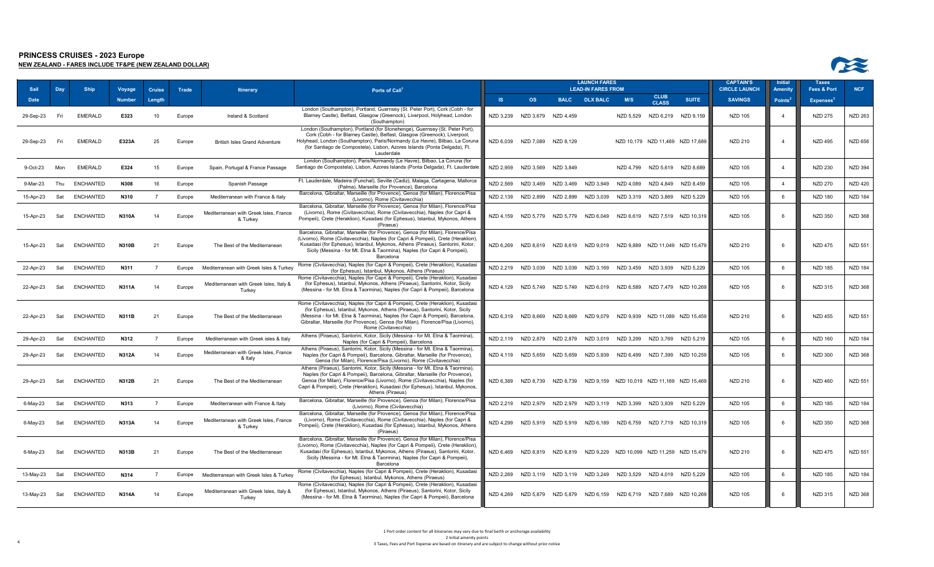

| -Sail     | Day | <b>Ship</b>      | Voyage        | <b>Cruise</b>  | Trade  | <b>Itinerary</b>                                   | Ports of Call <sup>1</sup>                                                                                                                                                                                                                                                                                                                                   |           |                               |                               | <b>LAUNCH FARES</b><br><b>LEAD-IN FARES FROM</b>                      |                                         |                             |                                                                          | <b>CAPTAIN'S</b><br><b>CIRCLE LAUNCH</b> | <b>Initial</b><br><b>Amenity</b> | <b>Taxes</b><br>Fees & Port | <b>NCF</b>     |
|-----------|-----|------------------|---------------|----------------|--------|----------------------------------------------------|--------------------------------------------------------------------------------------------------------------------------------------------------------------------------------------------------------------------------------------------------------------------------------------------------------------------------------------------------------------|-----------|-------------------------------|-------------------------------|-----------------------------------------------------------------------|-----------------------------------------|-----------------------------|--------------------------------------------------------------------------|------------------------------------------|----------------------------------|-----------------------------|----------------|
| Date      |     |                  | <b>Number</b> | Length         |        |                                                    |                                                                                                                                                                                                                                                                                                                                                              | S         | <b>OS</b>                     |                               | <b>BALC DLX BALC</b>                                                  | M/S                                     | <b>CLUB</b><br><b>CLASS</b> | <b>SUITE</b>                                                             | <b>SAVINGS</b>                           | Points <sup>2</sup>              | <b>Expenses</b>             |                |
| 29-Sep-23 | Fri | <b>EMERALD</b>   | E323          | 10             | Europe | Ireland & Scotland                                 | London (Southampton), Portland, Guernsey (St. Peter Port), Cork (Cobh - for<br>Blarney Castle), Belfast, Glasgow (Greenock), Liverpool, Holyhead, London<br>(Southampton)                                                                                                                                                                                    |           | NZD 3,239 NZD 3,679 NZD 4,459 |                               |                                                                       | NZD 5,529                               | NZD 6,219                   | NZD 9,159                                                                | <b>NZD 105</b>                           | $\overline{4}$                   | <b>NZD 275</b>              | <b>NZD 263</b> |
| 29-Sep-23 | Fri | <b>EMERALD</b>   | E323A         | 25             | Europe | <b>British Isles Grand Adventure</b>               | London (Southampton), Portland (for Stonehenge), Guernsey (St. Peter Port),<br>Cork (Cobh - for Blarney Castle), Belfast, Glasgow (Greenock), Liverpool,<br>Holyhead, London (Southampton), Paris/Normandy (Le Havre), Bilbao, La Coruna<br>(for Santiago de Compostela), Lisbon, Azores Islands (Ponta Delgada), Ft.<br>Lauderdale                          |           | NZD 6,039 NZD 7,089 NZD 8,129 |                               |                                                                       |                                         |                             | NZD 10,179 NZD 11,469 NZD 17,689                                         | NZD 210                                  | $\overline{4}$                   | <b>NZD 495</b>              | <b>NZD 656</b> |
| 9-Oct-23  | Mon | <b>EMERALD</b>   | E324          | 15             | Europe | Spain, Portugal & France Passage                   | London (Southampton), Paris/Normandy (Le Havre), Bilbao, La Coruna (for<br>Santiago de Compostela), Lisbon, Azores Islands (Ponta Delgada), Ft. Lauderdale                                                                                                                                                                                                   |           | NZD 2,959 NZD 3,569           | NZD 3,849                     |                                                                       | NZD 4.799                               | NZD 5,619                   | NZD 8,689                                                                | NZD 105                                  | $\Delta$                         | <b>NZD 230</b>              | <b>NZD 394</b> |
| 9-Mar-23  | Thu | <b>ENCHANTED</b> | N308          | 16             | Europe | Spanish Passage                                    | Ft. Lauderdale, Madeira (Funchal), Seville (Cadiz), Malaga, Cartagena, Mallorca<br>(Palma), Marseille (for Provence), Barcelona                                                                                                                                                                                                                              | NZD 2.569 | NZD 3.469                     | NZD 3,469                     | NZD 3,949                                                             | NZD 4.089                               | NZD 4.849                   | NZD 8,459                                                                | <b>NZD 105</b>                           | $\overline{4}$                   | <b>NZD 270</b>              | <b>NZD 420</b> |
| 15-Apr-23 | Sat | <b>ENCHANTED</b> | N310          | $\overline{7}$ | Europe | Mediterranean with France & Italy                  | Barcelona, Gibraltar, Marseille (for Provence), Genoa (for Milan), Florence/Pisa<br>(Livorno), Rome (Civitavecchia)                                                                                                                                                                                                                                          | NZD 2,139 | NZD 2.899                     | NZD 2,899                     | NZD 3,039                                                             | NZD 3.319                               | NZD 3.869                   | NZD 5.229                                                                | <b>NZD 105</b>                           | 6                                | <b>NZD 180</b>              | <b>NZD 184</b> |
| 15-Apr-23 | Sat | <b>ENCHANTED</b> | <b>N310A</b>  | 14             | Europe | Mediterranean with Greek Isles, France<br>& Turkey | Barcelona, Gibraltar, Marseille (for Provence), Genoa (for Milan), Florence/Pisa<br>(Livorno), Rome (Civitavecchia), Rome (Civitavecchia), Naples (for Capri &<br>Pompeii), Crete (Heraklion), Kusadasi (for Ephesus), Istanbul, Mykonos, Athens<br>(Piraeus)                                                                                                |           |                               | NZD 4.159 NZD 5.779 NZD 5.779 | NZD 6.049                                                             |                                         |                             | NZD 6.619 NZD 7.519 NZD 10.319                                           | NZD 105                                  | - 6                              | <b>NZD 350</b>              | <b>NZD 368</b> |
| 15-Apr-23 | Sat | <b>ENCHANTED</b> | <b>N310B</b>  | 21             | Europe | The Best of the Mediterranean                      | Barcelona, Gibraltar, Marseille (for Provence), Genoa (for Milan), Florence/Pisa<br>(Livorno), Rome (Civitavecchia), Naples (for Capri & Pompeii), Crete (Heraklion),<br>Kusadasi (for Ephesus), Istanbul, Mykonos, Athens (Piraeus), Santorini, Kotor,<br>Sicily (Messina - for Mt. Etna & Taormina), Naples (for Capri & Pompeii),<br>Barcelona            |           |                               |                               |                                                                       |                                         |                             | NZD 6,269 NZD 8,619 NZD 8,619 NZD 9,019 NZD 9,889 NZD 11,049 NZD 15,479  | NZD 210                                  | 6                                | <b>NZD 475</b>              | <b>NZD 551</b> |
| 22-Apr-23 | Sat | <b>ENCHANTED</b> | N311          | $\overline{7}$ | Europe | Mediterranean with Greek Isles & Turkey            | Rome (Civitavecchia), Naples (for Capri & Pompeii), Crete (Heraklion), Kusadasi<br>(for Ephesus), Istanbul, Mykonos, Athens (Piraeus)                                                                                                                                                                                                                        |           | NZD 2.219 NZD 3.039           | NZD 3.039                     |                                                                       | NZD 3.169 NZD 3.459 NZD 3.939 NZD 5.229 |                             |                                                                          | NZD 105                                  | 6                                | <b>NZD 185</b>              | <b>NZD 184</b> |
| 22-Apr-23 | Sat | <b>ENCHANTED</b> | N311A         | 14             | Europe | Mediterranean with Greek Isles, Italy &<br>Turkey  | Rome (Civitavecchia), Naples (for Capri & Pompeii), Crete (Heraklion), Kusadasi<br>(for Ephesus), Istanbul, Mykonos, Athens (Piraeus), Santorini, Kotor, Sicily<br>(Messina - for Mt. Etna & Taormina), Naples (for Capri & Pompeii), Barcelona                                                                                                              |           | NZD 4,129 NZD 5,749           | NZD 5,749                     | NZD 6,019                                                             | NZD 6,589                               |                             | NZD 7,479 NZD 10,269                                                     | NZD 105                                  | 6                                | <b>NZD 315</b>              | <b>NZD 368</b> |
| 22-Apr-23 | Sat | <b>ENCHANTED</b> | <b>N311B</b>  | 21             | Europe | The Best of the Mediterranean                      | Rome (Civitavecchia), Naples (for Capri & Pompeii), Crete (Heraklion), Kusadasi<br>(for Ephesus), Istanbul, Mykonos, Athens (Piraeus), Santorini, Kotor, Sicily<br>(Messina - for Mt. Etna & Taormina), Naples (for Capri & Pompeii), Barcelona,<br>Gibraltar, Marseille (for Provence), Genoa (for Milan), Florence/Pisa (Livorno),<br>Rome (Civitavecchia) |           | NZD 6.319 NZD 8.669           | NZD 8.669                     | NZD 9,079                                                             |                                         |                             | NZD 9,939 NZD 11,089 NZD 15,459                                          | NZD 210                                  | 6                                | NZD 455                     | <b>NZD 551</b> |
| 29-Apr-23 | Sat | ENCHANTED        | N312          | $\overline{7}$ | Europe | Mediterranean with Greek isles & Italy             | Athens (Piraeus), Santorini, Kotor, Sicily (Messina - for Mt. Etna & Taormina),<br>Naples (for Capri & Pompeii), Barcelona                                                                                                                                                                                                                                   |           |                               | NZD 2.119 NZD 2.879 NZD 2.879 |                                                                       | NZD 3,019 NZD 3,299 NZD 3,769 NZD 5,219 |                             |                                                                          | NZD 105                                  | 6                                | <b>NZD 160</b>              | <b>NZD 184</b> |
| 29-Apr-23 | Sat | <b>ENCHANTED</b> | <b>N312A</b>  | 14             | Europe | Mediterranean with Greek Isles, France<br>& Italv  | Athens (Piraeus), Santorini, Kotor, Sicily (Messina - for Mt. Etna & Taormina)<br>Naples (for Capri & Pompeii), Barcelona, Gibraltar, Marseille (for Provence),<br>Genoa (for Milan), Florence/Pisa (Livorno), Rome (Civitavecchia)                                                                                                                          |           | NZD 4,119 NZD 5,659           | NZD 5,659                     | NZD 5,939                                                             | NZD 6,499                               |                             | NZD 7,399 NZD 10,259                                                     | <b>NZD 105</b>                           | 6                                | <b>NZD 300</b>              | <b>NZD 368</b> |
| 29-Apr-23 | Sat | <b>ENCHANTED</b> | <b>N312B</b>  | 21             | Europe | The Best of the Mediterranean                      | Athens (Piraeus), Santorini, Kotor, Sicily (Messina - for Mt. Etna & Taormina),<br>Naples (for Capri & Pompeii), Barcelona, Gibraltar, Marseille (for Provence),<br>Genoa (for Milan), Florence/Pisa (Livorno), Rome (Civitavecchia), Naples (for<br>Capri & Pompeii), Crete (Heraklion), Kusadasi (for Ephesus), Istanbul, Mykonos,<br>Athens (Piraeus)     | NZD 6.389 | NZD 8.739                     | NZD 8.739                     |                                                                       |                                         |                             | NZD 9.159 NZD 10.019 NZD 11.169 NZD 15.469                               | NZD 210                                  | -6                               | <b>NZD 460</b>              | <b>NZD 551</b> |
| 6-May-23  | Sat | <b>ENCHANTED</b> | N313          | $\overline{7}$ | Europe | Mediterranean with France & Italy                  | Barcelona, Gibraltar, Marseille (for Provence), Genoa (for Milan), Florence/Pisa<br>(Livorno), Rome (Civitavecchia)                                                                                                                                                                                                                                          |           | NZD 2,219 NZD 2,979           | NZD 2,979                     |                                                                       | NZD 3,119 NZD 3,399                     | NZD 3,939                   | NZD 5,229                                                                | <b>NZD 105</b>                           | 6                                | <b>NZD 185</b>              | <b>NZD 184</b> |
| 6-May-23  | Sat | <b>ENCHANTED</b> | <b>N313A</b>  | 14             | Europe | Mediterranean with Greek Isles, France<br>& Turkey | Barcelona, Gibraltar, Marseille (for Provence), Genoa (for Milan), Florence/Pisa<br>(Livorno), Rome (Civitavecchia), Rome (Civitavecchia), Naples (for Capri &<br>Pompeii), Crete (Heraklion), Kusadasi (for Ephesus), Istanbul, Mykonos, Athens<br>(Piraeus)                                                                                                |           |                               |                               | NZD 4.299 NZD 5.919 NZD 5.919 NZD 6.189 NZD 6.759                     |                                         |                             | NZD 7.719 NZD 10.319                                                     | NZD 105                                  | - 6                              | <b>NZD 350</b>              | NZD 368        |
| 6-May-23  | Sat | <b>ENCHANTED</b> | N313B         | 21             | Europe | The Best of the Mediterranean                      | Barcelona, Gibraltar, Marseille (for Provence), Genoa (for Milan), Florence/Pisa<br>(Livorno), Rome (Civitavecchia), Naples (for Capri & Pompeii), Crete (Heraklion),<br>Kusadasi (for Ephesus), Istanbul, Mykonos, Athens (Piraeus), Santorini, Kotor,<br>Sicily (Messina - for Mt. Etna & Taormina), Naples (for Capri & Pompeii),<br>Barcelona            |           |                               |                               |                                                                       |                                         |                             | NZD 6.469 NZD 8.819 NZD 8.819 NZD 9.229 NZD 10.099 NZD 11.259 NZD 15.479 | NZD 210                                  | 6                                | <b>NZD 475</b>              | <b>NZD 551</b> |
| 13-May-23 | Sat | <b>ENCHANTED</b> | N314          | $\overline{7}$ | Europe | Mediterranean with Greek Isles & Turkey            | Rome (Civitavecchia), Naples (for Capri & Pompeii), Crete (Heraklion), Kusadasi<br>(for Ephesus), Istanbul, Mykonos, Athens (Piraeus)                                                                                                                                                                                                                        |           |                               |                               | NZD 2.269 NZD 3.119 NZD 3.119 NZD 3.249 NZD 3.529 NZD 4.019 NZD 5.229 |                                         |                             |                                                                          | NZD 105                                  | 6                                | <b>NZD 185</b>              | <b>NZD 184</b> |
| 13-May-23 | Sat | <b>ENCHANTED</b> | <b>N314A</b>  | 14             | Europe | Mediterranean with Greek Isles, Italy &<br>Turkey  | Rome (Civitavecchia), Naples (for Capri & Pompeii), Crete (Heraklion), Kusadasi<br>(for Ephesus), Istanbul, Mykonos, Athens (Piraeus), Santorini, Kotor, Sicily<br>(Messina - for Mt. Etna & Taormina), Naples (for Capri & Pompeii), Barcelona                                                                                                              |           |                               |                               |                                                                       |                                         |                             | NZD 4,269 NZD 5,879 NZD 5,879 NZD 6,159 NZD 6,719 NZD 7,689 NZD 10,269   | NZD 105                                  | 6                                | NZD 315                     | <b>NZD 368</b> |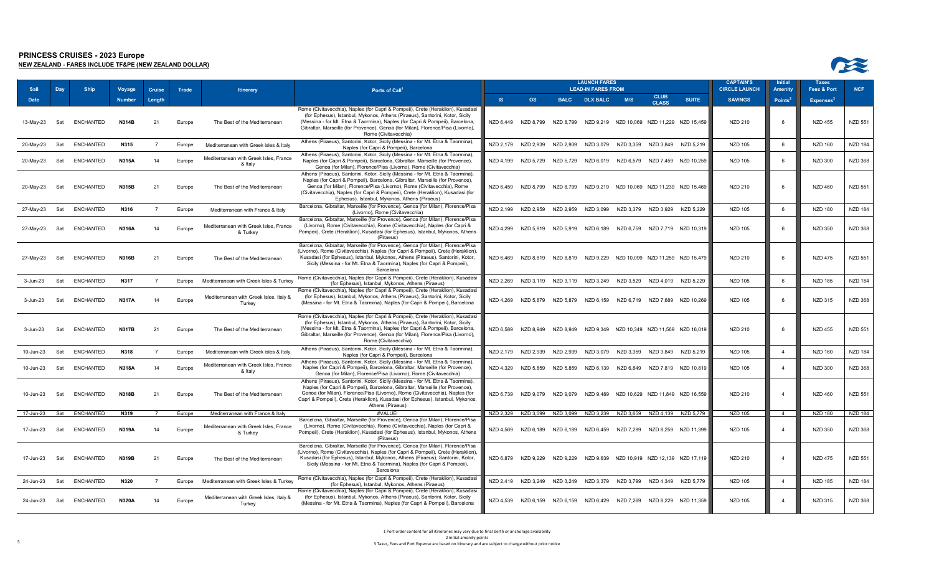



| Sail         | Day | <b>Ship</b>      | Voyage        | <b>Cruise</b>  | Trade  | <b>Itinerary</b>                                   | Ports of Call <sup>1</sup>                                                                                                                                                                                                                                                                                                                                                     |                 |                               |           | <b>LAUNCH FARES</b><br><b>LEAD-IN FARES FROM</b>                      |           |                               |                                            | <b>CAPTAIN'S</b><br><b>CIRCLE LAUNCH</b> | <b>Initia</b><br><b>Amenity</b> | <b>Taxes</b><br>Fees & Port  | <b>NCF</b>     |
|--------------|-----|------------------|---------------|----------------|--------|----------------------------------------------------|--------------------------------------------------------------------------------------------------------------------------------------------------------------------------------------------------------------------------------------------------------------------------------------------------------------------------------------------------------------------------------|-----------------|-------------------------------|-----------|-----------------------------------------------------------------------|-----------|-------------------------------|--------------------------------------------|------------------------------------------|---------------------------------|------------------------------|----------------|
| Date         |     |                  | <b>Number</b> | Length         |        |                                                    |                                                                                                                                                                                                                                                                                                                                                                                | $\overline{18}$ | <b>OS</b>                     |           | BALC DLX BALC                                                         | M/S       | <b>CLUB</b><br><b>CLASS</b>   | <b>SUITE</b>                               | <b>SAVINGS</b>                           | Points <sup>2</sup>             | <b>Expenses</b> <sup>3</sup> |                |
| 13-May-23    | Sat | <b>ENCHANTED</b> | N314B         | 21             | Europe | The Best of the Mediterranean                      | Rome (Civitavecchia), Naples (for Capri & Pompeii), Crete (Heraklion), Kusadasi<br>(for Ephesus), Istanbul, Mykonos, Athens (Piraeus), Santorini, Kotor, Sicily<br>(Messina - for Mt. Etna & Taormina), Naples (for Capri & Pompeii), Barcelona,<br>Gibraltar, Marseille (for Provence), Genoa (for Milan), Florence/Pisa (Livorno),<br>Rome (Civitavecchia)                   | NZD 6,449       | NZD 8,799                     | NZD 8.799 |                                                                       |           |                               | NZD 9,219 NZD 10,069 NZD 11,229 NZD 15,459 | NZD 210                                  | - 6                             | <b>NZD 455</b>               | <b>NZD 551</b> |
| 20-May-23    | Sat | <b>ENCHANTED</b> | N315          |                | Europe | Mediterranean with Greek isles & Italy             | Athens (Piraeus), Santorini, Kotor, Sicily (Messina - for Mt. Etna & Taormina),<br>Naples (for Capri & Pompeii), Barcelona                                                                                                                                                                                                                                                     |                 | NZD 2.179 NZD 2.939           | NZD 2.939 | NZD 3.079                                                             | NZD 3.359 | NZD 3.849                     | NZD 5.219                                  | <b>NZD 105</b>                           | 6                               | <b>NZD 160</b>               | <b>NZD 184</b> |
| 20-May-23    | Sat | <b>ENCHANTED</b> | <b>N315A</b>  | 14             | Europe | Mediterranean with Greek Isles, France<br>& Italy  | Athens (Piraeus), Santorini, Kotor, Sicily (Messina - for Mt. Etna & Taormina),<br>Naples (for Capri & Pompeii), Barcelona, Gibraltar, Marseille (for Provence),<br>Genoa (for Milan), Florence/Pisa (Livorno), Rome (Civitavecchia)                                                                                                                                           |                 | NZD 4,199 NZD 5,729           | NZD 5,729 | NZD 6.019 NZD 6.579                                                   |           |                               | NZD 7.459 NZD 10.259                       | <b>NZD 105</b>                           | <b>6</b>                        | NZD 300                      | <b>NZD 368</b> |
| 20-May-23    | Sat | <b>ENCHANTED</b> | <b>N315B</b>  | 21             | Europe | The Best of the Mediterranean                      | Athens (Piraeus), Santorini, Kotor, Sicily (Messina - for Mt. Etna & Taormina),<br>Naples (for Capri & Pompeii), Barcelona, Gibraltar, Marseille (for Provence),<br>Genoa (for Milan), Florence/Pisa (Livorno), Rome (Civitavecchia), Rome<br>(Civitavecchia), Naples (for Capri & Pompeii), Crete (Heraklion), Kusadasi (for<br>Ephesus), Istanbul, Mykonos, Athens (Piraeus) |                 | NZD 6.459 NZD 8.799           | NZD 8.799 |                                                                       |           |                               | NZD 9.219 NZD 10.069 NZD 11.239 NZD 15.469 | <b>NZD 210</b>                           | - 6                             | <b>NZD 460</b>               | <b>NZD 551</b> |
| 27-May-23    | Sat | <b>ENCHANTED</b> | N316          | $\overline{7}$ | Europe | Mediterranean with France & Italy                  | Barcelona, Gibraltar, Marseille (for Provence), Genoa (for Milan), Florence/Pisa<br>(Livorno), Rome (Civitavecchia)                                                                                                                                                                                                                                                            |                 | NZD 2,199 NZD 2,959           | NZD 2,959 | NZD 3,099                                                             |           | NZD 3,379 NZD 3,929 NZD 5,229 |                                            | <b>NZD 105</b>                           | 6                               | <b>NZD 180</b>               | <b>NZD 184</b> |
| 27-May-23    | Sat | ENCHANTED        | <b>N316A</b>  | 14             | Europe | Mediterranean with Greek Isles, France<br>& Turkey | Barcelona, Gibraltar, Marseille (for Provence), Genoa (for Milan), Florence/Pisa<br>(Livorno), Rome (Civitavecchia), Rome (Civitavecchia), Naples (for Capri &<br>Pompeii), Crete (Heraklion), Kusadasi (for Ephesus), Istanbul, Mykonos, Athens<br>(Piraeus)                                                                                                                  |                 | NZD 4.299 NZD 5.919           | NZD 5,919 | NZD 6,189                                                             | NZD 6.759 |                               | NZD 7.719 NZD 10.319                       | NZD 105                                  | - 6                             | <b>NZD 350</b>               | <b>NZD 368</b> |
| 27-May-23    | Sat | ENCHANTED        | <b>N316B</b>  | 21             | Europe | The Best of the Mediterranean                      | Barcelona, Gibraltar, Marseille (for Provence), Genoa (for Milan), Florence/Pisa<br>(Livorno), Rome (Civitavecchia), Naples (for Capri & Pompeii), Crete (Heraklion),<br>Kusadasi (for Ephesus), Istanbul, Mykonos, Athens (Piraeus), Santorini, Kotor,<br>Sicily (Messina - for Mt. Etna & Taormina), Naples (for Capri & Pompeii),<br>Barcelona                              |                 | NZD 6,469 NZD 8,819 NZD 8,819 |           |                                                                       |           |                               | NZD 9,229 NZD 10,099 NZD 11,259 NZD 15,479 | <b>NZD 210</b>                           | 6                               | <b>NZD 475</b>               | <b>NZD 551</b> |
| 3-Jun-23     | Sat | <b>ENCHANTED</b> | N317          | $\overline{7}$ | Europe | Mediterranean with Greek Isles & Turkey            | Rome (Civitavecchia), Naples (for Capri & Pompeii), Crete (Heraklion), Kusadasi<br>(for Ephesus), Istanbul, Mykonos, Athens (Piraeus)                                                                                                                                                                                                                                          |                 |                               |           | NZD 2.269 NZD 3.119 NZD 3.119 NZD 3.249 NZD 3.529 NZD 4.019 NZD 5.229 |           |                               |                                            | <b>NZD 105</b>                           | 6                               | <b>NZD 185</b>               | <b>NZD 184</b> |
| 3-Jun-23     | Sat | <b>ENCHANTED</b> | <b>N317A</b>  | 14             | Europe | Mediterranean with Greek Isles, Italy &<br>Turkey  | Rome (Civitavecchia), Naples (for Capri & Pompeii), Crete (Heraklion), Kusadasi<br>(for Ephesus), Istanbul, Mykonos, Athens (Piraeus), Santorini, Kotor, Sicily<br>(Messina - for Mt. Etna & Taormina), Naples (for Capri & Pompeii), Barcelona                                                                                                                                |                 | NZD 4,269 NZD 5,879 NZD 5,879 |           | NZD 6,159                                                             |           |                               | NZD 6,719 NZD 7,689 NZD 10,269             | <b>NZD 105</b>                           | -6                              | <b>NZD 315</b>               | <b>NZD 368</b> |
| $3 - Jun-23$ | Sat | <b>ENCHANTED</b> | <b>N317B</b>  | 21             | Europe | The Best of the Mediterranean                      | Rome (Civitavecchia), Naples (for Capri & Pompeii), Crete (Heraklion), Kusadasi<br>(for Ephesus), Istanbul, Mykonos, Athens (Piraeus), Santorini, Kotor, Sicily<br>(Messina - for Mt. Etna & Taormina), Naples (for Capri & Pompeii), Barcelona,<br>Gibraltar, Marseille (for Provence), Genoa (for Milan), Florence/Pisa (Livorno),<br>Rome (Civitavecchia)                   |                 | NZD 6.589 NZD 8.949 NZD 8.949 |           |                                                                       |           |                               | NZD 9.349 NZD 10.349 NZD 11.569 NZD 16.019 | <b>NZD 210</b>                           | 6                               | <b>NZD 455</b>               | <b>NZD 551</b> |
| 10-Jun-23    | Sat | <b>ENCHANTED</b> | N318          | $\overline{7}$ | Europe | Mediterranean with Greek isles & Italy             | Athens (Piraeus), Santorini, Kotor, Sicily (Messina - for Mt. Etna & Taormina),<br>Naples (for Capri & Pompeii), Barcelona                                                                                                                                                                                                                                                     |                 | NZD 2,179 NZD 2,939           | NZD 2,939 | NZD 3,079                                                             |           | NZD 3,359 NZD 3,849 NZD 5,219 |                                            | <b>NZD 105</b>                           | $\overline{4}$                  | <b>NZD 160</b>               | <b>NZD 184</b> |
| 10-Jun-23    | Sat | ENCHANTED        | <b>N318A</b>  | 14             | Europe | Mediterranean with Greek Isles, France<br>& Italy  | Athens (Piraeus), Santorini, Kotor, Sicily (Messina - for Mt. Etna & Taormina),<br>Naples (for Capri & Pompeii), Barcelona, Gibraltar, Marseille (for Provence),<br>Genoa (for Milan), Florence/Pisa (Livorno), Rome (Civitavecchia)                                                                                                                                           | NZD 4,329       | NZD 5,859                     | NZD 5,859 | NZD 6,139                                                             | NZD 6,849 |                               | NZD 7,819 NZD 10,819                       | <b>NZD 105</b>                           | $\Delta$                        | <b>NZD 300</b>               | <b>NZD 368</b> |
| 10-Jun-23    | Sat | <b>ENCHANTED</b> | <b>N318B</b>  | 21             | Europe | The Best of the Mediterranean                      | Athens (Piraeus), Santorini, Kotor, Sicily (Messina - for Mt. Etna & Taormina),<br>Naples (for Capri & Pompeii), Barcelona, Gibraltar, Marseille (for Provence),<br>Genoa (for Milan), Florence/Pisa (Livorno), Rome (Civitavecchia), Naples (for<br>Capri & Pompeii), Crete (Heraklion), Kusadasi (for Ephesus), Istanbul, Mykonos,<br>Athens (Piraeus)                       | NZD 6.739       | NZD 9.079                     | NZD 9.079 |                                                                       |           |                               | NZD 9,489 NZD 10,629 NZD 11,849 NZD 16,559 | <b>NZD 210</b>                           | $\overline{4}$                  | <b>NZD 460</b>               | <b>NZD 551</b> |
| 17-Jun-23    | Sat | <b>ENCHANTED</b> | N319          |                | Europe | Mediterranean with France & Italy                  | #VALUE!                                                                                                                                                                                                                                                                                                                                                                        | NZD 2,329       | NZD 3,099                     | NZD 3,099 | NZD 3,239                                                             | NZD 3,659 | NZD 4,139                     | NZD 5.779                                  | <b>NZD 105</b>                           | $\overline{4}$                  | <b>NZD 180</b>               | <b>NZD 184</b> |
| 17-Jun-23    | Sat | <b>ENCHANTED</b> | <b>N319A</b>  | 14             | Europe | Mediterranean with Greek Isles, France<br>& Turkey | Barcelona, Gibraltar, Marseille (for Provence), Genoa (for Milan), Florence/Pisa<br>(Livorno), Rome (Civitavecchia), Rome (Civitavecchia), Naples (for Capri &<br>Pompeii), Crete (Heraklion), Kusadasi (for Ephesus), Istanbul, Mykonos, Athens<br>(Piraeus)                                                                                                                  | NZD 4,569       | NZD 6,189 NZD 6,189           |           | NZD 6,459                                                             |           |                               | NZD 7,299 NZD 8,259 NZD 11,399             | NZD 105                                  | $\overline{4}$                  | <b>NZD 350</b>               | <b>NZD 368</b> |
| 17-Jun-23    | Sat | <b>ENCHANTED</b> | <b>N319B</b>  | 21             | Europe | The Best of the Mediterranean                      | Barcelona, Gibraltar, Marseille (for Provence), Genoa (for Milan), Florence/Pisa<br>(Livorno), Rome (Civitavecchia), Naples (for Capri & Pompeii), Crete (Heraklion),<br>Kusadasi (for Ephesus), Istanbul, Mykonos, Athens (Piraeus), Santorini, Kotor,<br>Sicily (Messina - for Mt. Etna & Taormina), Naples (for Capri & Pompeii),<br>Barcelona                              |                 | NZD 6,879 NZD 9,229 NZD 9,229 |           |                                                                       |           |                               | NZD 9,639 NZD 10,919 NZD 12,139 NZD 17,119 | <b>NZD 210</b>                           | $\overline{4}$                  | <b>NZD 475</b>               | <b>NZD 551</b> |
| 24-Jun-23    | Sat | <b>ENCHANTED</b> | N320          | $\overline{7}$ | Europe | Mediterranean with Greek Isles & Turkey            | Rome (Civitavecchia), Naples (for Capri & Pompeii), Crete (Heraklion), Kusadasi<br>(for Ephesus), Istanbul, Mykonos, Athens (Piraeus)                                                                                                                                                                                                                                          |                 |                               |           | NZD 2.419 NZD 3.249 NZD 3.249 NZD 3.379 NZD 3.799 NZD 4.349 NZD 5.779 |           |                               |                                            | <b>NZD 105</b>                           | $\overline{4}$                  | <b>NZD 185</b>               | <b>NZD 184</b> |
| 24-Jun-23    | Sat | <b>ENCHANTED</b> | <b>N320A</b>  | 14             | Europe | Mediterranean with Greek Isles, Italy &<br>Turkey  | Rome (Civitavecchia), Naples (for Capri & Pompeii), Crete (Heraklion), Kusadasi<br>(for Ephesus), Istanbul, Mykonos, Athens (Piraeus), Santorini, Kotor, Sicily<br>(Messina - for Mt. Etna & Taormina), Naples (for Capri & Pompeii), Barcelona                                                                                                                                |                 |                               |           | NZD 4,539 NZD 6,159 NZD 6,159 NZD 6,429 NZD 7,269                     |           |                               | NZD 8,229 NZD 11,359                       | <b>NZD 105</b>                           | $\overline{4}$                  | NZD 315                      | <b>NZD 368</b> |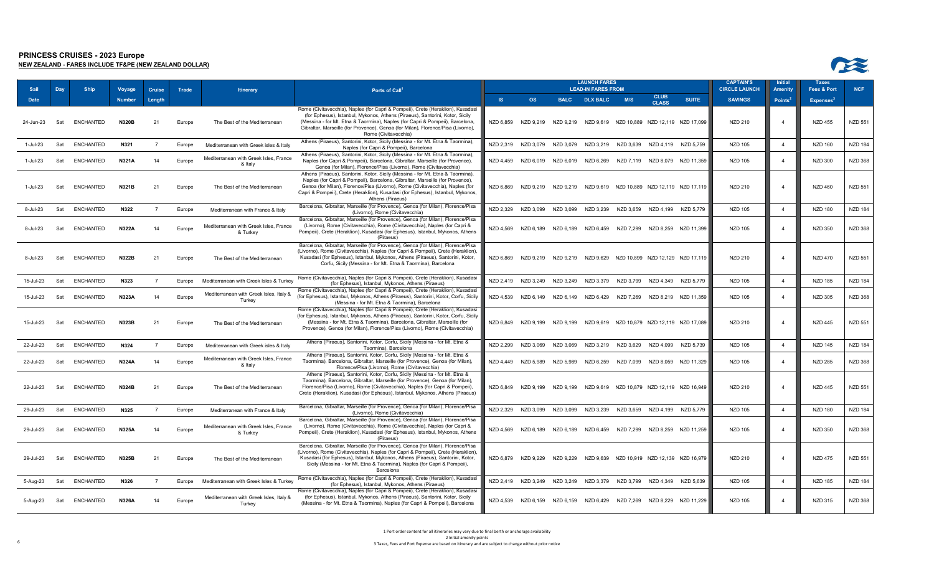



| <b>Sail</b>  | Day | <b>Ship</b>      | Voyage        | Cruise         | Trade  | <b>Itinerary</b>                                   | Ports of Call <sup>1</sup>                                                                                                                                                                                                                                                                                                                                   |           |                               |           | <b>LAUNCH FARES</b><br><b>LEAD-IN FARES FROM</b>                         |                               |                             |                                            | <b>CAPTAIN'S</b><br><b>CIRCLE LAUNCH</b> | <b>Initial</b><br><b>Amenity</b> | <b>Taxes</b><br><b>Fees &amp; Port</b> | <b>NCF</b>     |
|--------------|-----|------------------|---------------|----------------|--------|----------------------------------------------------|--------------------------------------------------------------------------------------------------------------------------------------------------------------------------------------------------------------------------------------------------------------------------------------------------------------------------------------------------------------|-----------|-------------------------------|-----------|--------------------------------------------------------------------------|-------------------------------|-----------------------------|--------------------------------------------|------------------------------------------|----------------------------------|----------------------------------------|----------------|
| Date         |     |                  | <b>Number</b> | Length         |        |                                                    |                                                                                                                                                                                                                                                                                                                                                              | <b>IS</b> | <b>OS</b>                     |           | <b>BALC DLX BALC</b>                                                     | M/S                           | <b>CLUB</b><br><b>CLASS</b> | <b>SUITE</b>                               | <b>SAVINGS</b>                           | Points <sup>2</sup>              | <b>Expenses</b> <sup>3</sup>           |                |
| 24-Jun-23    | Sat | <b>ENCHANTED</b> | <b>N320B</b>  | 21             | Europe | The Best of the Mediterranean                      | Rome (Civitavecchia), Naples (for Capri & Pompeii), Crete (Heraklion), Kusadasi<br>(for Ephesus), Istanbul, Mykonos, Athens (Piraeus), Santorini, Kotor, Sicily<br>(Messina - for Mt. Etna & Taormina), Naples (for Capri & Pompeii), Barcelona,<br>Gibraltar, Marseille (for Provence), Genoa (for Milan), Florence/Pisa (Livorno),<br>Rome (Civitavecchia) | NZD 6,859 |                               |           | NZD 9,219 NZD 9,219 NZD 9,619 NZD 10,889 NZD 12,119 NZD 17,099           |                               |                             |                                            | <b>NZD 210</b>                           | $\boldsymbol{\Lambda}$           | <b>NZD 455</b>                         | <b>NZD 551</b> |
| 1-Jul-23     | Sat | <b>ENCHANTED</b> | N321          |                | Europe | Mediterranean with Greek isles & Italy             | Athens (Piraeus), Santorini, Kotor, Sicily (Messina - for Mt. Etna & Taormina),<br>Naples (for Capri & Pompeii), Barcelona                                                                                                                                                                                                                                   | NZD 2,319 | NZD 3,079                     | NZD 3,079 | NZD 3,219                                                                | NZD 3,639                     | NZD 4,119 NZD 5,759         |                                            | <b>NZD 105</b>                           | $\overline{4}$                   | <b>NZD 160</b>                         | <b>NZD 184</b> |
| 1-Jul-23     | Sat | <b>ENCHANTED</b> | <b>N321A</b>  | 14             | Europe | Mediterranean with Greek Isles, France<br>& Italy  | Athens (Piraeus), Santorini, Kotor, Sicily (Messina - for Mt. Etna & Taormina),<br>Naples (for Capri & Pompeii), Barcelona, Gibraltar, Marseille (for Provence),<br>Genoa (for Milan), Florence/Pisa (Livorno), Rome (Civitavecchia)                                                                                                                         |           |                               |           | NZD 4.459 NZD 6.019 NZD 6.019 NZD 6.269                                  |                               |                             | NZD 7.119 NZD 8.079 NZD 11.359             | NZD 105                                  |                                  | <b>NZD 300</b>                         | <b>NZD 368</b> |
| $1 -$ Jul-23 | Sat | <b>ENCHANTED</b> | N321B         | 21             | Europe | The Best of the Mediterranean                      | Athens (Piraeus), Santorini, Kotor, Sicily (Messina - for Mt. Etna & Taormina),<br>Naples (for Capri & Pompeii), Barcelona, Gibraltar, Marseille (for Provence),<br>Genoa (for Milan), Florence/Pisa (Livorno), Rome (Civitavecchia), Naples (for<br>Capri & Pompeii), Crete (Heraklion), Kusadasi (for Ephesus), Istanbul, Mykonos,<br>Athens (Piraeus)     |           |                               |           | NZD 6,869 NZD 9,219 NZD 9,219 NZD 9,619 NZD 10,889 NZD 12,119 NZD 17,119 |                               |                             |                                            | <b>NZD 210</b>                           | $\overline{4}$                   | <b>NZD 460</b>                         | <b>NZD 551</b> |
| 8-Jul-23     | Sat | <b>ENCHANTED</b> | N322          |                | Europe | Mediterranean with France & Italy                  | Barcelona, Gibraltar, Marseille (for Provence), Genoa (for Milan), Florence/Pisa<br>(Livorno), Rome (Civitavecchia)                                                                                                                                                                                                                                          |           | NZD 2.329 NZD 3.099           | NZD 3,099 | NZD 3,239                                                                | NZD 3,659                     |                             | NZD 4,199 NZD 5,779                        | <b>NZD 105</b>                           | $\overline{4}$                   | <b>NZD 180</b>                         | <b>NZD 184</b> |
| 8-Jul-23     | Sat | <b>ENCHANTED</b> | <b>N322A</b>  | 14             | Europe | Mediterranean with Greek Isles, France<br>& Turkey | Barcelona, Gibraltar, Marseille (for Provence), Genoa (for Milan), Florence/Pisa<br>(Livorno), Rome (Civitavecchia), Rome (Civitavecchia), Naples (for Capri &<br>Pompeii), Crete (Heraklion), Kusadasi (for Ephesus), Istanbul, Mykonos, Athens<br>(Piraeus)                                                                                                |           | NZD 4,569 NZD 6,189           | NZD 6,189 | NZD 6,459                                                                |                               |                             | NZD 7,299 NZD 8,259 NZD 11,399             | <b>NZD 105</b>                           | $\boldsymbol{\Lambda}$           | <b>NZD 350</b>                         | <b>NZD 368</b> |
| 8-Jul-23     | Sat | ENCHANTED        | <b>N322B</b>  | 21             | Europe | The Best of the Mediterranean                      | Barcelona, Gibraltar, Marseille (for Provence), Genoa (for Milan), Florence/Pisa<br>(Livorno), Rome (Civitavecchia), Naples (for Capri & Pompeii), Crete (Heraklion),<br>Kusadasi (for Ephesus), Istanbul, Mykonos, Athens (Piraeus), Santorini, Kotor,<br>Corfu, Sicily (Messina - for Mt. Etna & Taormina), Barcelona                                      |           |                               |           | NZD 6,869 NZD 9,219 NZD 9,219 NZD 9,629 NZD 10,899 NZD 12,129 NZD 17,119 |                               |                             |                                            | NZD 210                                  | $\overline{a}$                   | <b>NZD 470</b>                         | <b>NZD 551</b> |
| 15-Jul-23    | Sat | <b>ENCHANTED</b> | N323          | $\overline{7}$ | Europe | Mediterranean with Greek Isles & Turkey            | Rome (Civitavecchia), Naples (for Capri & Pompeii), Crete (Heraklion), Kusadasi<br>(for Ephesus), Istanbul, Mykonos, Athens (Piraeus)                                                                                                                                                                                                                        |           |                               |           | NZD 2.419 NZD 3.249 NZD 3.249 NZD 3.379                                  | NZD 3.799 NZD 4.349 NZD 5.779 |                             |                                            | <b>NZD 105</b>                           | $\overline{4}$                   | <b>NZD 185</b>                         | <b>NZD 184</b> |
| 15-Jul-23    | Sat | <b>ENCHANTED</b> | N323A         | 14             | Europe | Mediterranean with Greek Isles, Italy &<br>Turkey  | Rome (Civitavecchia), Naples (for Capri & Pompeii), Crete (Heraklion), Kusadasi<br>(for Ephesus), Istanbul, Mykonos, Athens (Piraeus), Santorini, Kotor, Corfu, Sicily<br>(Messina - for Mt. Etna & Taormina), Barcelona                                                                                                                                     | NZD 4,539 | NZD 6,149                     |           | NZD 6,149 NZD 6,429                                                      | NZD 7,269                     |                             | NZD 8,219 NZD 11,359                       | <b>NZD 105</b>                           | $\overline{\mathbf{A}}$          | <b>NZD 305</b>                         | <b>NZD 368</b> |
| 15-Jul-23    | Sat | <b>ENCHANTED</b> | N323B         | 21             | Europe | The Best of the Mediterranean                      | Rome (Civitavecchia), Naples (for Capri & Pompeii), Crete (Heraklion), Kusadasi<br>(for Ephesus), Istanbul, Mykonos, Athens (Piraeus), Santorini, Kotor, Corfu, Sicily<br>(Messina - for Mt. Etna & Taormina), Barcelona, Gibraltar, Marseille (for<br>Provence), Genoa (for Milan), Florence/Pisa (Livorno), Rome (Civitavecchia)                           |           | NZD 6.849 NZD 9.199           |           | NZD 9,199 NZD 9,619 NZD 10,879 NZD 12,119 NZD 17,089                     |                               |                             |                                            | NZD 210                                  | $\overline{4}$                   | <b>NZD 445</b>                         | <b>NZD 551</b> |
| 22-Jul-23    | Sat | <b>ENCHANTED</b> | N324          | $\overline{7}$ | Europe | Mediterranean with Greek isles & Italy             | Athens (Piraeus), Santorini, Kotor, Corfu, Sicily (Messina - for Mt. Etna &<br>Taormina), Barcelona                                                                                                                                                                                                                                                          | NZD 2,299 | NZD 3,069                     | NZD 3,069 | NZD 3,219                                                                | NZD 3,629                     |                             | NZD 4,099 NZD 5,739                        | <b>NZD 105</b>                           | $\overline{4}$                   | <b>NZD 145</b>                         | <b>NZD 184</b> |
| 22-Jul-23    | Sat | <b>ENCHANTED</b> | <b>N324A</b>  | 14             | Europe | Mediterranean with Greek Isles, France<br>& Italy  | Athens (Piraeus), Santorini, Kotor, Corfu, Sicily (Messina - for Mt. Etna &<br>Taormina), Barcelona, Gibraltar, Marseille (for Provence), Genoa (for Milan).<br>Florence/Pisa (Livorno), Rome (Civitavecchia)                                                                                                                                                |           | NZD 4,449 NZD 5,989           | NZD 5,989 | NZD 6,259                                                                | NZD 7,099                     |                             | NZD 8,059 NZD 11,329                       | <b>NZD 105</b>                           | $\overline{4}$                   | <b>NZD 285</b>                         | <b>NZD 368</b> |
| 22-Jul-23    | Sat | <b>ENCHANTED</b> | N324B         | 21             | Europe | The Best of the Mediterranean                      | Athens (Piraeus), Santorini, Kotor, Corfu, Sicily (Messina - for Mt. Etna &<br>Taormina), Barcelona, Gibraltar, Marseille (for Provence), Genoa (for Milan),<br>Florence/Pisa (Livorno), Rome (Civitavecchia), Naples (for Capri & Pompeii),<br>Crete (Heraklion), Kusadasi (for Ephesus), Istanbul, Mykonos, Athens (Piraeus)                               |           |                               |           | NZD 6,849 NZD 9,199 NZD 9,199 NZD 9,619 NZD 10,879 NZD 12,119 NZD 16,949 |                               |                             |                                            | <b>NZD 210</b>                           | $\overline{4}$                   | <b>NZD 445</b>                         | <b>NZD 551</b> |
| 29-Jul-23    | Sat | <b>ENCHANTED</b> | N325          | $\overline{7}$ | Europe | Mediterranean with France & Italy                  | Barcelona, Gibraltar, Marseille (for Provence), Genoa (for Milan), Florence/Pisa<br>(Livorno), Rome (Civitavecchia)                                                                                                                                                                                                                                          |           |                               |           | NZD 2,329 NZD 3,099 NZD 3,099 NZD 3,239                                  | NZD 3,659 NZD 4,199 NZD 5,779 |                             |                                            | <b>NZD 105</b>                           | $\overline{4}$                   | <b>NZD 180</b>                         | <b>NZD 184</b> |
| 29-Jul-23    | Sat | <b>ENCHANTED</b> | <b>N325A</b>  | 14             | Europe | Mediterranean with Greek Isles, France<br>& Turkey | Barcelona, Gibraltar, Marseille (for Provence), Genoa (for Milan), Florence/Pisa<br>(Livorno), Rome (Civitavecchia), Rome (Civitavecchia), Naples (for Capri &<br>Pompeii), Crete (Heraklion), Kusadasi (for Ephesus), Istanbul, Mykonos, Athens<br>(Piraeus)                                                                                                |           |                               |           | NZD 4,569 NZD 6,189 NZD 6,189 NZD 6,459                                  |                               |                             | NZD 7,299 NZD 8,259 NZD 11,259             | <b>NZD 105</b>                           | $\Delta$                         | <b>NZD 350</b>                         | NZD 368        |
| 29-Jul-23    | Sat | <b>ENCHANTED</b> | N325B         | 21             | Europe | The Best of the Mediterranean                      | Barcelona, Gibraltar, Marseille (for Provence), Genoa (for Milan), Florence/Pisa<br>(Livorno), Rome (Civitavecchia), Naples (for Capri & Pompeii), Crete (Heraklion),<br>Kusadasi (for Ephesus), Istanbul, Mykonos, Athens (Piraeus), Santorini, Kotor,<br>Sicily (Messina - for Mt. Etna & Taormina), Naples (for Capri & Pompeii),<br>Barcelona            |           | NZD 6,879 NZD 9,229 NZD 9,229 |           |                                                                          |                               |                             | NZD 9,639 NZD 10,919 NZD 12,139 NZD 16,979 | <b>NZD 210</b>                           | $\overline{4}$                   | <b>NZD 475</b>                         | <b>NZD 551</b> |
| 5-Aug-23     | Sat | <b>ENCHANTED</b> | N326          | $\overline{7}$ | Europe | Mediterranean with Greek Isles & Turkey            | Rome (Civitavecchia), Naples (for Capri & Pompeii), Crete (Heraklion), Kusadasi<br>(for Ephesus), Istanbul, Mykonos, Athens (Piraeus)                                                                                                                                                                                                                        |           |                               |           | NZD 2.419 NZD 3.249 NZD 3.249 NZD 3.379 NZD 3.799 NZD 4.349 NZD 5.639    |                               |                             |                                            | <b>NZD 105</b>                           | $\overline{4}$                   | <b>NZD 185</b>                         | <b>NZD 184</b> |
| 5-Aug-23     | Sat | <b>ENCHANTED</b> | <b>N326A</b>  | 14             | Europe | Mediterranean with Greek Isles, Italy &<br>Turkey  | Rome (Civitavecchia), Naples (for Capri & Pompeii), Crete (Heraklion), Kusadasi<br>(for Ephesus), Istanbul, Mykonos, Athens (Piraeus), Santorini, Kotor, Sicily<br>(Messina - for Mt. Etna & Taormina), Naples (for Capri & Pompeii), Barcelona                                                                                                              |           |                               |           | NZD 4,539 NZD 6,159 NZD 6,159 NZD 6,429                                  | NZD 7,269                     |                             | NZD 8,229 NZD 11,229                       | <b>NZD 105</b>                           | $\overline{a}$                   | <b>NZD 315</b>                         | <b>NZD 368</b> |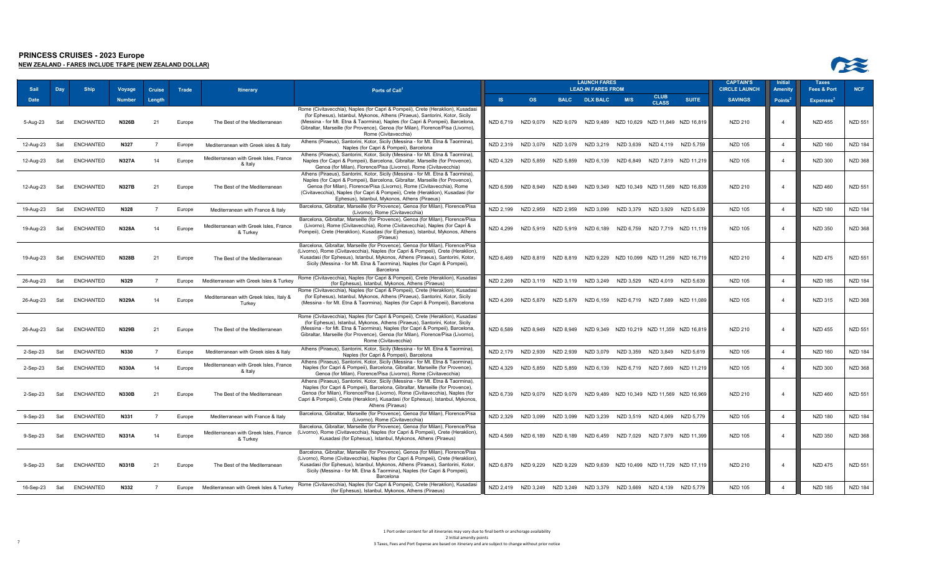



| <b>Sail</b> | Day | <b>Ship</b>      | <b>Voyage</b> | <b>Cruise</b>  | Trade  | <b>Itinerary</b>                                   | Ports of Call <sup>1</sup>                                                                                                                                                                                                                                                                                                                                                     |           |                                                                          |           | <b>LAUNCH FARES</b><br><b>LEAD-IN FARES FROM</b> |           |                                            |                      | <b>CAPTAIN'S</b><br><b>CIRCLE LAUNCH</b> | <b>Initial</b><br>Amenity | <b>Taxes</b><br>Fees & Port  | <b>NCF</b>     |
|-------------|-----|------------------|---------------|----------------|--------|----------------------------------------------------|--------------------------------------------------------------------------------------------------------------------------------------------------------------------------------------------------------------------------------------------------------------------------------------------------------------------------------------------------------------------------------|-----------|--------------------------------------------------------------------------|-----------|--------------------------------------------------|-----------|--------------------------------------------|----------------------|------------------------------------------|---------------------------|------------------------------|----------------|
| <b>Date</b> |     |                  | <b>Number</b> | Length         |        |                                                    |                                                                                                                                                                                                                                                                                                                                                                                | <b>IS</b> | <b>OS</b>                                                                |           | <b>BALC DLX BALC</b>                             | M/S       | <b>CLUB</b><br><b>CLASS</b>                | <b>SUITE</b>         | <b>SAVINGS</b>                           | Points <sup>4</sup>       | <b>Expenses</b> <sup>3</sup> |                |
| 5-Aug-23    | Sat | ENCHANTED        | <b>N326B</b>  | 21             | Europe | The Best of the Mediterranean                      | Rome (Civitavecchia), Naples (for Capri & Pompeii), Crete (Heraklion), Kusadasi<br>(for Ephesus), Istanbul, Mykonos, Athens (Piraeus), Santorini, Kotor, Sicily<br>(Messina - for Mt. Etna & Taormina), Naples (for Capri & Pompeii), Barcelona,<br>Gibraltar, Marseille (for Provence), Genoa (for Milan), Florence/Pisa (Livorno),<br>Rome (Civitavecchia)                   |           | NZD 6,719 NZD 9,079 NZD 9,079                                            |           |                                                  |           | NZD 9,489 NZD 10,629 NZD 11,849 NZD 16,819 |                      | NZD 210                                  |                           | <b>NZD 455</b>               | <b>NZD 551</b> |
| 12-Aug-23   | Sat | ENCHANTED        | N327          | $\overline{7}$ | Europe | Mediterranean with Greek isles & Italy             | Athens (Piraeus), Santorini, Kotor, Sicily (Messina - for Mt. Etna & Taormina)<br>Naples (for Capri & Pompeii), Barcelona                                                                                                                                                                                                                                                      |           | NZD 2,319 NZD 3,079 NZD 3,079                                            |           | NZD 3,219 NZD 3,639                              |           | NZD 4,119 NZD 5,759                        |                      | <b>NZD 105</b>                           | $\overline{4}$            | <b>NZD 160</b>               | <b>NZD 184</b> |
| 12-Aug-23   | Sat | <b>ENCHANTED</b> | <b>N327A</b>  | 14             | Europe | Mediterranean with Greek Isles, France<br>& Italy  | Athens (Piraeus), Santorini, Kotor, Sicily (Messina - for Mt. Etna & Taormina),<br>Naples (for Capri & Pompeii), Barcelona, Gibraltar, Marseille (for Provence),<br>Genoa (for Milan), Florence/Pisa (Livorno), Rome (Civitavecchia)                                                                                                                                           |           | NZD 4,329 NZD 5,859 NZD 5,859                                            |           | NZD 6.139 NZD 6.849                              |           | NZD 7.819 NZD 11.219                       |                      | NZD 105                                  |                           | <b>NZD 300</b>               | <b>NZD 368</b> |
| 12-Aug-23   | Sat | ENCHANTED        | <b>N327B</b>  | 21             | Europe | The Best of the Mediterranean                      | Athens (Piraeus), Santorini, Kotor, Sicily (Messina - for Mt. Etna & Taormina),<br>Naples (for Capri & Pompeii), Barcelona, Gibraltar, Marseille (for Provence),<br>Genoa (for Milan), Florence/Pisa (Livorno), Rome (Civitavecchia), Rome<br>(Civitavecchia), Naples (for Capri & Pompeii), Crete (Heraklion), Kusadasi (for<br>Ephesus), Istanbul, Mykonos, Athens (Piraeus) |           | NZD 6,599 NZD 8,949                                                      | NZD 8.949 |                                                  |           | NZD 9,349 NZD 10,349 NZD 11,569 NZD 16,839 |                      | NZD 210                                  |                           | <b>NZD 460</b>               | <b>NZD 551</b> |
| 19-Aug-23   | Sat | <b>ENCHANTED</b> | N328          |                | Europe | Mediterranean with France & Italy                  | Barcelona, Gibraltar, Marseille (for Provence), Genoa (for Milan), Florence/Pisa<br>(Livorno), Rome (Civitavecchia)                                                                                                                                                                                                                                                            |           | NZD 2.199 NZD 2.959 NZD 2.959                                            |           | NZD 3.099                                        |           | NZD 3.379 NZD 3.929 NZD 5.639              |                      | NZD 105                                  | $\overline{4}$            | <b>NZD 180</b>               | <b>NZD 184</b> |
| 19-Aug-23   | Sat | ENCHANTED        | <b>N328A</b>  | 14             | Europe | Mediterranean with Greek Isles, France<br>& Turkey | Barcelona, Gibraltar, Marseille (for Provence), Genoa (for Milan), Florence/Pisa<br>(Livorno), Rome (Civitavecchia), Rome (Civitavecchia), Naples (for Capri &<br>Pompeii), Crete (Heraklion), Kusadasi (for Ephesus), Istanbul, Mykonos, Athens<br>(Piraeus)                                                                                                                  |           | NZD 4,299 NZD 5,919 NZD 5,919 NZD 6,189                                  |           |                                                  | NZD 6,759 |                                            | NZD 7.719 NZD 11.119 | NZD 105                                  |                           | <b>NZD 350</b>               | <b>NZD 368</b> |
| 19-Aug-23   | Sat | ENCHANTED        | <b>N328B</b>  | 21             | Europe | The Best of the Mediterranean                      | Barcelona, Gibraltar, Marseille (for Provence), Genoa (for Milan), Florence/Pisa<br>(Livorno), Rome (Civitavecchia), Naples (for Capri & Pompeii), Crete (Heraklion),<br>Kusadasi (for Ephesus), Istanbul, Mykonos, Athens (Piraeus), Santorini, Kotor,<br>Sicily (Messina - for Mt. Etna & Taormina), Naples (for Capri & Pompeii),<br>Barcelona                              |           | NZD 6,469 NZD 8,819                                                      | NZD 8,819 |                                                  |           | NZD 9,229 NZD 10,099 NZD 11,259 NZD 16,719 |                      | NZD 210                                  |                           | <b>NZD 475</b>               | <b>NZD 551</b> |
| 26-Aug-23   | Sat | <b>ENCHANTED</b> | N329          | $\overline{7}$ | Europe | Mediterranean with Greek Isles & Turkey            | Rome (Civitavecchia), Naples (for Capri & Pompeii), Crete (Heraklion), Kusadasi<br>(for Ephesus), Istanbul, Mykonos, Athens (Piraeus)                                                                                                                                                                                                                                          |           | NZD 2,269 NZD 3,119 NZD 3,119 NZD 3,249 NZD 3,529                        |           |                                                  |           | NZD 4.019 NZD 5.639                        |                      | <b>NZD 105</b>                           | $\overline{4}$            | <b>NZD 185</b>               | <b>NZD 184</b> |
| 26-Aug-23   | Sat | <b>ENCHANTED</b> | <b>N329A</b>  | 14             | Europe | Mediterranean with Greek Isles, Italy &<br>Turkey  | Rome (Civitavecchia), Naples (for Capri & Pompeii), Crete (Heraklion), Kusadasi<br>(for Ephesus), Istanbul, Mykonos, Athens (Piraeus), Santorini, Kotor, Sicily<br>(Messina - for Mt. Etna & Taormina), Naples (for Capri & Pompeii), Barcelona                                                                                                                                |           | NZD 4.269 NZD 5.879 NZD 5.879 NZD 6.159 NZD 6.719 NZD 7.689 NZD 11.089   |           |                                                  |           |                                            |                      | <b>NZD 105</b>                           |                           | NZD 315                      | <b>NZD 368</b> |
| 26-Aug-23   | Sat | ENCHANTED        | <b>N329B</b>  | -21            | Europe | The Best of the Mediterranean                      | Rome (Civitavecchia), Naples (for Capri & Pompeii), Crete (Heraklion), Kusadasi<br>(for Ephesus), Istanbul, Mykonos, Athens (Piraeus), Santorini, Kotor, Sicily<br>(Messina - for Mt. Etna & Taormina), Naples (for Capri & Pompeii), Barcelona,<br>Gibraltar, Marseille (for Provence), Genoa (for Milan), Florence/Pisa (Livorno),<br>Rome (Civitavecchia)                   |           | NZD 6,589 NZD 8,949 NZD 8,949                                            |           |                                                  |           | NZD 9,349 NZD 10,219 NZD 11,359 NZD 16,819 |                      | NZD 210                                  | $\boldsymbol{\Lambda}$    | <b>NZD 455</b>               | <b>NZD 551</b> |
| 2-Sep-23    | Sat | <b>ENCHANTED</b> | N330          | $\overline{7}$ | Europe | Mediterranean with Greek isles & Italy             | Athens (Piraeus), Santorini, Kotor, Sicily (Messina - for Mt. Etna & Taormina)<br>Naples (for Capri & Pompeii), Barcelona                                                                                                                                                                                                                                                      |           | NZD 2,179 NZD 2,939 NZD 2,939                                            |           | NZD 3,079                                        | NZD 3,359 | NZD 3,849 NZD 5,619                        |                      | <b>NZD 105</b>                           | $\overline{4}$            | <b>NZD 160</b>               | <b>NZD 184</b> |
| 2-Sep-23    | Sat | <b>ENCHANTED</b> | <b>N330A</b>  | 14             | Europe | Mediterranean with Greek Isles, France<br>& Italy  | Athens (Piraeus), Santorini, Kotor, Sicily (Messina - for Mt. Etna & Taormina),<br>Naples (for Capri & Pompeii), Barcelona, Gibraltar, Marseille (for Provence),<br>Genoa (for Milan), Florence/Pisa (Livorno), Rome (Civitavecchia)                                                                                                                                           |           | NZD 4,329 NZD 5,859 NZD 5,859 NZD 6,139 NZD 6,719 NZD 7,669 NZD 11,219   |           |                                                  |           |                                            |                      | NZD 105                                  |                           | <b>NZD 300</b>               | <b>NZD 368</b> |
| 2-Sep-23    | Sat | <b>ENCHANTED</b> | <b>N330B</b>  | 21             | Europe | The Best of the Mediterranean                      | Athens (Piraeus), Santorini, Kotor, Sicily (Messina - for Mt. Etna & Taormina),<br>Naples (for Capri & Pompeii), Barcelona, Gibraltar, Marseille (for Provence),<br>Genoa (for Milan), Florence/Pisa (Livorno), Rome (Civitavecchia), Naples (for<br>Capri & Pompeii), Crete (Heraklion), Kusadasi (for Ephesus), Istanbul, Mykonos,<br>Athens (Piraeus)                       |           | NZD 6.739 NZD 9.079 NZD 9.079 NZD 9.489 NZD 10.349 NZD 11.569 NZD 16.969 |           |                                                  |           |                                            |                      | NZD 210                                  |                           | <b>NZD 460</b>               | <b>NZD 551</b> |
| 9-Sep-23    | Sat | <b>ENCHANTED</b> | N331          |                | Europe | Mediterranean with France & Italy                  | Barcelona, Gibraltar, Marseille (for Provence), Genoa (for Milan), Florence/Pisa<br>(Livorno), Rome (Civitavecchia)                                                                                                                                                                                                                                                            |           | NZD 2,329 NZD 3,099 NZD 3,099 NZD 3,239 NZD 3,519 NZD 4,069 NZD 5,779    |           |                                                  |           |                                            |                      | <b>NZD 105</b>                           | $\overline{4}$            | <b>NZD 180</b>               | <b>NZD 184</b> |
| 9-Sep-23    | Sat | ENCHANTED        | <b>N331A</b>  | 14             | Europe | Mediterranean with Greek Isles, France<br>& Turkey | Barcelona, Gibraltar, Marseille (for Provence), Genoa (for Milan), Florence/Pisa<br>(Livorno), Rome (Civitavecchia), Naples (for Capri & Pompeii), Crete (Heraklion),<br>Kusadasi (for Ephesus), Istanbul, Mykonos, Athens (Piraeus)                                                                                                                                           |           | NZD 4,569 NZD 6,189 NZD 6,189                                            |           | NZD 6.459 NZD 7.029                              |           |                                            | NZD 7.979 NZD 11.399 | NZD 105                                  |                           | <b>NZD 350</b>               | <b>NZD 368</b> |
| 9-Sep-23    | Sat | ENCHANTED        | N331B         | 21             | Europe | The Best of the Mediterranean                      | Barcelona, Gibraltar, Marseille (for Provence), Genoa (for Milan), Florence/Pisa<br>(Livorno), Rome (Civitavecchia), Naples (for Capri & Pompeii), Crete (Heraklion),<br>Kusadasi (for Ephesus), Istanbul, Mykonos, Athens (Piraeus), Santorini, Kotor,<br>Sicily (Messina - for Mt. Etna & Taormina), Naples (for Capri & Pompeii),<br>Barcelona                              | NZD 6,879 | NZD 9.229                                                                | NZD 9.229 | NZD 9,639                                        |           | NZD 10,499 NZD 11,729 NZD 17,119           |                      | NZD 210                                  |                           | <b>NZD 475</b>               | <b>NZD 551</b> |
| 16-Sep-23   | Sat | <b>ENCHANTED</b> | N332          | $\overline{7}$ | Europe | Mediterranean with Greek Isles & Turkey            | Rome (Civitavecchia), Naples (for Capri & Pompeii), Crete (Heraklion), Kusadasi<br>(for Ephesus), Istanbul, Mykonos, Athens (Piraeus)                                                                                                                                                                                                                                          |           | NZD 2,419 NZD 3,249 NZD 3,249                                            |           | NZD 3,379 NZD 3,669                              |           | NZD 4.139                                  | NZD 5.779            | <b>NZD 105</b>                           |                           | <b>NZD 185</b>               | <b>NZD 184</b> |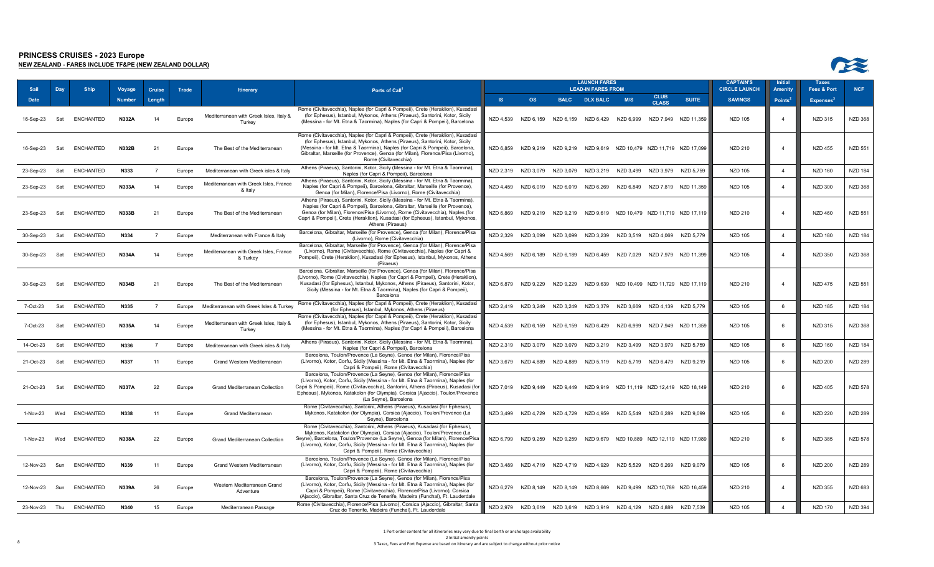

**NEW ZEALAND - FARES INCLUDE TF&PE (NEW ZEALAND DOLLAR)**

| Sail          | Day | <b>Ship</b>      | Voyage        | <b>Cruise</b>  | Trade  | <b>Itinerary</b>                                   | Ports of Call                                                                                                                                                                                                                                                                                                                                                           |           |                     |                     | <b>LAUNCH FARES</b><br><b>LEAD-IN FARES FROM</b>                        |           |                             |                                                                          | <b>CAPTAIN'S</b><br><b>CIRCLE LAUNCH</b> | <b>Initial</b><br><b>Amenity</b> | <b>Taxes</b><br><b>Fees &amp; Port</b> | <b>NCF</b>     |
|---------------|-----|------------------|---------------|----------------|--------|----------------------------------------------------|-------------------------------------------------------------------------------------------------------------------------------------------------------------------------------------------------------------------------------------------------------------------------------------------------------------------------------------------------------------------------|-----------|---------------------|---------------------|-------------------------------------------------------------------------|-----------|-----------------------------|--------------------------------------------------------------------------|------------------------------------------|----------------------------------|----------------------------------------|----------------|
| <b>Date</b>   |     |                  | <b>Number</b> | Length         |        |                                                    |                                                                                                                                                                                                                                                                                                                                                                         | <b>IS</b> | <b>OS</b>           | <b>BALC</b>         | <b>DLX BALC</b>                                                         | M/S       | <b>CLUB</b><br><b>CLASS</b> | <b>SUITE</b>                                                             | <b>SAVINGS</b>                           | <b>Points</b>                    | <b>Expenses</b>                        |                |
| 16-Sep-23     | Sat | ENCHANTED        | N332A         | 14             | Europe | Mediterranean with Greek Isles, Italy &<br>Turkey  | Rome (Civitavecchia), Naples (for Capri & Pompeii), Crete (Heraklion), Kusadasi<br>(for Ephesus), Istanbul, Mykonos, Athens (Piraeus), Santorini, Kotor, Sicily<br>(Messina - for Mt. Etna & Taormina), Naples (for Capri & Pompeii), Barcelona                                                                                                                         |           |                     |                     | NZD 4,539 NZD 6,159 NZD 6,159 NZD 6,429 NZD 6,999                       |           |                             | NZD 7,949 NZD 11,359                                                     | <b>NZD 105</b>                           |                                  | <b>NZD 315</b>                         | <b>NZD 368</b> |
| 16-Sep-23     | Sat | <b>ENCHANTED</b> | N332B         | 21             | Europe | The Best of the Mediterranean                      | Rome (Civitavecchia), Naples (for Capri & Pompeii), Crete (Heraklion), Kusadasi<br>(for Ephesus), Istanbul, Mykonos, Athens (Piraeus), Santorini, Kotor, Sicily<br>(Messina - for Mt. Etna & Taormina), Naples (for Capri & Pompeii), Barcelona,<br>Gibraltar, Marseille (for Provence), Genoa (for Milan), Florence/Pisa (Livorno),<br>Rome (Civitavecchia)            |           |                     |                     |                                                                         |           |                             | NZD 6,859 NZD 9,219 NZD 9,219 NZD 9,619 NZD 10,479 NZD 11,719 NZD 17,099 | <b>NZD 210</b>                           |                                  | <b>NZD 455</b>                         | <b>NZD 551</b> |
| 23-Sep-23     | Sat | <b>ENCHANTED</b> | N333          | $\overline{7}$ | Europe | Mediterranean with Greek isles & Italy             | Athens (Piraeus), Santorini, Kotor, Sicily (Messina - for Mt. Etna & Taormina),<br>Naples (for Capri & Pompeii), Barcelona                                                                                                                                                                                                                                              | NZD 2,319 |                     | NZD 3,079 NZD 3,079 |                                                                         |           |                             | NZD 3,219 NZD 3,499 NZD 3,979 NZD 5,759                                  | <b>NZD 105</b>                           | $\overline{4}$                   | <b>NZD 160</b>                         | <b>NZD 184</b> |
| 23-Sep-23     | Sat | <b>ENCHANTED</b> | <b>N333A</b>  | 14             | Europe | Mediterranean with Greek Isles, France<br>& Italy  | Athens (Piraeus), Santorini, Kotor, Sicily (Messina - for Mt. Etna & Taormina),<br>Naples (for Capri & Pompeii), Barcelona, Gibraltar, Marseille (for Provence),<br>Genoa (for Milan), Florence/Pisa (Livorno), Rome (Civitavecchia)                                                                                                                                    |           | NZD 4,459 NZD 6,019 | NZD 6,019           | NZD 6,269                                                               |           |                             | NZD 6,849 NZD 7,819 NZD 11,359                                           | <b>NZD 105</b>                           | $\overline{4}$                   | <b>NZD 300</b>                         | <b>NZD 368</b> |
| 23-Sep-23     | Sat | <b>ENCHANTED</b> | <b>N333B</b>  | 21             | Europe | The Best of the Mediterranean                      | Athens (Piraeus), Santorini, Kotor, Sicily (Messina - for Mt. Etna & Taormina),<br>Naples (for Capri & Pompeii), Barcelona, Gibraltar, Marseille (for Provence),<br>Genoa (for Milan), Florence/Pisa (Livorno), Rome (Civitavecchia), Naples (for<br>Capri & Pompeii), Crete (Heraklion), Kusadasi (for Ephesus), Istanbul, Mykonos,<br>Athens (Piraeus)                |           |                     |                     |                                                                         |           |                             | NZD 6.869 NZD 9.219 NZD 9.219 NZD 9.619 NZD 10.479 NZD 11.719 NZD 17.119 | NZD 210                                  | $\overline{4}$                   | <b>NZD 460</b>                         | <b>NZD 551</b> |
| 30-Sep-23     | Sat | ENCHANTED        | N334          | $\overline{7}$ | Europe | Mediterranean with France & Italy                  | Barcelona, Gibraltar, Marseille (for Provence), Genoa (for Milan), Florence/Pisa<br>(Livorno), Rome (Civitavecchia)                                                                                                                                                                                                                                                     |           |                     |                     | NZD 2,329 NZD 3,099 NZD 3,099 NZD 3,239 NZD 3,519 NZD 4,069             |           |                             | NZD 5,779                                                                | <b>NZD 105</b>                           | $\overline{4}$                   | <b>NZD 180</b>                         | <b>NZD 184</b> |
| 30-Sep-23     | Sat | ENCHANTED        | <b>N334A</b>  | 14             | Europe | Mediterranean with Greek Isles, France<br>& Turkey | Barcelona, Gibraltar, Marseille (for Provence), Genoa (for Milan), Florence/Pisa<br>(Livorno), Rome (Civitavecchia), Rome (Civitavecchia), Naples (for Capri &<br>Pompeii), Crete (Heraklion), Kusadasi (for Ephesus), Istanbul, Mykonos, Athens<br>(Piraeus)                                                                                                           |           |                     |                     |                                                                         |           |                             | NZD 4,569 NZD 6,189 NZD 6,189 NZD 6,459 NZD 7,029 NZD 7,979 NZD 11,399   | <b>NZD 105</b>                           | $\Delta$                         | <b>NZD 350</b>                         | <b>NZD 368</b> |
| 30-Sep-23     | Sat | ENCHANTED        | <b>N334B</b>  | 21             | Europe | The Best of the Mediterranean                      | Barcelona, Gibraltar, Marseille (for Provence), Genoa (for Milan), Florence/Pisa<br>(Livorno), Rome (Civitavecchia), Naples (for Capri & Pompeii), Crete (Heraklion),<br>Kusadasi (for Ephesus), Istanbul, Mykonos, Athens (Piraeus), Santorini, Kotor,<br>Sicily (Messina - for Mt. Etna & Taormina), Naples (for Capri & Pompeii),<br>Barcelona                       |           |                     |                     |                                                                         |           |                             | NZD 6,879 NZD 9,229 NZD 9,229 NZD 9,639 NZD 10,499 NZD 11,729 NZD 17,119 | <b>NZD 210</b>                           |                                  | <b>NZD 475</b>                         | <b>NZD 551</b> |
| 7-Oct-23      | Sat | <b>ENCHANTED</b> | N335          | $\overline{7}$ | Europe | Mediterranean with Greek Isles & Turkey            | Rome (Civitavecchia), Naples (for Capri & Pompeii), Crete (Heraklion), Kusadasi<br>(for Ephesus), Istanbul, Mykonos, Athens (Piraeus)                                                                                                                                                                                                                                   |           |                     |                     | NZD 2,419 NZD 3,249 NZD 3,249 NZD 3,379 NZD 3,669 NZD 4,139 NZD 5,779   |           |                             |                                                                          | <b>NZD 105</b>                           | 6                                | <b>NZD 185</b>                         | <b>NZD 184</b> |
| 7-Oct-23      | Sat | <b>ENCHANTED</b> | <b>N335A</b>  | 14             | Europe | Mediterranean with Greek Isles, Italy &<br>Turkey  | Rome (Civitavecchia), Naples (for Capri & Pompeii), Crete (Heraklion), Kusadasi<br>(for Ephesus), Istanbul, Mykonos, Athens (Piraeus), Santorini, Kotor, Sicily<br>(Messina - for Mt. Etna & Taormina), Naples (for Capri & Pompeii), Barcelona                                                                                                                         | NZD 4,539 |                     | NZD 6,159 NZD 6,159 | NZD 6,429                                                               | NZD 6,999 |                             | NZD 7,949 NZD 11,359                                                     | <b>NZD 105</b>                           | 6                                | <b>NZD 315</b>                         | <b>NZD 368</b> |
| 14-Oct-23     | Sat | <b>ENCHANTED</b> | N336          | $\overline{7}$ | Europe | Mediterranean with Greek isles & Italy             | Athens (Piraeus), Santorini, Kotor, Sicily (Messina - for Mt. Etna & Taormina),<br>Naples (for Capri & Pompeii), Barcelona                                                                                                                                                                                                                                              | NZD 2,319 | NZD 3,079           | NZD 3,079           | NZD 3,219                                                               | NZD 3,499 | NZD 3,979                   | NZD 5,759                                                                | <b>NZD 105</b>                           | 6                                | <b>NZD 160</b>                         | <b>NZD 184</b> |
| 21-Oct-23     | Sat | <b>ENCHANTED</b> | N337          | 11             | Europe | Grand Western Mediterranean                        | Barcelona, Toulon/Provence (La Seyne), Genoa (for Milan), Florence/Pisa<br>(Livorno), Kotor, Corfu, Sicily (Messina - for Mt. Etna & Taormina), Naples (for<br>Capri & Pompeii), Rome (Civitavecchia)                                                                                                                                                                   |           | NZD 3,679 NZD 4,889 | NZD 4,889           |                                                                         |           |                             | NZD 5,119 NZD 5,719 NZD 6,479 NZD 9,219                                  | <b>NZD 105</b>                           | $\epsilon$                       | <b>NZD 200</b>                         | <b>NZD 289</b> |
| 21-Oct-23     | Sat | ENCHANTED        | <b>N337A</b>  | 22             | Europe | Grand Mediterranean Collection                     | Barcelona, Toulon/Provence (La Seyne), Genoa (for Milan), Florence/Pisa<br>(Livorno), Kotor, Corfu, Sicily (Messina - for Mt. Etna & Taormina), Naples (for<br>Capri & Pompeii), Rome (Civitavecchia), Santorini, Athens (Piraeus), Kusadasi (for<br>Ephesus), Mykonos, Katakolon (for Olympia), Corsica (Ajaccio), Toulon/Provence<br>(La Seyne), Barcelona            |           |                     |                     |                                                                         |           |                             | NZD 7.019 NZD 9.449 NZD 9.449 NZD 9.919 NZD 11.119 NZD 12.419 NZD 18.149 | NZD 210                                  |                                  | <b>NZD 405</b>                         | <b>NZD 578</b> |
| 1-Nov-23      | Wed | <b>ENCHANTED</b> | N338          | 11             | Europe | Grand Mediterranean                                | Rome (Civitavecchia), Santorini, Athens (Piraeus), Kusadasi (for Ephesus),<br>Mykonos, Katakolon (for Olympia), Corsica (Ajaccio), Toulon/Provence (La<br>Seyne), Barcelona                                                                                                                                                                                             |           |                     |                     | NZD 3,499 NZD 4,729 NZD 4,729 NZD 4,959 NZD 5,549 NZD 6,289 NZD 9,099   |           |                             |                                                                          | <b>NZD 105</b>                           |                                  | <b>NZD 220</b>                         | <b>NZD 289</b> |
| 1-Nov-23      | Wed | <b>ENCHANTED</b> | <b>N338A</b>  | 22             | Europe | Grand Mediterranean Collection                     | Rome (Civitavecchia), Santorini, Athens (Piraeus), Kusadasi (for Ephesus),<br>Mykonos, Katakolon (for Olympia), Corsica (Ajaccio), Toulon/Provence (La<br>Seyne), Barcelona, Toulon/Provence (La Seyne), Genoa (for Milan), Florence/Pisa<br>(Livorno), Kotor, Corfu, Sicily (Messina - for Mt. Etna & Taormina), Naples (for<br>Capri & Pompeii), Rome (Civitavecchia) | NZD 6,799 |                     |                     |                                                                         |           |                             | NZD 9,259 NZD 9,259 NZD 9,679 NZD 10,889 NZD 12,119 NZD 17,989           | NZD 210                                  |                                  | <b>NZD 385</b>                         | <b>NZD 578</b> |
| 12-Nov-23 Sun |     | <b>ENCHANTED</b> | N339          | 11             | Europe | Grand Western Mediterranean                        | Barcelona, Toulon/Provence (La Seyne), Genoa (for Milan), Florence/Pisa<br>(Livorno), Kotor, Corfu, Sicily (Messina - for Mt. Etna & Taormina), Naples (for<br>Capri & Pompeii), Rome (Civitavecchia)                                                                                                                                                                   |           |                     |                     | NZD 3,489 NZD 4,719 NZD 4,719 NZD 4,929 NZD 5,529 NZD 6,269 NZD 9,079   |           |                             |                                                                          | NZD 105                                  |                                  | <b>NZD 200</b>                         | <b>NZD 289</b> |
| 12-Nov-23 Sun |     | ENCHANTED        | <b>N339A</b>  | 26             | Europe | Western Mediterranean Grand<br>Adventure           | Barcelona, Toulon/Provence (La Seyne), Genoa (for Milan), Florence/Pisa<br>(Livorno), Kotor, Corfu, Sicily (Messina - for Mt. Etna & Taormina), Naples (for<br>Capri & Pompeii), Rome (Civitavecchia), Florence/Pisa (Livorno), Corsica<br>(Ajaccio), Gibraltar, Santa Cruz de Tenerife, Madeira (Funchal), Ft. Lauderdale                                              |           |                     |                     | NZD 6,279 NZD 8,149 NZD 8,149 NZD 8,669 NZD 9,499 NZD 10,789 NZD 16,459 |           |                             |                                                                          | NZD 210                                  | $\overline{4}$                   | <b>NZD 355</b>                         | <b>NZD 683</b> |
| 23-Nov-23 Thu |     | <b>ENCHANTED</b> | N340          | 15             | Europe | Mediterranean Passage                              | Rome (Civitavecchia), Florence/Pisa (Livorno), Corsica (Ajaccio), Gibraltar, Santa<br>Cruz de Tenerife, Madeira (Funchal), Ft. Lauderdale                                                                                                                                                                                                                               |           |                     |                     | NZD 2,979 NZD 3,619 NZD 3,619 NZD 3,919 NZD 4,129 NZD 4,889             |           |                             | NZD 7,539                                                                | <b>NZD 105</b>                           | $\overline{a}$                   | <b>NZD 170</b>                         | <b>NZD 394</b> |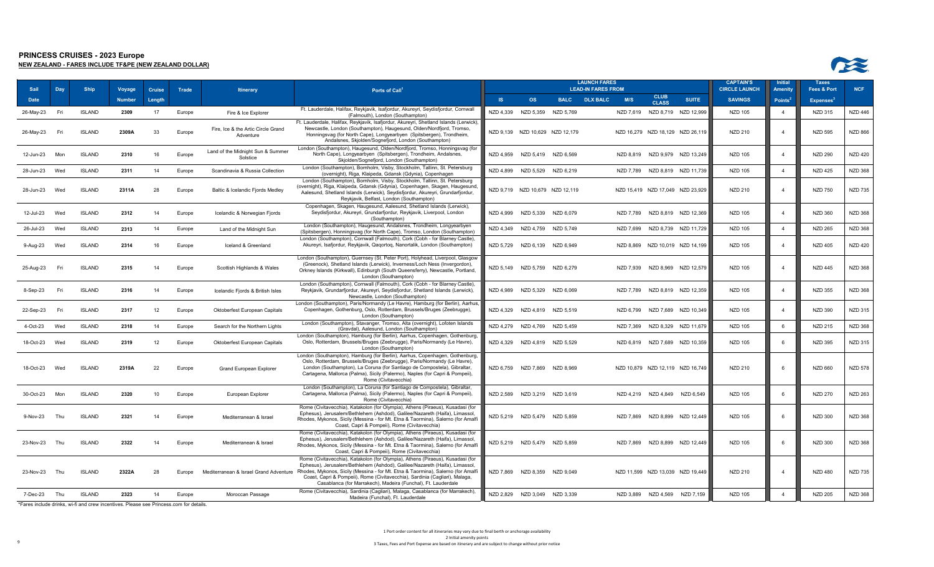

| Sail          | Day | <b>Ship</b>   | Voyage        | <b>Cruise</b> | Trade  | <b>Itinerary</b>                       | Ports of Call <sup>1</sup>                                                                                                                                      |           |                                 |           | <b>LAUNCH FARES</b><br><b>LEAD-IN FARES FROM</b> |           |                               |                                  | <b>CAPTAIN'S</b><br><b>CIRCLE LAUNCH</b> | <b>Initial</b><br><b>Amenity</b> | <b>Taxes</b><br>Fees & Port  | <b>NCF</b>     |
|---------------|-----|---------------|---------------|---------------|--------|----------------------------------------|-----------------------------------------------------------------------------------------------------------------------------------------------------------------|-----------|---------------------------------|-----------|--------------------------------------------------|-----------|-------------------------------|----------------------------------|------------------------------------------|----------------------------------|------------------------------|----------------|
| <b>Date</b>   |     |               | <b>Number</b> | Length        |        |                                        |                                                                                                                                                                 | S         | <b>OS</b>                       |           | <b>BALC DLX BALC</b>                             | M/S       | <b>CLUB</b><br><b>CLASS</b>   | <b>SUITE</b>                     | <b>SAVINGS</b>                           | Points <sup>2</sup>              | <b>Expenses</b> <sup>3</sup> |                |
| 26-May-23     | Fri | <b>ISLAND</b> | 2309          | 17            | Europe | Fire & Ice Explorer                    | Ft. Lauderdale, Halifax, Reykjavik, Isafjordur, Akureyri, Seydisfjordur, Cornwall                                                                               | NZD 4,339 | NZD 5,359                       | NZD 5,769 |                                                  | NZD 7,619 |                               | NZD 8,719 NZD 12,999             | NZD 105                                  | $\overline{4}$                   | <b>NZD 315</b>               | <b>NZD 446</b> |
|               |     |               |               |               |        |                                        | (Falmouth), London (Southampton)<br>Ft. Lauderdale, Halifax, Reykjavik, Isafjordur, Akureyri, Shetland Islands (Lerwick).                                       |           |                                 |           |                                                  |           |                               |                                  |                                          |                                  |                              |                |
| 26-May-23     | Fri | <b>ISLAND</b> | 2309A         | 33            | Europe | Fire, Ice & the Artic Circle Grand     | Newcastle, London (Southampton), Haugesund, Olden/Nordfjord, Tromso,                                                                                            |           | NZD 9,139 NZD 10,629 NZD 12,179 |           |                                                  |           |                               | NZD 16,279 NZD 18,129 NZD 26,119 | <b>NZD 210</b>                           | $\overline{4}$                   | <b>NZD 595</b>               | <b>NZD 866</b> |
|               |     |               |               |               |        | Adventure                              | Honningsvag (for North Cape), Longyearbyen (Spitsbergen), Trondheim,<br>Andalsnes, Skjolden/Sognefjord, London (Southampton)                                    |           |                                 |           |                                                  |           |                               |                                  |                                          |                                  |                              |                |
| 12-Jun-23     | Mon | <b>ISLAND</b> | 2310          | 16            | Europe | Land of the Midnight Sun & Summer      | London (Southampton), Haugesund, Olden/Nordfjord, Tromso, Honningsvag (fo<br>North Cape), Longyearbyen (Spitsbergen), Trondheim, Andalsnes,                     |           | NZD 4,959 NZD 5,419 NZD 6,569   |           |                                                  |           |                               | NZD 8,819 NZD 9,979 NZD 13,249   | <b>NZD 105</b>                           | $\overline{4}$                   | <b>NZD 290</b>               | <b>NZD 420</b> |
|               |     |               |               |               |        | Solstice                               | Skjolden/Sognefjord, London (Southampton)                                                                                                                       |           |                                 |           |                                                  |           |                               |                                  |                                          |                                  |                              |                |
| 28-Jun-23     | Wed | <b>ISLAND</b> | 2311          | 14            | Europe | Scandinavia & Russia Collection        | London (Southampton), Bornholm, Visby, Stockholm, Tallinn, St. Petersburg<br>(overnight), Riga, Klaipeda, Gdansk (Gdynia), Copenhagen                           |           | NZD 4,899 NZD 5,529             | NZD 6,219 |                                                  |           |                               | NZD 7,789 NZD 8,819 NZD 11,739   | <b>NZD 105</b>                           | $\overline{4}$                   | <b>NZD 425</b>               | <b>NZD 368</b> |
|               |     |               |               |               |        |                                        | London (Southampton), Bornholm, Visby, Stockholm, Tallinn, St. Petersburg                                                                                       |           |                                 |           |                                                  |           |                               |                                  |                                          |                                  |                              |                |
| 28-Jun-23     | Wed | <b>ISLAND</b> | 2311A         | 28            | Europe | Baltic & Icelandic Fjords Medley       | (overnight), Riga, Klaipeda, Gdansk (Gdynia), Copenhagen, Skagen, Haugesund,<br>Aalesund, Shetland Islands (Lerwick), Seydisfjordur, Akureyri, Grundarfjordur,  |           | NZD 9,719 NZD 10,679 NZD 12,119 |           |                                                  |           |                               | NZD 15,419 NZD 17,049 NZD 23,929 | <b>NZD 210</b>                           | $\overline{4}$                   | <b>NZD 750</b>               | NZD 735        |
|               |     |               |               |               |        |                                        | Reykjavik, Belfast, London (Southampton)                                                                                                                        |           |                                 |           |                                                  |           |                               |                                  |                                          |                                  |                              |                |
| 12-Jul-23     | Wed | <b>ISLAND</b> | 2312          | 14            | Europe | Icelandic & Norwegian Fjords           | Copenhagen, Skagen, Haugesund, Aalesund, Shetland Islands (Lerwick),<br>Seydisfjordur, Akureyri, Grundarfjordur, Reykjavik, Liverpool, London                   |           | NZD 4,999 NZD 5,339 NZD 6,079   |           |                                                  | NZD 7.789 |                               | NZD 8,819 NZD 12,369             | <b>NZD 105</b>                           | $\Delta$                         | <b>NZD 360</b>               | <b>NZD 368</b> |
|               |     |               |               |               |        |                                        | (Southampton)<br>London (Southampton), Haugesund, Andalsnes, Trondheim, Longyearbyen                                                                            |           |                                 |           |                                                  |           |                               |                                  |                                          |                                  |                              |                |
| 26-Jul-23     | Wed | <b>ISLAND</b> | 2313          | 14            | Europe | Land of the Midnight Sun               | (Spitsbergen), Honningsvag (for North Cape), Tromso, London (Southampton)                                                                                       |           | NZD 4,349 NZD 4,759 NZD 5,749   |           |                                                  | NZD 7.699 |                               | NZD 8.739 NZD 11.729             | <b>NZD 105</b>                           | $\overline{4}$                   | <b>NZD 265</b>               | <b>NZD 368</b> |
| 9-Aug-23      | Wed | <b>ISLAND</b> | 2314          | 16            | Europe | Iceland & Greenland                    | London (Southampton), Cornwall (Falmouth), Cork (Cobh - for Blarney Castle),<br>Akureyri, Isafjordur, Reykjavik, Qagortog, Nanortalik, London (Southampton)     |           | NZD 5,729 NZD 6,139 NZD 6,949   |           |                                                  |           |                               | NZD 8,869 NZD 10,019 NZD 14,199  | <b>NZD 105</b>                           |                                  | <b>NZD 405</b>               | <b>NZD 420</b> |
|               |     |               |               |               |        |                                        |                                                                                                                                                                 |           |                                 |           |                                                  |           |                               |                                  |                                          |                                  |                              |                |
|               |     |               |               |               |        |                                        | London (Southampton), Guernsey (St. Peter Port), Holyhead, Liverpool, Glasgow<br>(Greenock), Shetland Islands (Lerwick), Inverness/Loch Ness (Invergordon),     |           |                                 |           |                                                  |           |                               |                                  |                                          |                                  |                              |                |
| 25-Aug-23     | Fri | <b>ISLAND</b> | 2315          | 14            | Europe | Scottish Highlands & Wales             | Orkney Islands (Kirkwall), Edinburgh (South Queensferry), Newcastle, Portland,<br>London (Southampton)                                                          |           | NZD 5,149 NZD 5,759 NZD 6,279   |           |                                                  | NZD 7,939 |                               | NZD 8,969 NZD 12,579             | <b>NZD 105</b>                           | $\overline{4}$                   | <b>NZD 445</b>               | <b>NZD 368</b> |
|               |     |               |               |               |        |                                        | London (Southampton), Cornwall (Falmouth), Cork (Cobh - for Blarney Castle),                                                                                    |           |                                 |           |                                                  |           |                               |                                  |                                          |                                  |                              |                |
| 8-Sep-23      | Fri | <b>ISLAND</b> | 2316          | 14            | Europe | Icelandic Fjords & British Isles       | Reykjavik, Grundarfjordur, Akureyri, Seydisfjordur, Shetland Islands (Lerwick),<br>Newcastle, London (Southampton)                                              |           | NZD 4,989 NZD 5,329 NZD 6,069   |           |                                                  | NZD 7.789 |                               | NZD 8,819 NZD 12,359             | <b>NZD 105</b>                           |                                  | <b>NZD 355</b>               | <b>NZD 368</b> |
|               |     |               |               |               |        |                                        | London (Southampton), Paris/Normandy (Le Havre), Hamburg (for Berlin), Aarhus                                                                                   |           |                                 |           |                                                  |           |                               |                                  |                                          |                                  |                              |                |
| 22-Sep-23     | Fri | <b>ISLAND</b> | 2317          | 12            | Europe | Oktoberfest European Capitals          | Copenhagen, Gothenburg, Oslo, Rotterdam, Brussels/Bruges (Zeebrugge),<br>London (Southampton)                                                                   |           | NZD 4,329 NZD 4,819 NZD 5,519   |           |                                                  |           |                               | NZD 6,799 NZD 7,689 NZD 10,349   | <b>NZD 105</b>                           | $\overline{4}$                   | NZD 390                      | <b>NZD 315</b> |
| 4-Oct-23      | Wed | <b>ISLAND</b> | 2318          | 14            | Europe | Search for the Northern Lights         | London (Southampton), Stavanger, Tromso, Alta (overnight), Lofoten Islands                                                                                      |           | NZD 4,279 NZD 4,769 NZD 5,459   |           |                                                  | NZD 7,369 |                               | NZD 8,329 NZD 11,679             | <b>NZD 105</b>                           | 6                                | <b>NZD 215</b>               | <b>NZD 368</b> |
|               |     |               |               |               |        |                                        | (Gravdal), Aalesund, London (Southampton)<br>London (Southampton), Hamburg (for Berlin), Aarhus, Copenhagen, Gothenburg                                         |           |                                 |           |                                                  |           |                               |                                  |                                          |                                  |                              |                |
| 18-Oct-23     | Wed | <b>ISLAND</b> | 2319          | 12            | Europe | Oktoberfest European Capitals          | Oslo, Rotterdam, Brussels/Bruges (Zeebrugge), Paris/Normandy (Le Havre),<br>London (Southampton)                                                                |           | NZD 4,329 NZD 4,819 NZD 5,529   |           |                                                  |           |                               | NZD 6,819 NZD 7,689 NZD 10,359   | NZD 105                                  | 6                                | <b>NZD 395</b>               | NZD 315        |
|               |     |               |               |               |        |                                        | London (Southampton), Hamburg (for Berlin), Aarhus, Copenhagen, Gothenburg,                                                                                     |           |                                 |           |                                                  |           |                               |                                  |                                          |                                  |                              |                |
| 18-Oct-23     | Wed | <b>ISLAND</b> | 2319A         | 22            | Europe | Grand European Explorer                | Oslo, Rotterdam, Brussels/Bruges (Zeebrugge), Paris/Normandy (Le Havre),<br>London (Southampton), La Coruna (for Santiago de Compostela), Gibraltar,            |           | NZD 6,759 NZD 7,869 NZD 8,969   |           |                                                  |           |                               | NZD 10,879 NZD 12,119 NZD 16,749 | <b>NZD 210</b>                           |                                  | <b>NZD 660</b>               | <b>NZD 578</b> |
|               |     |               |               |               |        |                                        | Cartagena, Mallorca (Palma), Sicily (Palermo), Naples (for Capri & Pompeii),<br>Rome (Civitavecchia)                                                            |           |                                 |           |                                                  |           |                               |                                  |                                          |                                  |                              |                |
|               |     |               |               |               |        |                                        | London (Southampton), La Coruna (for Santiago de Compostela), Gibraltar                                                                                         |           |                                 |           |                                                  |           |                               |                                  |                                          |                                  |                              |                |
| 30-Oct-23     | Mon | <b>ISLAND</b> | 2320          | 10            | Europe | European Explorer                      | Cartagena, Mallorca (Palma), Sicily (Palermo), Naples (for Capri & Pompeii),<br>Rome (Civitavecchia)                                                            |           | NZD 2,589 NZD 3,219 NZD 3,619   |           |                                                  |           | NZD 4,219 NZD 4,849 NZD 6,549 |                                  | NZD 105                                  |                                  | NZD 270                      | <b>NZD 263</b> |
|               |     |               |               |               |        |                                        | Rome (Civitavecchia), Katakolon (for Olympia), Athens (Piraeus), Kusadasi (for                                                                                  |           |                                 |           |                                                  |           |                               |                                  |                                          |                                  |                              |                |
| 9-Nov-23      | Thu | <b>ISLAND</b> | 2321          | 14            | Europe | Mediterranean & Israel                 | Ephesus), Jerusalem/Bethlehem (Ashdod), Galilee/Nazareth (Haifa), Limassol,<br>Rhodes, Mykonos, Sicily (Messina - for Mt. Etna & Taormina), Salerno (for Amalfi |           | NZD 5,219 NZD 5,479 NZD 5,859   |           |                                                  | NZD 7.869 |                               | NZD 8,899 NZD 12,449             | <b>NZD 105</b>                           | -6                               | <b>NZD 300</b>               | <b>NZD 368</b> |
|               |     |               |               |               |        |                                        | Coast, Capri & Pompeii), Rome (Civitavecchia)                                                                                                                   |           |                                 |           |                                                  |           |                               |                                  |                                          |                                  |                              |                |
|               |     |               |               |               |        |                                        | Rome (Civitavecchia), Katakolon (for Olympia), Athens (Piraeus), Kusadasi (for<br>Ephesus), Jerusalem/Bethlehem (Ashdod), Galilee/Nazareth (Haifa), Limassol,   |           |                                 |           |                                                  |           |                               |                                  |                                          |                                  |                              |                |
| 23-Nov-23 Thu |     | <b>ISLAND</b> | 2322          | 14            | Europe | Mediterranean & Israel                 | Rhodes, Mykonos, Sicily (Messina - for Mt. Etna & Taormina), Salerno (for Amalfi                                                                                |           | NZD 5,219 NZD 5,479 NZD 5,859   |           |                                                  |           |                               | NZD 7,869 NZD 8,899 NZD 12,449   | NZD 105                                  | - 6                              | <b>NZD 300</b>               | NZD 368        |
|               |     |               |               |               |        |                                        | Coast, Capri & Pompeii), Rome (Civitavecchia)<br>Rome (Civitavecchia), Katakolon (for Olympia), Athens (Piraeus), Kusadasi (for                                 |           |                                 |           |                                                  |           |                               |                                  |                                          |                                  |                              |                |
| 23-Nov-23     |     | <b>ISLAND</b> | 2322A         | 28            |        |                                        | Ephesus), Jerusalem/Bethlehem (Ashdod), Galilee/Nazareth (Haifa), Limassol,<br>Rhodes, Mykonos, Sicily (Messina - for Mt. Etna & Taormina), Salerno (for Amalfi |           | NZD 7,869 NZD 8,359             | NZD 9,049 |                                                  |           |                               | NZD 11,599 NZD 13,039 NZD 19,449 | NZD 210                                  | $\overline{4}$                   | <b>NZD 480</b>               | <b>NZD 735</b> |
|               | Thu |               |               |               | Europe | Mediterranean & Israel Grand Adventure | Coast, Capri & Pompeii), Rome (Civitavecchia), Sardinia (Cagliari), Malaga,                                                                                     |           |                                 |           |                                                  |           |                               |                                  |                                          |                                  |                              |                |
|               |     |               |               |               |        |                                        | Casablanca (for Marrakech), Madeira (Funchal), Ft. Lauderdale<br>Rome (Civitavecchia), Sardinia (Cagliari), Malaga, Casablanca (for Marrakech),                 |           |                                 |           |                                                  |           |                               |                                  |                                          |                                  |                              |                |
| 7-Dec-23      | Thu | <b>ISLAND</b> | 2323          | 14            | Europe | Moroccan Passage                       | Madeira (Funchal), Ft. Lauderdale                                                                                                                               |           | NZD 2,829 NZD 3,049 NZD 3,339   |           |                                                  |           | NZD 3,889 NZD 4,569           | NZD 7,159                        | <b>NZD 105</b>                           | $\overline{4}$                   | <b>NZD 205</b>               | <b>NZD 368</b> |

\*Fares include drinks, wi-fi and crew incentives. Please see Princess.com for details.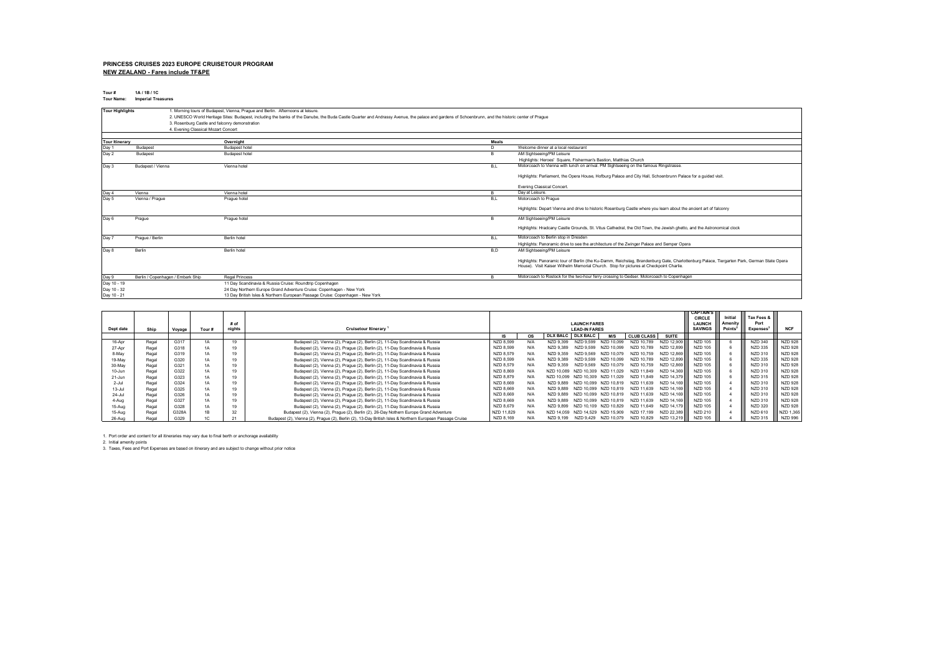#### **PRINCESS CRUISES 2023 EUROPE CRUISETOUR PROGRAM NEW ZEALAND - Fares include TF&PE**

**Tour # 1A / 1B / 1C Tour Name: Imperial Treasures**

| <b>Tour Highlights</b> |                                     | 1. Morning tours of Budapest, Vienna, Prague and Berlin. Afternoons at leisure.                                                                                                                    |       |                                                                                                                                                                                                                                      |
|------------------------|-------------------------------------|----------------------------------------------------------------------------------------------------------------------------------------------------------------------------------------------------|-------|--------------------------------------------------------------------------------------------------------------------------------------------------------------------------------------------------------------------------------------|
|                        |                                     | 2. UNESCO World Heritage Sites: Budapest, including the banks of the Danube, the Buda Castle Quarter and Andrassy Avenue, the palace and gardens of Schoenbrunn, and the historic center of Praque |       |                                                                                                                                                                                                                                      |
|                        |                                     | 3. Rosenburg Castle and falconry demonstration                                                                                                                                                     |       |                                                                                                                                                                                                                                      |
|                        | 4. Evening Classical Mozart Concert |                                                                                                                                                                                                    |       |                                                                                                                                                                                                                                      |
|                        |                                     |                                                                                                                                                                                                    |       |                                                                                                                                                                                                                                      |
| <b>Tour Itinerary</b>  |                                     | Overnight                                                                                                                                                                                          | Meals |                                                                                                                                                                                                                                      |
| Day 1                  | Budapest                            | Budapest hotel                                                                                                                                                                                     | D.    | Welcome dinner at a local restaurant                                                                                                                                                                                                 |
| Day 2                  | Budapest                            | Budapest hotel                                                                                                                                                                                     | в     | AM Sightseeing/PM Leisure                                                                                                                                                                                                            |
|                        |                                     |                                                                                                                                                                                                    |       | Highlights: Heroes' Square, Fisherman's Bastion, Matthias Church                                                                                                                                                                     |
| Day 3                  | Budapest / Vienna                   | Vienna hotel                                                                                                                                                                                       | B,L   | Motorcoach to Vienna with lunch on arrival. PM Sightseeing on the famous Ringstrasse.                                                                                                                                                |
|                        |                                     |                                                                                                                                                                                                    |       | Highlights: Parliament, the Opera House, Hofburg Palace and City Hall, Schoenbrunn Palace for a guided visit.                                                                                                                        |
|                        |                                     |                                                                                                                                                                                                    |       | <b>Evening Classical Concert</b>                                                                                                                                                                                                     |
| Day 4                  | Vienna                              | Vienna hotel                                                                                                                                                                                       | B.    | Day at Leisure.                                                                                                                                                                                                                      |
| Day 5                  | Vienna / Prague                     | Prague hotel                                                                                                                                                                                       | B,L   | Motorcoach to Prague                                                                                                                                                                                                                 |
|                        |                                     |                                                                                                                                                                                                    |       | Highlights: Depart Vienna and drive to historic Rosenburg Castle where you learn about the ancient art of falconry                                                                                                                   |
| Day 6                  | Prague                              | Prague hotel                                                                                                                                                                                       | R     | AM Sightseeing/PM Leisure                                                                                                                                                                                                            |
|                        |                                     |                                                                                                                                                                                                    |       | Highlights: Hradcany Castle Grounds, St. Vitus Cathedral, the Old Town, the Jewish ghetto, and the Astronomical clock                                                                                                                |
| Day 7                  | Prague / Berlin                     | Berlin hotel                                                                                                                                                                                       | B,L   | Motorcoach to Berlin stop in Dresden                                                                                                                                                                                                 |
|                        |                                     |                                                                                                                                                                                                    |       | Highlights: Panoramic drive to see the architecture of the Zwinger Palace and Semper Opera                                                                                                                                           |
| Day 8                  | Berlin                              | Berlin hotel                                                                                                                                                                                       | B.D   | AM Sightseeing/PM Leisure                                                                                                                                                                                                            |
|                        |                                     |                                                                                                                                                                                                    |       | Highlights: Panoramic tour of Berlin (the Ku-Damm, Reichstag, Brandenburg Gate, Charlottenburg Palace, Tiergarten Park, German State Opera<br>House). Visit Kaiser Wilhelm Memorial Church. Stop for pictures at Checkpoint Charlie. |
| Day 9                  | Berlin / Copenhagen / Embark Ship   | <b>Regal Princess</b>                                                                                                                                                                              | B.    | Motorcoach to Rostock for the two-hour ferry crossing to Gedser. Motorcoach to Copenhagen                                                                                                                                            |
| Day 10 - 19            |                                     | 11 Day Scandinavia & Russia Cruise: Roundtrip Copenhagen                                                                                                                                           |       |                                                                                                                                                                                                                                      |
| Day 10 - 32            |                                     | 24 Day Northern Europe Grand Adventure Cruise: Copenhagen - New York                                                                                                                               |       |                                                                                                                                                                                                                                      |
| Day 10 - 21            |                                     | 13 Day British Isles & Northern European Passage Cruise: Copenhagen - New York                                                                                                                     |       |                                                                                                                                                                                                                                      |

|            |       |        |       |        |                                                                                                           |            |                     |                 | <b>CAPTAIN'S</b>     |                      |                   |              |                |        |                 |                |
|------------|-------|--------|-------|--------|-----------------------------------------------------------------------------------------------------------|------------|---------------------|-----------------|----------------------|----------------------|-------------------|--------------|----------------|--------|-----------------|----------------|
|            |       |        |       |        |                                                                                                           |            |                     |                 |                      |                      | <b>CIRCLE</b>     | Initial      | Tax Fees &     |        |                 |                |
|            |       |        |       | # of   |                                                                                                           |            | <b>LAUNCH FARES</b> |                 |                      | <b>LAUNCH</b>        | Amenity           | Port         |                |        |                 |                |
| Dept date  | Ship  | Voyage | Tour# | nights | <b>Cruisetour Itinerary</b>                                                                               |            |                     |                 | <b>LEAD-IN FARES</b> |                      |                   |              | <b>SAVINGS</b> | Points | <b>Expenses</b> | <b>NCF</b>     |
|            |       |        |       |        |                                                                                                           | IS.        | <b>OS</b>           | <b>DLX BALC</b> | <b>DLX BALC</b>      | M/S                  | <b>CLUB CLASS</b> | <b>SUITE</b> |                |        |                 |                |
| 16-Apr     | Regal | G317   | 1A    | 19     | Budapest (2), Vienna (2), Prague (2), Berlin (2), 11-Day Scandinavia & Russia                             | NZD 8.599  |                     | NZD 9.399       |                      |                      | NZD 10.789        | NZD 12.909   | <b>NZD 105</b> |        | <b>NZD 340</b>  | <b>NZD 928</b> |
| 27-Apr     | Regal | G318   | 1A    | 19     | Budapest (2), Vienna (2), Prague (2), Berlin (2), 11-Day Scandinavia & Russia                             | NZD 8.599  | N/f                 | NZD 9.389       | NZD 9599             | 10 099<br>NZD        | NZD 10.789        | NZD 12.899   | <b>NZD 105</b> |        | NZD 335         | <b>NZD 928</b> |
| 8-May      | Regal | G319   | 1А    | 19     | Budapest (2), Vienna (2), Prague (2), Berlin (2), 11-Day Scandinavia & Russia                             | NZD 8.579  | N/A                 | NZD 9.359       | NZD 9569             | 10 079<br>NZD        | NZD 10.759        | NZD 12.869   | <b>NZD 105</b> |        | NZD 310         | <b>NZD 928</b> |
| 19-May     | Regal | G320   | 1A    | 19     | Budapest (2), Vienna (2), Prague (2), Berlin (2), 11-Day Scandinavia & Russia                             | NZD 8.599  | N/f                 | NZD 9.389       |                      | 10 099<br>NZD        | NZD 10.789        | NZD 12.899   | <b>NZD 105</b> |        | NZD 335         | <b>NZD 928</b> |
| 30-May     | Regal | G321   | 1A    | 19     | Budapest (2), Vienna (2), Prague (2), Berlin (2), 11-Day Scandinavia & Russia                             | NZD 8.579  | N/A                 | NZD 9.359       | NZD 9569             | NZD 10.079           | NZD 10.759        | NZD 12.869   | <b>NZD 105</b> |        | NZD 310         | <b>NZD 928</b> |
| 10-Jun     | Regal | G322   | 1A    | 19     | Budapest (2), Vienna (2), Prague (2), Berlin (2), 11-Day Scandinavia & Russia                             | NZD 8.869  | N/A                 | NZD 10.089      | NZD 10 309           | NZD 11.029           | NZD 11.849        | NZD 14.369   | <b>NZD 105</b> |        | NZD 310         | <b>NZD 928</b> |
| 21-Jun     | Regal | G323   | 1A    | 19     | Budapest (2), Vienna (2), Prague (2), Berlin (2), 11-Day Scandinavia & Russia                             | NZD 8.879  | N/A                 | NZD 10.099      | NZD 10.309           | NZD 11.029           | NZD 11.849        | NZD 14.379   | NZD 105        |        | NZD 315         | <b>NZD 928</b> |
| $2 -$ Jul  | Regal | G324   | 1A    | 19     | Budapest (2), Vienna (2), Prague (2), Berlin (2), 11-Day Scandinavia & Russia                             | NZD 8.669  | N/A                 | NZD 9.889       | NZD 10.099           | NZD 10.819           | NZD 11.639        | NZD 14.169   | <b>NZD 105</b> |        | NZD 310         | <b>NZD 928</b> |
| $13 -$ Jul | Regal | G325   | 1A    | 19     | Budapest (2), Vienna (2), Prague (2), Berlin (2), 11-Day Scandinavia & Russia                             | NZD 8.669  | N/A                 | NZD 9.889       | NZD 10 099           | NZD 10.819           | NZD 11.639        | NZD 14.169   | <b>NZD 105</b> |        | NZD 310         | <b>NZD 928</b> |
| $24 -$ Jul | Regal | G326   | 1A    | 19     | Budapest (2), Vienna (2), Prague (2), Berlin (2), 11-Day Scandinavia & Russia                             | NZD 8.669  | N/A                 | NZD 9.889       | NZD 10.099           | NZD 10.819           | NZD 11.639        | NZD 14.169   | <b>NZD 105</b> |        | NZD 310         | <b>NZD 928</b> |
| 4-Aug      | Regal | G327   | 1A    | 19     | Budapest (2), Vienna (2), Prague (2), Berlin (2), 11-Day Scandinavia & Russia                             | NZD 8.669  | N/A                 | NZD 9.889       | NZD 10.099           | NZD 10.819           | NZD 11.639        | NZD 14.169   | <b>NZD 105</b> |        | NZD 310         | <b>NZD 928</b> |
| 15-Aug     | Regal | G328   | 1A    | 19     | Budapest (2), Vienna (2), Prague (2), Berlin (2), 11-Day Scandinavia & Russia                             | NZD 8.679  | N/A                 | NZD 9.899       | NZD 10.109           | NZD 10.829           | NZD 11.649        | NZD 14.179   | <b>NZD 105</b> |        | <b>NZD 320</b>  | <b>NZD 928</b> |
| 15-Aug     | Regal | G328A  | 1B    | 32     | Budapest (2), Vienna (2), Prague (2), Berlin (2), 26-Day Nothern Europe Grand Adventure                   | NZD 11.829 |                     | NZD 14.059      | NZD 14.529           | NZD 15.909           | NZD 17.199        | NZD 22.389   | NZD 210        |        | NZD 610         | NZD 1.365      |
| 26-Aug     | Regal | G329   |       | 21     | Budapest (2), Vienna (2), Prague (2), Berlin (2), 13-Day British Isles & Northern European Passage Cruise | NZD 8,169  |                     | NZD 9.199       |                      | NZD 9.429 NZD 10.079 | NZD 10.829        | NZD 13.219   | <b>NZD 105</b> |        | NZD 315         | <b>NZD 996</b> |

1. Port order and content for all itineraries may vary due to final berth or anchorage availability<br>2. Initial amenity points<br>3. Taxes, Fees and Port Expenses are based on itinerary and are subject to change without pri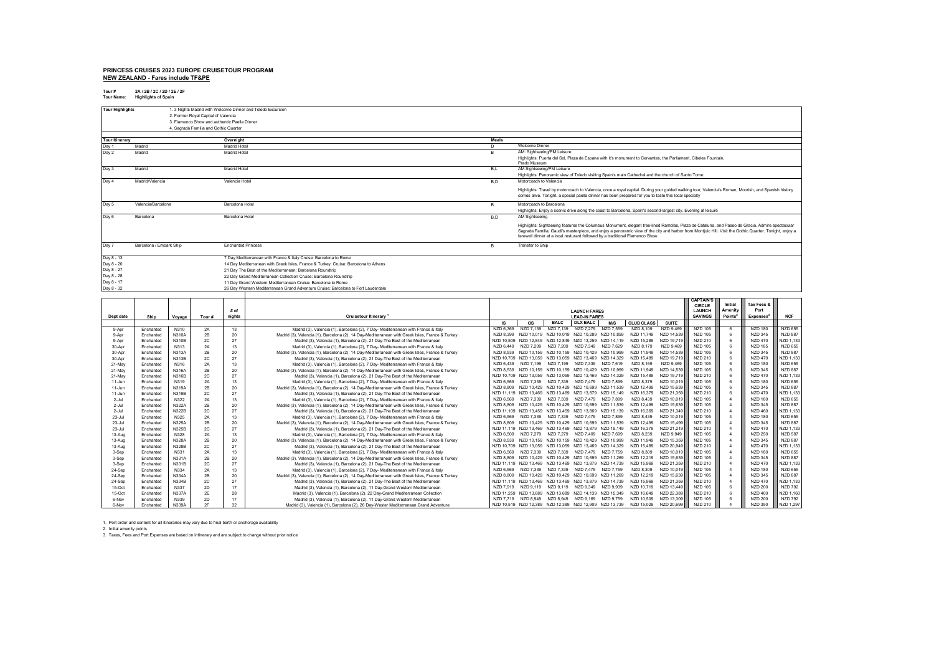#### **PRINCESS CRUISES 2023 EUROPE CRUISETOUR PROGRAM NEW ZEALAND - Fares include TF&PE**

**Tour # 2A / 2B / 2C / 2D / 2E / 2F Tour Name: Highlights of Spain**

| <b>Tour Highlights</b> |                                       |                       | 2. Former Royal Capital of Valencia          |                           | 1. 3 Nights Madrid with Welcome Dinner and Toledo Excursion                                                                                                         |            |                                                                                                                |                                                                                                                                                        |                          |                          |                                  |                      |                                  |                                    |  |  |  |
|------------------------|---------------------------------------|-----------------------|----------------------------------------------|---------------------------|---------------------------------------------------------------------------------------------------------------------------------------------------------------------|------------|----------------------------------------------------------------------------------------------------------------|--------------------------------------------------------------------------------------------------------------------------------------------------------|--------------------------|--------------------------|----------------------------------|----------------------|----------------------------------|------------------------------------|--|--|--|
|                        |                                       |                       | 3. Flamenco Show and authentic Paella Dinner |                           |                                                                                                                                                                     |            |                                                                                                                |                                                                                                                                                        |                          |                          |                                  |                      |                                  |                                    |  |  |  |
|                        |                                       |                       | 4. Sagrada Familia and Gothic Quarter        |                           |                                                                                                                                                                     |            |                                                                                                                |                                                                                                                                                        |                          |                          |                                  |                      |                                  |                                    |  |  |  |
| <b>Tour Itinerary</b>  |                                       |                       |                                              | Overnight                 |                                                                                                                                                                     | Meals      |                                                                                                                |                                                                                                                                                        |                          |                          |                                  |                      |                                  |                                    |  |  |  |
| Day '                  | Madrid                                |                       |                                              | Madrid Hotel              |                                                                                                                                                                     | D          | Welcome Dinner                                                                                                 |                                                                                                                                                        |                          |                          |                                  |                      |                                  |                                    |  |  |  |
| Day 2                  | Madrid                                |                       |                                              | Madrid Hotel              |                                                                                                                                                                     | <b>B</b>   | AM: Sightseeing/PM Leisure                                                                                     |                                                                                                                                                        |                          |                          |                                  |                      |                                  |                                    |  |  |  |
|                        |                                       |                       |                                              |                           |                                                                                                                                                                     |            | Highlights: Puerta del Sol, Plaza de Espana with it's monument to Cervantes, the Parliament, Cibeles Fountain, |                                                                                                                                                        |                          |                          |                                  |                      |                                  |                                    |  |  |  |
| Day 3                  | Madrid                                |                       |                                              | Madrid Hotel              |                                                                                                                                                                     |            | Prado Museum<br>B,L<br>AM Sightseeing/PM Leisure                                                               |                                                                                                                                                        |                          |                          |                                  |                      |                                  |                                    |  |  |  |
|                        |                                       |                       |                                              |                           |                                                                                                                                                                     |            | Highlights: Panoramic view of Toledo visiting Spain's main Cathedral and the church of Santo Tome              |                                                                                                                                                        |                          |                          |                                  |                      |                                  |                                    |  |  |  |
| Day 4                  | Madrid/Valencia                       |                       |                                              | Valencia Hotel            |                                                                                                                                                                     | B,D        | Motorcoach to Valencia                                                                                         |                                                                                                                                                        |                          |                          |                                  |                      |                                  |                                    |  |  |  |
|                        |                                       |                       |                                              |                           |                                                                                                                                                                     |            |                                                                                                                | Highlights: Travel by motorcoach to Valencia, once a royal capital. During your guided walking tour, Valencia's Roman, Moorish, and Spanish history    |                          |                          |                                  |                      |                                  |                                    |  |  |  |
|                        |                                       |                       |                                              |                           |                                                                                                                                                                     |            |                                                                                                                | comes alive. Tonight, a special paella dinner has been prepared for you to taste this local specialty                                                  |                          |                          |                                  |                      |                                  |                                    |  |  |  |
| Day 5                  | Valencia/Barcelona<br>Barcelona Hotel |                       |                                              |                           |                                                                                                                                                                     | B          | Motorcoach to Barcelona                                                                                        |                                                                                                                                                        |                          |                          |                                  |                      |                                  |                                    |  |  |  |
|                        |                                       |                       |                                              |                           |                                                                                                                                                                     |            |                                                                                                                | Highlights: Enjoy a scenic drive along the coast to Barcelona, Spain's second-largest city. Evening at leisure                                         |                          |                          |                                  |                      |                                  |                                    |  |  |  |
| Day 6                  | Barcelona                             |                       |                                              | Barcelona Hotel           |                                                                                                                                                                     | B,D        | AM Sightseeing                                                                                                 |                                                                                                                                                        |                          |                          |                                  |                      |                                  |                                    |  |  |  |
|                        |                                       |                       |                                              |                           |                                                                                                                                                                     |            |                                                                                                                | Highlights: Sightseeing features the Columbus Monument, elegant tree-lined Ramblas, Plaza de Cataluna, and Paseo de Gracia. Admire spectacular         |                          |                          |                                  |                      |                                  |                                    |  |  |  |
|                        |                                       |                       |                                              |                           |                                                                                                                                                                     |            |                                                                                                                | Sagrada Familia, Gaudi's masterpiece, and enjoy a panoramic view of the city and harbor from Montjuic Hill. Visit the Gothic Quarter. Tonight, enjoy a |                          |                          |                                  |                      |                                  |                                    |  |  |  |
|                        |                                       |                       |                                              |                           |                                                                                                                                                                     |            |                                                                                                                | farewell dinner at a local resturant followed by a traditional Flamenco Show.                                                                          |                          |                          |                                  |                      |                                  |                                    |  |  |  |
| Day 7                  | Barcelona / Embark Ship               |                       |                                              | <b>Enchanted Princess</b> |                                                                                                                                                                     | B          | <b>Transfer to Ship</b>                                                                                        |                                                                                                                                                        |                          |                          |                                  |                      |                                  |                                    |  |  |  |
| Day 8 - 13             |                                       |                       |                                              |                           |                                                                                                                                                                     |            |                                                                                                                |                                                                                                                                                        |                          |                          |                                  |                      |                                  |                                    |  |  |  |
| Day 8 - 20             |                                       |                       |                                              |                           | 7 Day Mediterranean with France & Italy Cruise: Barcelona to Rome<br>14 Day Mediterranean with Greek Isles, France & Turkey Cruise: Barcelona to Athens             |            |                                                                                                                |                                                                                                                                                        |                          |                          |                                  |                      |                                  |                                    |  |  |  |
| Day 8 - 27             |                                       |                       |                                              |                           | 21 Day The Best of the Mediterranean: Barcelona Roundtrip                                                                                                           |            |                                                                                                                |                                                                                                                                                        |                          |                          |                                  |                      |                                  |                                    |  |  |  |
| Day 8 - 28             |                                       |                       |                                              |                           | 22 Day Grand Mediterranean Collection Cruise: Barcelona Roundtrip                                                                                                   |            |                                                                                                                |                                                                                                                                                        |                          |                          |                                  |                      |                                  |                                    |  |  |  |
| Day 8 - 17             |                                       |                       |                                              |                           | 11 Day Grand Western Mediterranean Cruise: Barcelona to Rome                                                                                                        |            |                                                                                                                |                                                                                                                                                        |                          |                          |                                  |                      |                                  |                                    |  |  |  |
| Day 8 - 32             |                                       |                       |                                              |                           | 26 Day Western Mediterranean Grand Adventure Cruise: Barcelona to Fort Lauderdale                                                                                   |            |                                                                                                                |                                                                                                                                                        |                          |                          |                                  |                      |                                  |                                    |  |  |  |
|                        |                                       |                       |                                              |                           |                                                                                                                                                                     |            |                                                                                                                |                                                                                                                                                        |                          |                          | <b>CAPTAIN</b>                   |                      |                                  |                                    |  |  |  |
|                        |                                       |                       |                                              |                           |                                                                                                                                                                     |            |                                                                                                                |                                                                                                                                                        |                          |                          | <b>CIRCLE</b>                    | Initial              | Tax Fees &                       |                                    |  |  |  |
|                        |                                       |                       |                                              | # of                      |                                                                                                                                                                     |            |                                                                                                                | <b>LAUNCH FARES</b>                                                                                                                                    |                          |                          | <b>LAUNCH</b>                    | Amenity              | Port                             |                                    |  |  |  |
| Dept date              | Ship                                  | Voyage                | Tour#                                        | nights                    | Cruisetour Itinerary                                                                                                                                                | IS         | <b>OS</b>                                                                                                      | <b>LEAD-IN FARES</b><br>BALC DLX BALC<br><b>M/S</b>                                                                                                    | <b>CLUB CLASS</b>        | <b>SUITE</b>             | <b>SAVINGS</b>                   | Points               | <b>Expenses</b>                  | <b>NCF</b>                         |  |  |  |
| 9-Apr                  | Enchanted                             | N310                  | 2A                                           | 13                        | Madrid (3), Valencia (1), Barcelona (2), 7 Day- Mediterranean with France & Italy                                                                                   | NZD 6.369  | NZD 7.139                                                                                                      | NZD 7.139<br>NZD 7.279<br>NZD 7.559                                                                                                                    | NZD 8.109                | NZD 9.469                | <b>NZD 105</b>                   | 6                    | <b>NZD 180</b>                   | <b>NZD 655</b>                     |  |  |  |
| 9-Apr                  | Enchanted                             | N310A                 | 2B                                           | 20                        | Madrid (3), Valencia (1), Barcelona (2), 14 Day-Mediterranean with Greek Isles, France & Turkey                                                                     | NZD 8,399  | NZD 10,019                                                                                                     | NZD 10,019 NZD 10,289<br>NZD 10,859                                                                                                                    | NZD 11,749               | NZD 14,539               | <b>NZD 105</b>                   | 6                    | <b>NZD 345</b>                   | <b>NZD 887</b>                     |  |  |  |
| 9-Apr                  | Enchanted                             | N310B                 | 2C                                           | 27                        | Madrid (3), Valencia (1), Barcelona (2), 21 Day-The Best of the Mediterranean                                                                                       | NZD 10,509 | NZD 12,849                                                                                                     | NZD 12,849 NZD 13,259<br>NZD 14,119                                                                                                                    | NZD 15,289               | NZD 19,719               | <b>NZD 210</b>                   | 6                    | <b>NZD 470</b>                   | NZD 1,133                          |  |  |  |
| $30-An$                | Enchanted                             | N313                  | 2A                                           | 13                        | Madrid (3), Valencia (1), Barcelona (2), 7 Day- Mediterranean with France & Italy                                                                                   | NZD 6.449  | NZD 7.209                                                                                                      | NZD 7.209<br>NZD 7.349<br>NZD 7.629                                                                                                                    | NZD 8.179                | NZD 9.469                | <b>NZD 105</b>                   | $\mathbf{6}$         | <b>NZD 185</b>                   | <b>NZD 655</b>                     |  |  |  |
| 30-Apr                 | Enchanted                             | N313A<br><b>N313B</b> | 2B<br>2C                                     | 20<br>27                  | Madrid (3), Valencia (1), Barcelona (2), 14 Day-Mediterranean with Greek Isles, France & Turkey                                                                     | NZD 8539   |                                                                                                                | NZD 10,159 NZD 10,159 NZD 10,429 NZD 10,999<br>NZD 10.709 NZD 13.059 NZD 13.059 NZD 13.469 NZD 14.329                                                  | NZD 11.949<br>NZD 15.489 | NZD 14,539<br>NZD 19.719 | <b>NZD 105</b><br><b>NZD 210</b> | $6\overline{6}$<br>6 | <b>NZD 345</b><br><b>NZD 470</b> | <b>NZD 887</b><br><b>NZD 1.133</b> |  |  |  |
| 30-Apr<br>21-May       | Enchanted<br>Enchanted                | N316                  | 2A                                           | 13                        | Madrid (3), Valencia (1), Barcelona (2), 21 Day-The Best of the Mediterranean<br>Madrid (3), Valencia (1), Barcelona (2), 7 Day- Mediterranean with France & Italy  | NZD 6,439  |                                                                                                                | NZD 7.199 NZD 7.199<br>NZD 7.339<br>NZD 7.619                                                                                                          | NZD 8.169                | NZD 9.469                | <b>NZD 105</b>                   | $6\overline{6}$      | <b>NZD 180</b>                   | <b>NZD 655</b>                     |  |  |  |
| 21-May                 | Enchanted                             | N316A                 | 2B                                           | 20                        | Madrid (3), Valencia (1), Barcelona (2), 14 Day-Mediterranean with Greek Isles, France & Turkey                                                                     | NZD 8,539  |                                                                                                                | NZD 10,159 NZD 10,159 NZD 10,429 NZD 10,999                                                                                                            | NZD 11,949               | NZD 14,539               | <b>NZD 105</b>                   | 6                    | <b>NZD 345</b>                   | <b>NZD 887</b>                     |  |  |  |
| 21-May                 | Enchanted                             | <b>N316B</b>          | 2C                                           | 27                        | Madrid (3), Valencia (1), Barcelona (2), 21 Day-The Best of the Mediterranean                                                                                       | NZD 10.709 |                                                                                                                | NZD 13.059 NZD 13.059 NZD 13.469 NZD 14.329                                                                                                            | NZD 15.489               | NZD 19.719               | NZD 210                          | $6\overline{6}$      | <b>NZD 470</b>                   | NZD 1,133                          |  |  |  |
| 11-Jun                 | Enchanted                             | N319                  | 2A                                           | 13                        | Madrid (3), Valencia (1), Barcelona (2), 7 Day- Mediterranean with France & Italy                                                                                   | NZD 6569   | NZD 7339                                                                                                       | NZD 7.339<br>NZD 7.479 NZD 7.899                                                                                                                       | NZD 8.379                | NZD 10,019               | <b>NZD 105</b>                   | $6\overline{6}$      | <b>NZD 180</b>                   | <b>NZD 655</b>                     |  |  |  |
| 11-Jun<br>$11 - Jun$   | Enchanted                             | N319A<br>N319B        | 2B                                           | 20<br>27                  | Madrid (3), Valencia (1), Barcelona (2), 14 Day-Mediterranean with Greek Isles, France & Turkey                                                                     | NZD 8,809  |                                                                                                                | NZD 10,429 NZD 10,429 NZD 10,699 NZD 11,539<br>NZD 11,119 NZD 13,469 NZD 13,469 NZD 13,879 NZD 15,149                                                  | NZD 12,499<br>NZD 16,379 | NZD 15,639<br>NZD 21,359 | <b>NZD 105</b><br><b>NZD 210</b> | 6<br>$6\overline{6}$ | <b>NZD 345</b><br><b>NZD 470</b> | <b>NZD 887</b><br><b>NZD 1,133</b> |  |  |  |
| 2-Jul                  | Enchanted<br>Enchanted                | N322                  | 2C<br>2A                                     | 13                        | Madrid (3), Valencia (1), Barcelona (2), 21 Day-The Best of the Mediterranean<br>Madrid (3), Valencia (1), Barcelona (2), 7 Day- Mediterranean with France & Italy  | NZD 6,569  | NZD 7339                                                                                                       | NZD 7.339<br>NZD 7.479 NZD 7.899                                                                                                                       | NZD 8.439                | NZD 10.019               | <b>NZD 105</b>                   |                      | <b>NZD 180</b>                   | <b>NZD 655</b>                     |  |  |  |
| $2 -$ Jul              | Enchanted                             | N322A                 | 2B                                           | 20                        | Madrid (3), Valencia (1), Barcelona (2), 14 Day-Mediterranean with Greek Isles, France & Turkey                                                                     | NZD 8,809  | NZD 10,429                                                                                                     | NZD 10,429<br>NZD 10,699 NZD 11,539                                                                                                                    | NZD 12,499               | NZD 15,639               | <b>NZD 105</b>                   |                      | <b>NZD 345</b>                   | <b>NZD 887</b>                     |  |  |  |
| $2-Ju$                 | Enchanted                             | N322B                 | 2C                                           | 27                        | Madrid (3), Valencia (1), Barcelona (2), 21 Day-The Best of the Mediterranean                                                                                       |            |                                                                                                                | NZD 11,109 NZD 13,459 NZD 13,459 NZD 13,869 NZD 15,139                                                                                                 | NZD 16 369               | NZD 21,349               | <b>NZD 210</b>                   |                      | <b>NZD 460</b>                   | <b>NZD 1,133</b>                   |  |  |  |
| $23 -$ Jul             | Enchanted                             | N325                  | 2A                                           | 13                        | Madrid (3), Valencia (1), Barcelona (2), 7 Day- Mediterranean with France & Italy                                                                                   | NZD 6,569  | NZD 7.339                                                                                                      | NZD 7.339<br>NZD 7.479 NZD 7.899                                                                                                                       | NZD 8.439                | NZD 10,019               | <b>NZD 105</b>                   |                      | <b>NZD 180</b>                   | <b>NZD 655</b>                     |  |  |  |
| $23 -$ Jul             | Enchanted                             | N325A                 | 2B                                           | 20                        | Madrid (3), Valencia (1), Barcelona (2), 14 Day-Mediterranean with Greek Isles, France & Turkey                                                                     | NZD 8 809  |                                                                                                                | NZD 10,429 NZD 10,429 NZD 10,699 NZD 11,539<br>NZD 11.119 NZD 13.469 NZD 13.469 NZD 13.879 NZD 15.149                                                  | NZD 12.499<br>NZD 16.379 | NZD 15,499<br>NZD 21.219 | <b>NZD 105</b><br><b>NZD 210</b> | $\overline{4}$       | <b>NZD 345</b><br><b>NZD 470</b> | <b>NZD 887</b><br><b>NZD 1,133</b> |  |  |  |
| 23-Jul<br>13-Aug       | Enchanted<br>Enchanted                | N325B<br>N328         | 2C<br>2A                                     | 27<br>13                  | Madrid (3), Valencia (1), Barcelona (2), 21 Day-The Best of the Mediterranean<br>Madrid (3), Valencia (1), Barcelona (2), 7 Day- Mediterranean with France & Italy  | NZD 6,509  | NZD 7,279                                                                                                      | NZD 7,279<br>NZD 7,409<br>NZD 7,699                                                                                                                    | NZD 8,239                | NZD 9,949                | <b>NZD 105</b>                   | $\overline{a}$       | <b>NZD 250</b>                   | <b>NZD 587</b>                     |  |  |  |
| 13-Aug                 | Enchanted                             | N328A                 | 2B                                           | 20                        | Madrid (3), Valencia (1), Barcelona (2), 14 Day-Mediterranean with Greek Isles, France & Turkey                                                                     | NZD 8,539  |                                                                                                                | NZD 10,159 NZD 10,159 NZD 10,429 NZD 10,999                                                                                                            | NZD 11 949               | NZD 15,359               | <b>NZD 105</b>                   |                      | <b>NZD 345</b>                   | <b>NZD 887</b>                     |  |  |  |
| 13-Aug                 | Enchanted                             | N328B                 | 2C                                           | 27                        | Madrid (3), Valencia (1), Barcelona (2), 21 Day-The Best of the Mediterranean                                                                                       |            |                                                                                                                | NZD 10.709 NZD 13.059 NZD 13.059 NZD 13.469 NZD 14.329                                                                                                 | NZD 15 489               | NZD 20.949               | NZD 210                          |                      | <b>NZD 470</b>                   | <b>NZD 1,133</b>                   |  |  |  |
| 3-Sep                  | Enchanted                             | N331                  | 2A                                           | 13                        | Madrid (3), Valencia (1), Barcelona (2), 7 Day- Mediterranean with France & Italy                                                                                   | NZD 6569   | NZD 7339                                                                                                       | NZD 7,339<br>NZD 7,479 NZD 7,759                                                                                                                       | NZD 8.309                | NZD 10,019               | <b>NZD 105</b>                   |                      | <b>NZD 180</b>                   | <b>NZD 655</b>                     |  |  |  |
| 3-Sep                  | Enchanted                             | N331A                 | 2B                                           | 20                        | Madrid (3), Valencia (1), Barcelona (2), 14 Day-Mediterranean with Greek Isles, France & Turkey                                                                     | NZD 8 809  |                                                                                                                | NZD 10,429 NZD 10,429 NZD 10,699 NZD 11,269<br>NZD 11.119 NZD 13.469 NZD 13.469 NZD 13.879 NZD 14.739                                                  | NZD 12 219<br>NZD 15 969 | NZD 15,639<br>NZD 21.359 | <b>NZD 105</b><br><b>NZD 210</b> |                      | <b>NZD 345</b><br><b>NZD 470</b> | <b>NZD 887</b><br><b>NZD 1,133</b> |  |  |  |
| 3-Sep<br>24-Sep        | Enchanted<br>Enchanted                | N331B<br>N334         | 2C<br>2A                                     | 27<br>13                  | Madrid (3), Valencia (1), Barcelona (2), 21 Day-The Best of the Mediterranean<br>Madrid (3), Valencia (1), Barcelona (2), 7 Day- Mediterranean with France & Italy  | NZD 6569   | NZD 7339                                                                                                       | NZD 7,339<br>NZD 7,479<br>NZD 7,759                                                                                                                    | NZD 8,309                | NZD 10,019               | <b>NZD 105</b>                   |                      | <b>NZD 180</b>                   | <b>NZD 655</b>                     |  |  |  |
| 24-Sep                 | Enchanted                             | N334A                 | 2B                                           | 20                        | Madrid (3), Valencia (1), Barcelona (2), 14 Day-Mediterranean with Greek Isles, France & Turkey                                                                     | NZD 8,809  |                                                                                                                | NZD 10,429 NZD 10,429 NZD 10,699 NZD 11,269                                                                                                            | NZD 12,219               | NZD 15,639               | <b>NZD 105</b>                   |                      | <b>NZD 345</b>                   | <b>NZD 887</b>                     |  |  |  |
| 24-Sep                 | Enchanted                             | N334B                 | 2C                                           | 27                        | Madrid (3), Valencia (1), Barcelona (2), 21 Day-The Best of the Mediterranean                                                                                       |            |                                                                                                                | NZD 11.119 NZD 13.469 NZD 13.469 NZD 13.879 NZD 14.739                                                                                                 | NZD 15,969               | NZD 21,359               | <b>NZD 210</b>                   |                      | <b>NZD 470</b>                   | <b>NZD 1,133</b>                   |  |  |  |
| 15-Oct                 | Enchanted                             | N337                  | 2D                                           | 17                        | Madrid (3), Valencia (1), Barcelona (2), 11 Day-Grand Western Mediterranean                                                                                         | NZD 7 919  |                                                                                                                | NZD 9.119 NZD 9.119<br>NZD 9.349<br>NZD 9.939                                                                                                          | NZD 10.719               | NZD 13,449               | <b>NZD 105</b>                   |                      | <b>NZD 200</b>                   | <b>NZD 792</b>                     |  |  |  |
| 15-Oct                 | Enchanted                             | N337A                 | 2E                                           | 28                        | Madrid (3), Valencia (1), Barcelona (2), 22 Day-Grand Mediterranean Collection                                                                                      |            |                                                                                                                | NZD 11,259 NZD 13,689 NZD 13,689 NZD 14,139 NZD 15,349                                                                                                 | NZD 16.649               | NZD 22.389               | <b>NZD 210</b>                   | 6                    | <b>NZD 400</b>                   | <b>NZD 1,160</b>                   |  |  |  |
| 6-Nov                  | Enchanted<br>Enchanted                | N339<br>N339A         | 2D                                           | 17<br>32                  | Madrid (3), Valencia (1), Barcelona (2), 11 Day-Grand Western Mediterranean<br>Madrid (3), Valencia (1), Barcelona (2), 26 Day-Wester Mediterranean Grand Adventure |            |                                                                                                                | NZD 7,719 NZD 8,949 NZD 8,949 NZD 9,169 NZD 9,759<br>NZD 10,519 NZD 12,389 NZD 12,389 NZD 12,909 NZD 13,739                                            | NZD 10,509<br>NZD 15.029 | NZD 13,309<br>NZD 20.699 | <b>NZD 105</b><br>NZD 210        | 6<br>$\Delta$        | <b>NZD 200</b><br><b>NZD 350</b> | <b>NZD 792</b><br><b>NZD 1,297</b> |  |  |  |
| 6-Nov                  |                                       |                       |                                              |                           |                                                                                                                                                                     |            |                                                                                                                |                                                                                                                                                        |                          |                          |                                  |                      |                                  |                                    |  |  |  |

1. Port order and content for all itineraries may vary due to final berth or anchorage availability<br>2. Initial amenity points<br>3. Taxes, Fees and Port Expenses are based on intinerary and are subject to change without pr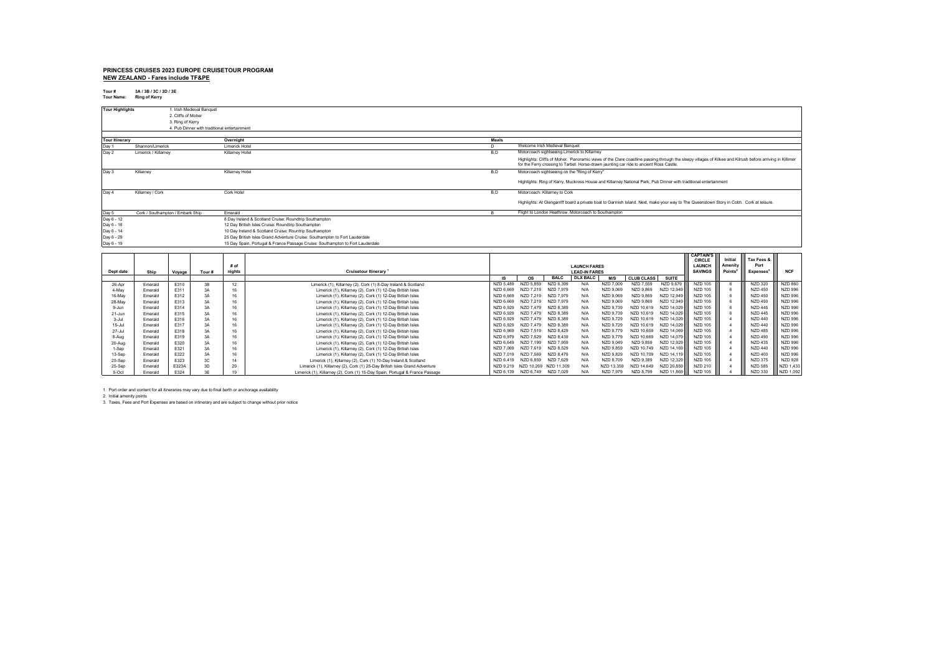# **PRINCESS CRUISES 2023 EUROPE CRUISETOUR PROGRAM**

**NEW ZEALAND - Fares include TF&PE**

**Tour # 3A / 3B / 3C / 3D / 3E Tour Name: Ring of Kerry**

| <b>Tour Highlights</b> | 1. Irish Medieval Banquet                   |                                                                                |       |                                                                                                                                                                                                                                                      |
|------------------------|---------------------------------------------|--------------------------------------------------------------------------------|-------|------------------------------------------------------------------------------------------------------------------------------------------------------------------------------------------------------------------------------------------------------|
|                        | 2. Cliffs of Moher                          |                                                                                |       |                                                                                                                                                                                                                                                      |
|                        | 3. Ring of Kerry                            |                                                                                |       |                                                                                                                                                                                                                                                      |
|                        | 4 Pub Dinner with traditional entertainment |                                                                                |       |                                                                                                                                                                                                                                                      |
|                        |                                             |                                                                                |       |                                                                                                                                                                                                                                                      |
| <b>Tour Itinerary</b>  |                                             | Overnight                                                                      | Meals |                                                                                                                                                                                                                                                      |
| Day 1                  | Shannon/Limerick                            | Limerick Hotel                                                                 | D.    | Welcome Irish Medieval Banquet                                                                                                                                                                                                                       |
| Day 2                  | Limerick / Killarney                        | Killarney Hotel                                                                | B,D   | Motorcoach sightseeing Limerick to Killarney                                                                                                                                                                                                         |
|                        |                                             |                                                                                |       | Highlights: Cliffs of Moher. Panoramic views of the Clare coastline passing through the sleepy villages of Kilkee and Kilrush before arriving in Killimer<br>for the Ferry crossing to Tarbet. Horse-drawn jaunting car ride to ancient Ross Castle. |
| Day 3                  | Killarney                                   | Killarney Hotel                                                                | B,D   | Motorcoach sightseeing on the "Ring of Kerry"                                                                                                                                                                                                        |
|                        |                                             |                                                                                |       | Highlights: Ring of Kerry, Muckross House and Killarney National Park, Pub Dinner with traditional entertainment                                                                                                                                     |
| Day 4                  | Killarney / Cork                            | Cork Hotel                                                                     | B.D   | Motorcoach: Killarney to Cork                                                                                                                                                                                                                        |
|                        |                                             |                                                                                |       | Highlights: At Glengarriff board a private boat to Garinish Island. Next, make your way to The Queenstown Story in Cobh. Cork at leisure.                                                                                                            |
| Day 5                  | Cork / Southampton / Embark Ship            | Emerald                                                                        |       | Flight to London Heathrow, Motorcoach to Southampton                                                                                                                                                                                                 |
| Day 6 - 12             |                                             | 8 Day Ireland & Scotland Cruise: Roundtrip Southampton                         |       |                                                                                                                                                                                                                                                      |
| Day 6 - 16             |                                             | 12 Day British Isles Cruise: Roundtrip Southampton                             |       |                                                                                                                                                                                                                                                      |
| Day 6 - 14             |                                             | 10 Day Ireland & Scotland Cruise: Rountrip Southampton                         |       |                                                                                                                                                                                                                                                      |
| Day 6 - 29             |                                             | 25 Day British Isles Grand Adventure Cruise: Southampton to Fort Lauderdale    |       |                                                                                                                                                                                                                                                      |
| Day 6 - 19             |                                             | 15 Day Spain, Portugal & France Passage Cruise: Southampton to Fort Lauderdale |       |                                                                                                                                                                                                                                                      |

|            |         |        |       |        |                                                                              |           |            |             |                      |            |                   |              | <b>CAPTAIN'S</b> |                     |                |                |
|------------|---------|--------|-------|--------|------------------------------------------------------------------------------|-----------|------------|-------------|----------------------|------------|-------------------|--------------|------------------|---------------------|----------------|----------------|
|            |         |        |       |        |                                                                              |           |            |             |                      |            |                   |              | <b>CIRCLE</b>    | Initial             | Tax Fees &     |                |
|            |         |        |       | # of   |                                                                              |           |            |             | <b>LAUNCH FARES</b>  |            |                   |              | LAUNCH           | Amenity             | Port           |                |
| Dept date  | Ship    | Voyage | Tour# | nights | <b>Cruisetour Itinerary</b>                                                  |           |            |             | <b>LEAD-IN FARES</b> |            |                   |              | <b>SAVINGS</b>   | Points <sup>2</sup> | Expenses       | <b>NCF</b>     |
|            |         |        |       |        |                                                                              |           | <b>OS</b>  | <b>BALC</b> | <b>DLX BALC</b>      | M/S        | <b>CLUB CLASS</b> | <b>SUITE</b> |                  |                     |                |                |
| 26-Apr     | Emerald | E310   | 3B    | 12     | Limerick (1), Killamey (2), Cork (1) 8-Day Ireland & Scotland                | NZD 5.489 | NZD 5.859  | NZD 6.399   | N/A                  | NZD 7.009  | NZD 7.559         | NZD 9.679    | <b>NZD 105</b>   |                     | <b>NZD 320</b> | <b>NZD 860</b> |
| 4-May      | Emerald | E311   | 3A    | 16     | Limerick (1), Killarney (2), Cork (1) 12-Day British Isles                   | NZD 6.669 | NZD 7.219  | NZD 7.979   | N/A                  | NZD 9.069  | NZD 9.869         | NZD 12.949   | NZD 105          |                     | <b>NZD 450</b> | <b>NZD 996</b> |
| 16-May     | Emerald | E312   | 3A    | 16     | Limerick (1), Killarney (2), Cork (1) 12-Day British Isles                   | NZD 6.669 | NZD 7.219  | NZD 7.979   | N/A                  | NZD 9,069  | NZD 9.869         | NZD 12.949   | <b>NZD 105</b>   |                     | <b>NZD 450</b> | <b>NZD 996</b> |
| 28-May     | Emerald | E313   | 3A    | 16     | Limerick (1), Killarney (2), Cork (1) 12-Day British Isles                   | NZD 6.669 | NZD 7.219  | NZD 7.979   | N/A                  | NZD 9,069  | NZD 9.869         | NZD 12.949   | <b>NZD 105</b>   |                     | <b>NZD 450</b> | <b>NZD 996</b> |
| 9-Jun      | Emerald | E314   | 3A    | 16     | Limerick (1), Killarney (2), Cork (1) 12-Day British Isles                   | NZD 6.929 | NZD 7.479  | NZD 8.389   |                      | NZD 9.739  | NZD 10.619        | NZD 14.029   | NZD 105          |                     | <b>NZD 445</b> | <b>NZD 996</b> |
| 21-Jun     | Emerald | E315   | 3A    | 16     | Limerick (1), Killarney (2), Cork (1) 12-Day British Isles                   | NZD 6.929 | NZD 7479   | NZD 8.389   | N/A                  | NZD 9.739  | NZD 10.619        | NZD 14.029   | NZD 105          |                     | <b>NZD 445</b> | <b>NZD 996</b> |
| 3-Jul      | Emerald | E316   | 3A    | 16     | Limerick (1), Killarney (2), Cork (1) 12-Day British Isles                   | NZD 6.929 | NZD 7.479  | NZD 8.389   | N/L                  | NZD 9.729  | NZD 10.619        | NZD 14.029   | NZD 105          |                     | <b>NZD 440</b> | <b>NZD 996</b> |
| $15 -$ Jul | Emerald | E317   | 3A    | 16     | Limerick (1), Killarney (2), Cork (1) 12-Day British Isles                   | NZD 6.929 | NZD 7.479  | NZD 8.389   | N/A                  | NZD 9.729  | NZD 10.619        | NZD 14.029   | <b>NZD 105</b>   |                     | <b>NZD 440</b> | <b>NZD 996</b> |
| $27 -$ Jul | Emerald | E318   | 3A    | 16     | Limerick (1), Killarney (2), Cork (1) 12-Day British Isles                   | NZD 6.969 | NZD 7.519  | NZD 8.429   | N/L                  | NZD 9.779  | NZD 10.659        | NZD 14.069   | NZD 105          |                     | <b>NZD 485</b> | <b>NZD 996</b> |
| 8-Aug      | Emerald | E319   | 3A    | 16     | Limerick (1), Killarney (2), Cork (1) 12-Day British Isles                   | NZD 6.979 | NZD 7.529  | NZD 8.439   | N/L                  | NZD 9.779  | NZD 10.669        | NZD 14.079   | NZD 105          |                     | <b>NZD 490</b> | <b>NZD 996</b> |
| 20-Aug     | Emerald | E320   | 3A    | 16     | Limerick (1), Killarney (2), Cork (1) 12-Day British Isles                   | NZD 6.649 | NZD 7.199  | NZD 7.959   | N/A                  | NZD 9.049  | NZD 9.859         | NZD 12.929   | <b>NZD 105</b>   |                     | <b>NZD 435</b> | <b>NZD 996</b> |
| 1-Sep      | Emerald | E321   | 3A    | 16     | Limerick (1), Killarney (2), Cork (1) 12-Day British Isles                   | NZD 7.069 | NZD 7.619  | NZD 8.529   | N/L                  | NZD 9.859  | NZD 10.749        | NZD 14.169   | NZD 105          |                     | <b>NZD 440</b> | <b>NZD 996</b> |
| 13-Sep     | Emerald | E322   | 3A    | 16     | Limerick (1), Killarney (2), Cork (1) 12-Day British Isles                   | NZD 7.019 | NZD 7.569  | NZD 8.479   | N/A                  | NZD 9.829  | NZD 10.709        | NZD 14.119   | <b>NZD 105</b>   |                     | <b>NZD 400</b> | <b>NZD 996</b> |
| 25-Sep     | Emerald | E323   | 3C    | 14     | Limerick (1), Killarney (2), Cork (1) 10-Day Ireland & Scotland              | NZD 6.419 | NZD 6.859  | NZD 7.629   | N/L                  | NZD 8.709  | NZD 9.389         | NZD 12,329   | <b>NZD 105</b>   |                     | <b>NZD 375</b> | <b>NZD 928</b> |
| 25-Sep     | Emerald | E323A  | 3D    | 29     | Limerick (1), Killarney (2), Cork (1) 25-Day British Isles Grand Adventure   | NZD 9.219 | NZD 10.269 | NZD 11.309  |                      | NZD 13.359 | NZD 14.649        | NZD 20.859   | NZD 210          |                     | <b>NZD 585</b> | NZD 1.433      |
| 5-Oct      | Emerald | E324   |       |        | Limerick (1), Killamev (2), Cork (1) 15-Day Spain, Portugal & France Passage | NZD 6.139 | NZD 6.749  | NZD 7.029   | N/A                  | NZD 7.979  | NZD 8.799         | NZD 11,869   | <b>NZD 105</b>   |                     | <b>NZD 330</b> | NZD 1.092      |

1. Port order and content for all itineraries may vary due to final berth or anchorage availability

2. Initial amenity points 3. Taxes, Fees and Port Expenses are based on intinerary and are subject to change without prior notice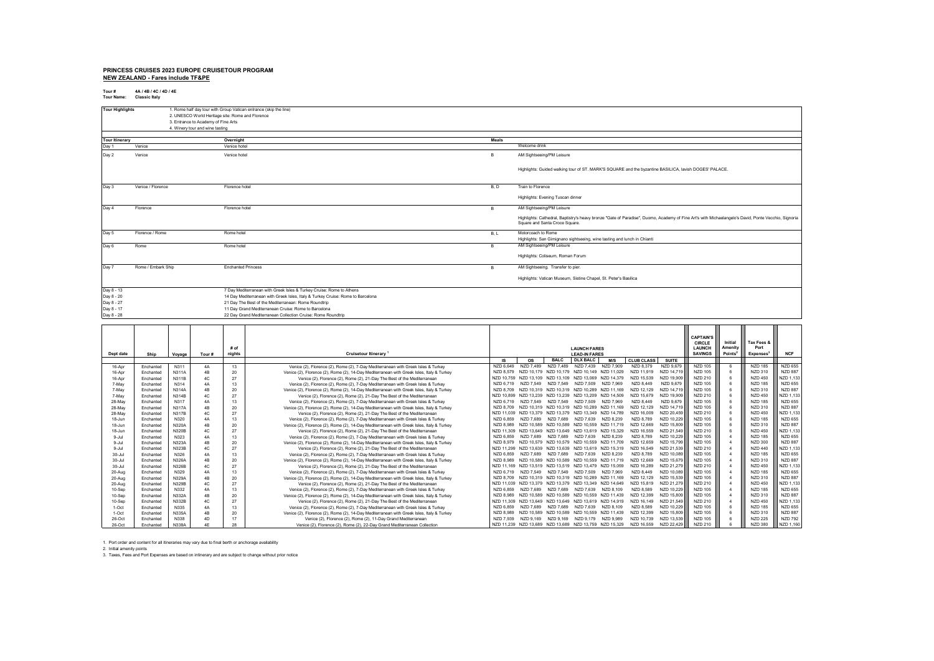#### **PRINCESS CRUISES 2023 EUROPE CRUISETOUR PROGRAM NEW ZEALAND - Fares include TF&PE**

**Tour # 4A / 4B / 4C / 4D / 4E Tour Name: Classic Italy**

| <b>Tour Highlights</b> |                    | 1. Rome half day tour with Group Vatican entrance (skip the line)               |       |                                                                                                                                                                                        |
|------------------------|--------------------|---------------------------------------------------------------------------------|-------|----------------------------------------------------------------------------------------------------------------------------------------------------------------------------------------|
|                        |                    | 2. UNESCO World Heritage site: Rome and Florence                                |       |                                                                                                                                                                                        |
|                        |                    | 3. Entrance to Academy of Fine Arts                                             |       |                                                                                                                                                                                        |
|                        |                    | 4. Winery tour and wine tasting                                                 |       |                                                                                                                                                                                        |
|                        |                    |                                                                                 |       |                                                                                                                                                                                        |
| <b>Tour Itinerary</b>  |                    | Overnight                                                                       | Meals |                                                                                                                                                                                        |
| Day 1                  | Venice             | Venice hotel                                                                    |       | Welcome drink                                                                                                                                                                          |
| Day 2                  | Venice             | Venice hotel                                                                    | B     | AM Sightseeing/PM Leisure                                                                                                                                                              |
|                        |                    |                                                                                 |       | Highlights: Guided walking tour of ST. MARK'S SQUARE and the byzantine BASILICA, lavish DOGES' PALACE.                                                                                 |
| Day 3                  | Venice / Florence  | Florence hotel                                                                  | B, D  | Train to Florence                                                                                                                                                                      |
|                        |                    |                                                                                 |       | Highlights: Evening Tuscan dinner                                                                                                                                                      |
| Day 4                  | Florence           | Florence hotel                                                                  | B.    | AM Sightseeing/PM Leisure                                                                                                                                                              |
|                        |                    |                                                                                 |       | Highlights: Cathedral, Baptistry's heavy bronze "Gate of Paradise", Duomo, Academy of Fine Art's with Michaelangelo's David, Ponte Vecchio, Signoria<br>Square and Santa Croce Square. |
| Day 5                  | Florence / Rome    | Rome hotel                                                                      | B, L  | Motorcoach to Rome                                                                                                                                                                     |
|                        |                    |                                                                                 |       | Highlights: San Gimignano sightseeing, wine tasting and lunch in Chianti                                                                                                               |
| Day 6                  | Rome               | Rome hotel                                                                      | B     | AM Sightseeing/PM Leisure                                                                                                                                                              |
|                        |                    |                                                                                 |       | Highlights: Coliseum, Roman Forum                                                                                                                                                      |
| Day 7                  | Rome / Embark Ship | <b>Enchanted Princess</b>                                                       | B     | AM Sightseeing. Transfer to pier.                                                                                                                                                      |
|                        |                    |                                                                                 |       | Highlights: Vatican Museum, Sistine Chapel, St. Peter's Basilica                                                                                                                       |
| Day 8 - 13             |                    | 7 Day Mediterranean with Greek Isles & Turkey Cruise: Rome to Athens            |       |                                                                                                                                                                                        |
| Day 8 - 20             |                    | 14 Day Mediterranean with Greek Isles, Italy & Turkey Cruise: Rome to Barcelona |       |                                                                                                                                                                                        |
| Day 8 - 27             |                    | 21 Day The Best of the Mediterranean: Rome Roundtrip                            |       |                                                                                                                                                                                        |
| Day 8 - 17             |                    | 11 Day Grand Mediterranean Cruise: Rome to Barcelona                            |       |                                                                                                                                                                                        |
| Day 8 - 28             |                    | 22 Day Grand Mediterranean Collection Cruise: Rome Roundtrip                    |       |                                                                                                                                                                                        |

|            |           |              |                |        |                                                                                           |                 |                                                        |                 |                                             | <b>CAPTAIN'S</b> |                   |              |                |                     |                 |                |
|------------|-----------|--------------|----------------|--------|-------------------------------------------------------------------------------------------|-----------------|--------------------------------------------------------|-----------------|---------------------------------------------|------------------|-------------------|--------------|----------------|---------------------|-----------------|----------------|
|            |           |              |                |        |                                                                                           |                 |                                                        |                 |                                             |                  | <b>CIRCLE</b>     | Initial      | Tax Fees &     |                     |                 |                |
|            |           |              |                | $#$ of |                                                                                           |                 | <b>LAUNCH FARES</b>                                    |                 |                                             |                  | <b>LAUNCH</b>     | Amenity      | Port           |                     |                 |                |
| Dept date  | Ship      | Voyage       | Tour#          | nights | <b>Cruisetour Itinerary</b>                                                               |                 |                                                        |                 | <b>LEAD-IN FARES</b>                        |                  |                   |              | <b>SAVINGS</b> | Points <sup>2</sup> | <b>Expenses</b> | <b>NCF</b>     |
|            |           |              |                |        |                                                                                           | IS.             | <b>OS</b>                                              | <b>BALC</b>     | <b>DLX BALC</b>                             | M/S              | <b>CLUB CLASS</b> | <b>SUITE</b> |                |                     |                 |                |
| 16-Apr     | Enchanted | N311         | 4A             | 13     | Venice (2), Florence (2), Rome (2), 7-Day Mediterranean with Greek Isles & Turkey         | NZD 6.649       | NZD 7.489                                              | NZD 7.489       | NZD 7.439                                   | NZD 7.909        | NZD 8.379         | NZD 9.679    | <b>NZD 105</b> |                     | <b>NZD 185</b>  | <b>NZD 655</b> |
| 16-Apr     | Enchanted | N311A        | 4B             | 20     | Venice (2), Florence (2), Rome (2), 14-Day Mediterranean with Greek Isles, Italy & Turkey | NZD 8.579       | NZD 10 179                                             | NZD 10.179      | NZD 10.149 NZD 11.029                       |                  | NZD 11.919        | NZD 14 719   | <b>NZD 105</b> |                     | NZD 310         | <b>NZD 887</b> |
| 16-Apr     | Enchanted | <b>N311B</b> | AC             | 27     | Venice (2), Florence (2), Rome (2), 21-Day The Best of the Mediterranean                  | NZD 10.759      | NZD 13 109                                             | NZD 13 109      | NZD 13.069                                  | NZD 14.379       | NZD 15.539        | NZD 19.909   | NZD 210        |                     | <b>NZD 450</b>  | NZD 1.133      |
| 7-May      | Enchanted | N314         | 4A             | 13     | Venice (2). Florence (2). Rome (2). 7-Day Mediterranean with Greek Isles & Turkey         | NZD 6719        | NZD 7549                                               | NZD 7.549       | NZD 7509                                    | NZD 7.969        | NZD 8.449         | NZD 9.679    | <b>NZD 105</b> |                     | <b>NZD 185</b>  | <b>NZD 655</b> |
| 7-May      | Enchanted | <b>N314A</b> | 4 <sub>R</sub> | 20     | Venice (2), Florence (2), Rome (2), 14-Day Mediterranean with Greek Isles, Italy & Turkey | NZD 8709        |                                                        |                 | NZD 10.319 NZD 10.319 NZD 10.289 NZD 11.169 |                  | NZD 12.129        | NZD 14.719   | NZD 105        |                     | <b>NZD 310</b>  | <b>NZD 887</b> |
| 7-May      | Enchanted | N314B        | 4C             | 27     | Venice (2), Florence (2), Rome (2), 21-Day The Best of the Mediterranean                  | NZD 10.899      | NZD 13 239                                             | NZD 13 239      | NZD 13.209 NZD 14.509                       |                  | NZD 15.679        | NZD 19 909   | NZD 210        |                     | <b>NZD 450</b>  | NZD 1.133      |
| 28-May     | Enchanted | N317         | 4A             | 13     | Venice (2), Florence (2), Rome (2), 7-Day Mediterranean with Greek Isles & Turkey         | NZD 6.719       | NZD 7549                                               | NZD 7549        | NZD 7509                                    | NZD 7.969        | NZD 8.449         | NZD 9.679    | <b>NZD 105</b> |                     | <b>NZD 185</b>  | <b>NZD 655</b> |
| 28-May     | Enchanted | <b>N317A</b> | 4B             | 20     | Venice (2), Florence (2), Rome (2), 14-Day Mediterranean with Greek Isles, Italy & Turkey | NZD 8.709       | NZD 10 319                                             | NZD 10.319      | NZD 10.289 NZD 11.169                       |                  | NZD 12.129        | NZD 14.719   | <b>NZD 105</b> |                     | <b>NZD 310</b>  | <b>NZD 887</b> |
| 28-May     | Enchanted | <b>N317B</b> | AC             | 27     | Venice (2), Florence (2), Rome (2), 21-Day The Best of the Mediterranean                  | NZD 11.039      | NZD 13 379                                             | NZD 13.379      | NZD 13.349 NZD 14.789                       |                  | NZD 16.009        | NZD 20.459   | NZD 210        |                     | <b>NZD 450</b>  | NZD 1.133      |
| 18-Jun     | Enchanted | N320         | 4A             | 13     | Venice (2). Florence (2). Rome (2). 7-Day Mediterranean with Greek Isles & Turkey         | NZD 6.859       | NZD 7689                                               | NZD 7 689       | NZD 7639                                    | NZD 8.239        | NZD 8.789         | NZD 10.229   | <b>NZD 105</b> |                     | <b>NZD 185</b>  | <b>NZD 655</b> |
| 18-Jun     | Enchanted | N320A        | 4B             | 20     | Venice (2), Florence (2), Rome (2), 14-Day Mediterranean with Greek Isles, Italy & Turkey | NZD 8.989       | NZD 10 589                                             | NZD 10 589      | NZD 10.559 NZD 11.719                       |                  | NZD 12.669        | NZD 15.809   | <b>NZD 105</b> |                     | <b>NZD 310</b>  | <b>NZD 887</b> |
| 18-Jun     | Enchanted | <b>N320B</b> | AC             | 27     | Venice (2), Florence (2), Rome (2), 21-Day The Best of the Mediterranean                  | NZD 11.309      | NZD 13 649                                             | NZD 13 649      | NZD 13 619 NZD 15 329                       |                  | NZD 16.559        | NZD 21.549   | NZD 210        |                     | <b>NZD 450</b>  | NZD 1.133      |
| $9 -$ Jul  | Enchanted | N323         | 4A             | 13     | Venice (2), Florence (2), Rome (2), 7-Day Mediterranean with Greek Isles & Turkey         | NZD 6859        | NZD 7689                                               | NZD 7689        | NZD 7.639                                   | NZD 8.239        | NZD 8.789         | NZD 10.229   | <b>NZD 105</b> |                     | <b>NZD 185</b>  | <b>NZD 655</b> |
| $9 -$ Jul  | Enchanted | N323A        | 4B             | 20     | Venice (2), Florence (2), Rome (2), 14-Day Mediterranean with Greek Isles, Italy & Turkey | NZD 8.979       | NZD 10.579                                             | NZD 10.579      | NZD 10.559                                  | NZD 11.709       | NZD 12.659        | NZD 15.799   | <b>NZD 105</b> |                     | <b>NZD 300</b>  | <b>NZD 887</b> |
| $9 -$ Jul  | Enchanted | <b>N323B</b> | 4C             | 27     | Venice (2), Florence (2), Rome (2), 21-Day The Best of the Mediterranean                  | NZD 11.299      | NZD 13 639                                             | NZD 13 639      | NZD 13.619 NZD 15.319                       |                  | NZD 16.549        | NZD 21.539   | NZD 210        |                     | <b>NZD 440</b>  | NZD 1.133      |
| $30 -$ Jul | Enchanted | N326         | 4A             | 13     | Venice (2), Florence (2), Rome (2), 7-Day Mediterranean with Greek Isles & Turkey         | NZD 6.859       | NZD 7689                                               | NZD 7689        | NZD 7.639                                   | NZD 8.239        | NZD 8.789         | NZD 10.089   | <b>NZD 105</b> |                     | <b>NZD 185</b>  | <b>NZD 655</b> |
| $30 -$ Jul | Enchanted | N326A        | 4B             | 20     | Venice (2), Florence (2), Rome (2), 14-Day Mediterranean with Greek Isles, Italy & Turkey | NZD 8.989       | NZD 10 589                                             | NZD 10 589      | NZD 10.559                                  | NZD 11.719       | NZD 12.669        | NZD 15.679   | <b>NZD 105</b> |                     | <b>NZD 310</b>  | <b>NZD 887</b> |
| $30 -$ Jul | Enchanted | N326B        | AC             | 27     | Venice (2), Florence (2), Rome (2), 21-Day The Best of the Mediterranean                  | NZD 11.169      | NZD 13 519                                             | NZD 13.519      | NZD 13 479 NZD 15 059                       |                  | NZD 16.289        | NZD 21 279   | <b>NZD 210</b> |                     | <b>NZD 450</b>  | NZD 1.133      |
| 20-Aug     | Enchanted | N329         | 4A             | 13     | Venice (2), Florence (2), Rome (2), 7-Day Mediterranean with Greek Isles & Turkey         | NZD 6719        | NZD 7549                                               | NZD 7 549       | NZD 7509                                    | NZD 7969         | NZD 8449          | NZD 10.089   | NZD 105        |                     | <b>NZD 185</b>  | <b>NZD 655</b> |
| 20-Aug     | Enchanted | N329A        | 4B             | 20     | Venice (2), Florence (2), Rome (2), 14-Day Mediterranean with Greek Isles, Italy & Turkey | NZD 8.709       | NZD 10 319                                             |                 | NZD 10.319 NZD 10.289 NZD 11.169            |                  | NZD 12.129        | NZD 15.539   | <b>NZD 105</b> |                     | NZD 310         | <b>NZD 887</b> |
| 20-Aug     | Enchanted | <b>N329B</b> | 4C             | 27     | Venice (2), Florence (2), Rome (2), 21-Day The Best of the Mediterranean                  | NZD 11.039      | NZD 13.379                                             | NZD 13 379      | NZD 13.349 NZD 14.649                       |                  | NZD 15.819        | NZD 21.279   | <b>NZD 210</b> |                     | <b>NZD 450</b>  | NZD 1.133      |
| 10-Sep     | Enchanted | N332         | 4A             | 13     | Venice (2), Florence (2), Rome (2), 7-Day Mediterranean with Greek Isles & Turkey         | NZD 6.859       | NZD 7689                                               | NZD 7689        | NZD 7.639                                   | NZD 8.109        | NZD 8.589         | NZD 10.229   | <b>NZD 105</b> |                     | <b>NZD 185</b>  | <b>NZD 655</b> |
| 10-Sep     | Enchanted | N332A        | 4B             | 20     | Venice (2), Florence (2), Rome (2), 14-Day Mediterranean with Greek Isles, Italy & Turkey | <b>NZD 8989</b> | NZD 10 589                                             | NZD 10 589      | NZD 10.559 NZD 11.439                       |                  | NZD 12.399        | NZD 15,809   | <b>NZD 105</b> |                     | <b>NZD 310</b>  | <b>NZD 887</b> |
| 10-Sep     | Enchanted | N332B        | AC             | 27     | Venice (2), Florence (2), Rome (2), 21-Day The Best of the Mediterranean                  | NZD 11.309      | NZD 13 649                                             | NZD 13.649      | NZD 13.619 NZD 14.919                       |                  | NZD 16.149        | NZD 21.549   | NZD 210        |                     | <b>NZD 450</b>  | NZD 1.133      |
| 1-Oct      | Enchanted | N335         | 4A             | 13     | Venice (2), Florence (2), Rome (2), 7-Day Mediterranean with Greek Isles & Turkey         | NZD 6.859       | NZD 7689                                               | N <sub>7D</sub> | NZD 7639                                    | NZD 8.109        | NZD 8.589         | NZD 10.229   | <b>NZD 105</b> |                     | <b>NZD 185</b>  | <b>NZD 655</b> |
| 1-Oct      | Enchanted | N335A        | 4B             | 20     | Venice (2), Florence (2), Rome (2), 14-Day Mediterranean with Greek Isles, Italy & Turkey | NZD 8.989       | NZD 10 589                                             | NZD 10 589      | NZD 10.559                                  | NZD 11.439       | NZD 12.399        | NZD 15.809   | <b>NZD 105</b> |                     | <b>NZD 310</b>  | <b>NZD 887</b> |
| 26-Oct     | Enchanted | N338         | 4D             | 17     | Venice (2), Florence (2), Rome (2), 11-Day Grand Mediterranean                            | NZD 7.939       | NZD 9 169                                              | NZD 9 169       | NZD 9.179                                   | NZD 9.989        | NZD 10.739        | NZD 13.539   | <b>NZD 105</b> |                     | <b>NZD 225</b>  | <b>NZD 792</b> |
| 26-Oct     | Enchanted | N338A        | 4F             | 28     | Venice (2), Florence (2), Rome (2), 22-Day Grand Mediterranean Collection                 |                 | NZD 11.239 NZD 13.689 NZD 13.689 NZD 13.759 NZD 15.329 |                 |                                             |                  | NZD 16.559        | NZD 22.429   | NZD 210        |                     | <b>NZD 380</b>  | NZD 1.160      |

1. Port order and content for all itineraries may vary due to final berth or anchorage availability<br>2. Initial amenity points<br>3. Taxes, Fees and Port Expenses are based on intinerary and are subject to change without pr